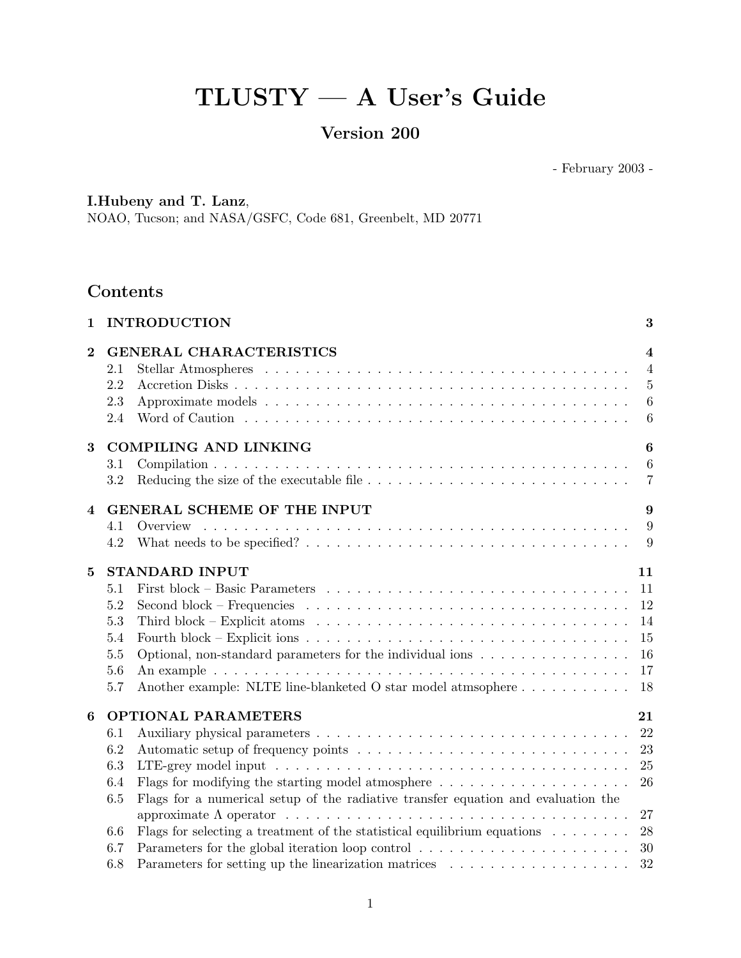# TLUSTY — A User's Guide

## Version 200

- February 2003 -

## I.Hubeny and T. Lanz,

NOAO, Tucson; and NASA/GSFC, Code 681, Greenbelt, MD 20771

## Contents

| $\mathbf{1}$     |            | <b>INTRODUCTION</b>                                                                                                  | 3                                  |
|------------------|------------|----------------------------------------------------------------------------------------------------------------------|------------------------------------|
| $\bf{2}$         |            | <b>GENERAL CHARACTERISTICS</b>                                                                                       | $\overline{4}$                     |
|                  | 2.1        |                                                                                                                      | $\overline{4}$                     |
|                  | 2.2        |                                                                                                                      | $\overline{5}$                     |
|                  | 2.3<br>2.4 |                                                                                                                      | $6\phantom{.}6$<br>$6\phantom{.}6$ |
|                  |            |                                                                                                                      |                                    |
| 3                |            | <b>COMPILING AND LINKING</b>                                                                                         | $\boldsymbol{6}$                   |
|                  | 3.1        |                                                                                                                      | $6\phantom{.}6$                    |
|                  | 3.2        |                                                                                                                      | $\overline{7}$                     |
| $\overline{4}$   |            | GENERAL SCHEME OF THE INPUT                                                                                          | 9                                  |
|                  | 4.1        | Overview                                                                                                             | 9                                  |
|                  | 4.2        |                                                                                                                      | 9                                  |
| $\mathbf{5}$     |            | <b>STANDARD INPUT</b>                                                                                                | 11                                 |
|                  | 5.1        |                                                                                                                      | 11                                 |
|                  | 5.2        | Second block – Frequencies $\ldots \ldots \ldots \ldots \ldots \ldots \ldots \ldots \ldots \ldots \ldots$            | 12                                 |
|                  | 5.3        |                                                                                                                      | 14                                 |
|                  | 5.4        | Fourth block – Explicit ions $\ldots \ldots \ldots \ldots \ldots \ldots \ldots \ldots \ldots \ldots \ldots \ldots$   | 15                                 |
|                  | 5.5        | Optional, non-standard parameters for the individual ions                                                            | 16                                 |
|                  | 5.6        |                                                                                                                      | 17                                 |
|                  | 5.7        | Another example: NLTE line-blanketed O star model atmsophere                                                         | 18                                 |
| $\boldsymbol{6}$ |            | <b>OPTIONAL PARAMETERS</b>                                                                                           | 21                                 |
|                  | 6.1        |                                                                                                                      | 22                                 |
|                  | 6.2        |                                                                                                                      | 23                                 |
|                  | 6.3        |                                                                                                                      | 25                                 |
|                  | 6.4        | Flags for modifying the starting model atmosphere $\dots \dots \dots \dots \dots \dots \dots$                        | 26                                 |
|                  | 6.5        | Flags for a numerical setup of the radiative transfer equation and evaluation the                                    |                                    |
|                  |            | approximate $\Lambda$ operator $\ldots \ldots \ldots \ldots \ldots \ldots \ldots \ldots \ldots \ldots \ldots \ldots$ | 27                                 |
|                  | 6.6        | Flags for selecting a treatment of the statistical equilibrium equations $\ldots \ldots \ldots$                      | 28                                 |
|                  | 6.7        |                                                                                                                      | 30                                 |
|                  | 6.8        |                                                                                                                      | 32                                 |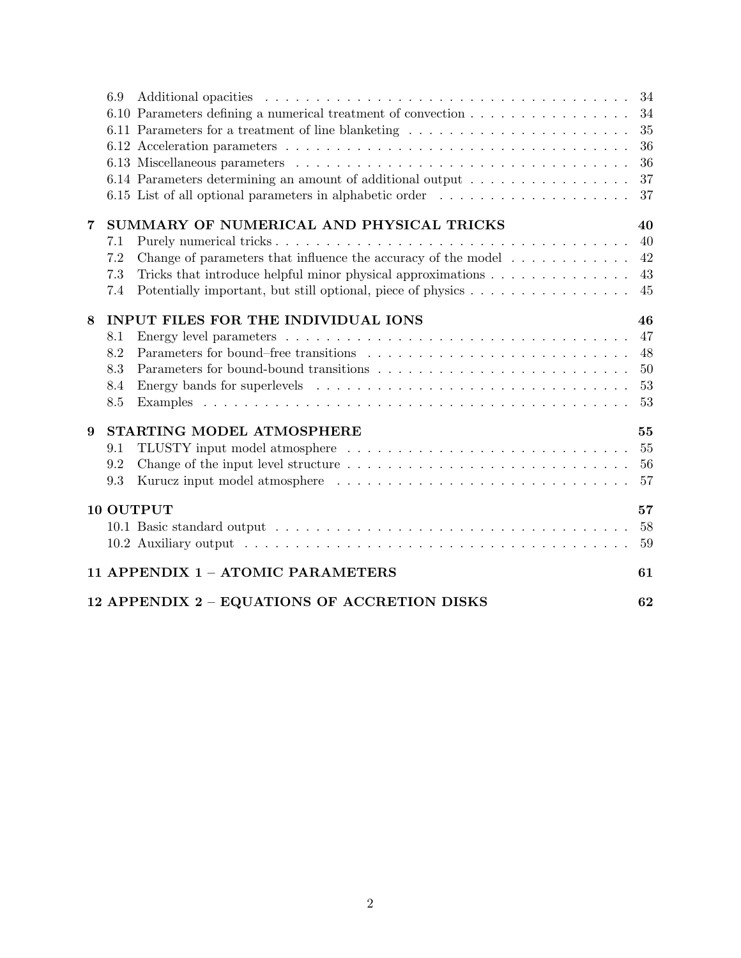|                                                    | 6.9                             | 6.10 Parameters defining a numerical treatment of convection<br>6.11 Parameters for a treatment of line blanketing<br>6.14 Parameters determining an amount of additional output<br>6.15 List of all optional parameters in alphabetic order                                                | 34<br>34<br>35<br>36<br>36<br>37<br>37 |  |  |  |  |  |  |
|----------------------------------------------------|---------------------------------|---------------------------------------------------------------------------------------------------------------------------------------------------------------------------------------------------------------------------------------------------------------------------------------------|----------------------------------------|--|--|--|--|--|--|
| 7                                                  | 7.1<br>7.2<br>7.3<br>7.4        | SUMMARY OF NUMERICAL AND PHYSICAL TRICKS<br>Change of parameters that influence the accuracy of the model $\dots \dots \dots$<br>Tricks that introduce helpful minor physical approximations $\dots \dots \dots \dots \dots$<br>Potentially important, but still optional, piece of physics | 40<br>40<br>42<br>43<br>45             |  |  |  |  |  |  |
| 8                                                  | 8.1<br>8.2<br>8.3<br>8.4<br>8.5 | INPUT FILES FOR THE INDIVIDUAL IONS                                                                                                                                                                                                                                                         | 46<br>47<br>48<br>50<br>53<br>53       |  |  |  |  |  |  |
| 9                                                  | 9.1<br>9.2<br>9.3               | STARTING MODEL ATMOSPHERE                                                                                                                                                                                                                                                                   | 55<br>55<br>56<br>57                   |  |  |  |  |  |  |
| 10 OUTPUT                                          |                                 |                                                                                                                                                                                                                                                                                             |                                        |  |  |  |  |  |  |
| 59<br>11 APPENDIX 1 - ATOMIC PARAMETERS<br>61      |                                 |                                                                                                                                                                                                                                                                                             |                                        |  |  |  |  |  |  |
| 12 APPENDIX 2 - EQUATIONS OF ACCRETION DISKS<br>62 |                                 |                                                                                                                                                                                                                                                                                             |                                        |  |  |  |  |  |  |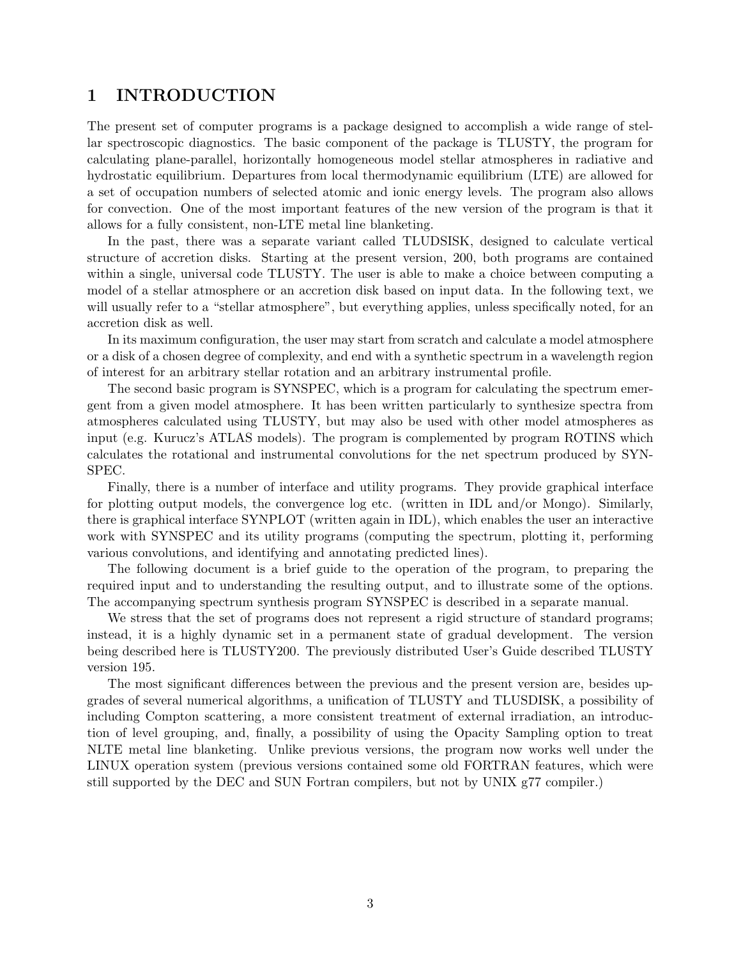## 1 INTRODUCTION

The present set of computer programs is a package designed to accomplish a wide range of stellar spectroscopic diagnostics. The basic component of the package is TLUSTY, the program for calculating plane-parallel, horizontally homogeneous model stellar atmospheres in radiative and hydrostatic equilibrium. Departures from local thermodynamic equilibrium (LTE) are allowed for a set of occupation numbers of selected atomic and ionic energy levels. The program also allows for convection. One of the most important features of the new version of the program is that it allows for a fully consistent, non-LTE metal line blanketing.

In the past, there was a separate variant called TLUDSISK, designed to calculate vertical structure of accretion disks. Starting at the present version, 200, both programs are contained within a single, universal code TLUSTY. The user is able to make a choice between computing a model of a stellar atmosphere or an accretion disk based on input data. In the following text, we will usually refer to a "stellar atmosphere", but everything applies, unless specifically noted, for an accretion disk as well.

In its maximum configuration, the user may start from scratch and calculate a model atmosphere or a disk of a chosen degree of complexity, and end with a synthetic spectrum in a wavelength region of interest for an arbitrary stellar rotation and an arbitrary instrumental profile.

The second basic program is SYNSPEC, which is a program for calculating the spectrum emergent from a given model atmosphere. It has been written particularly to synthesize spectra from atmospheres calculated using TLUSTY, but may also be used with other model atmospheres as input (e.g. Kurucz's ATLAS models). The program is complemented by program ROTINS which calculates the rotational and instrumental convolutions for the net spectrum produced by SYN-SPEC.

Finally, there is a number of interface and utility programs. They provide graphical interface for plotting output models, the convergence log etc. (written in IDL and/or Mongo). Similarly, there is graphical interface SYNPLOT (written again in IDL), which enables the user an interactive work with SYNSPEC and its utility programs (computing the spectrum, plotting it, performing various convolutions, and identifying and annotating predicted lines).

The following document is a brief guide to the operation of the program, to preparing the required input and to understanding the resulting output, and to illustrate some of the options. The accompanying spectrum synthesis program SYNSPEC is described in a separate manual.

We stress that the set of programs does not represent a rigid structure of standard programs; instead, it is a highly dynamic set in a permanent state of gradual development. The version being described here is TLUSTY200. The previously distributed User's Guide described TLUSTY version 195.

The most significant differences between the previous and the present version are, besides upgrades of several numerical algorithms, a unification of TLUSTY and TLUSDISK, a possibility of including Compton scattering, a more consistent treatment of external irradiation, an introduction of level grouping, and, finally, a possibility of using the Opacity Sampling option to treat NLTE metal line blanketing. Unlike previous versions, the program now works well under the LINUX operation system (previous versions contained some old FORTRAN features, which were still supported by the DEC and SUN Fortran compilers, but not by UNIX g77 compiler.)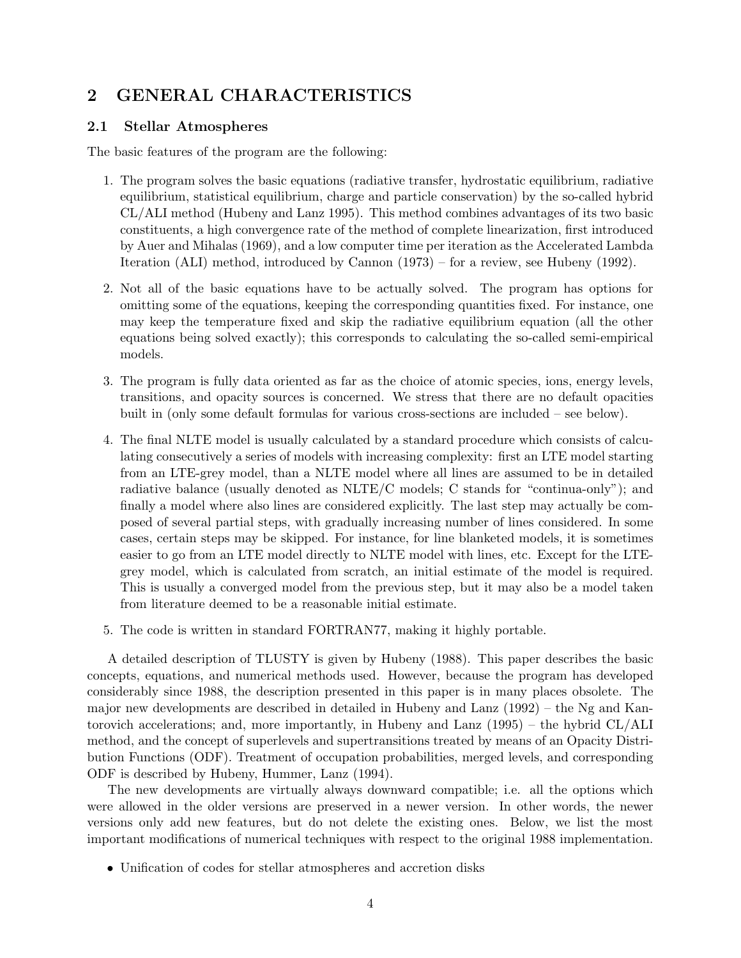## 2 GENERAL CHARACTERISTICS

## 2.1 Stellar Atmospheres

The basic features of the program are the following:

- 1. The program solves the basic equations (radiative transfer, hydrostatic equilibrium, radiative equilibrium, statistical equilibrium, charge and particle conservation) by the so-called hybrid CL/ALI method (Hubeny and Lanz 1995). This method combines advantages of its two basic constituents, a high convergence rate of the method of complete linearization, first introduced by Auer and Mihalas (1969), and a low computer time per iteration as the Accelerated Lambda Iteration (ALI) method, introduced by Cannon (1973) – for a review, see Hubeny (1992).
- 2. Not all of the basic equations have to be actually solved. The program has options for omitting some of the equations, keeping the corresponding quantities fixed. For instance, one may keep the temperature fixed and skip the radiative equilibrium equation (all the other equations being solved exactly); this corresponds to calculating the so-called semi-empirical models.
- 3. The program is fully data oriented as far as the choice of atomic species, ions, energy levels, transitions, and opacity sources is concerned. We stress that there are no default opacities built in (only some default formulas for various cross-sections are included – see below).
- 4. The final NLTE model is usually calculated by a standard procedure which consists of calculating consecutively a series of models with increasing complexity: first an LTE model starting from an LTE-grey model, than a NLTE model where all lines are assumed to be in detailed radiative balance (usually denoted as NLTE/C models; C stands for "continua-only"); and finally a model where also lines are considered explicitly. The last step may actually be composed of several partial steps, with gradually increasing number of lines considered. In some cases, certain steps may be skipped. For instance, for line blanketed models, it is sometimes easier to go from an LTE model directly to NLTE model with lines, etc. Except for the LTEgrey model, which is calculated from scratch, an initial estimate of the model is required. This is usually a converged model from the previous step, but it may also be a model taken from literature deemed to be a reasonable initial estimate.
- 5. The code is written in standard FORTRAN77, making it highly portable.

A detailed description of TLUSTY is given by Hubeny (1988). This paper describes the basic concepts, equations, and numerical methods used. However, because the program has developed considerably since 1988, the description presented in this paper is in many places obsolete. The major new developments are described in detailed in Hubeny and Lanz (1992) – the Ng and Kantorovich accelerations; and, more importantly, in Hubeny and Lanz (1995) – the hybrid CL/ALI method, and the concept of superlevels and supertransitions treated by means of an Opacity Distribution Functions (ODF). Treatment of occupation probabilities, merged levels, and corresponding ODF is described by Hubeny, Hummer, Lanz (1994).

The new developments are virtually always downward compatible; i.e. all the options which were allowed in the older versions are preserved in a newer version. In other words, the newer versions only add new features, but do not delete the existing ones. Below, we list the most important modifications of numerical techniques with respect to the original 1988 implementation.

• Unification of codes for stellar atmospheres and accretion disks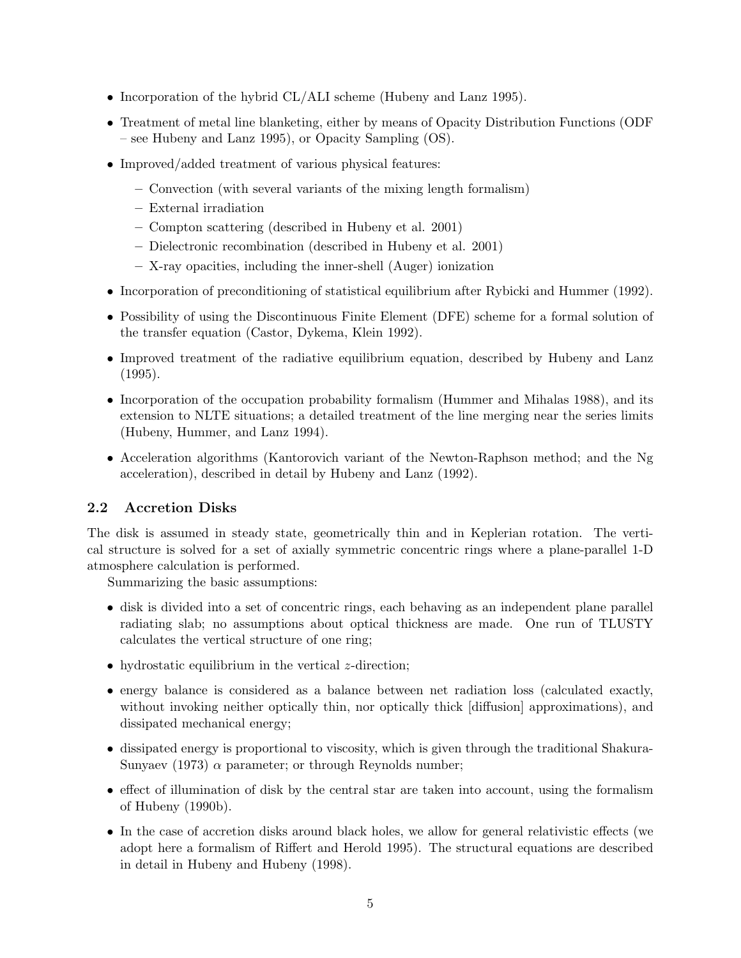- Incorporation of the hybrid CL/ALI scheme (Hubeny and Lanz 1995).
- Treatment of metal line blanketing, either by means of Opacity Distribution Functions (ODF) – see Hubeny and Lanz 1995), or Opacity Sampling (OS).
- Improved/added treatment of various physical features:
	- Convection (with several variants of the mixing length formalism)
	- External irradiation
	- Compton scattering (described in Hubeny et al. 2001)
	- Dielectronic recombination (described in Hubeny et al. 2001)
	- X-ray opacities, including the inner-shell (Auger) ionization
- Incorporation of preconditioning of statistical equilibrium after Rybicki and Hummer (1992).
- Possibility of using the Discontinuous Finite Element (DFE) scheme for a formal solution of the transfer equation (Castor, Dykema, Klein 1992).
- Improved treatment of the radiative equilibrium equation, described by Hubeny and Lanz (1995).
- Incorporation of the occupation probability formalism (Hummer and Mihalas 1988), and its extension to NLTE situations; a detailed treatment of the line merging near the series limits (Hubeny, Hummer, and Lanz 1994).
- Acceleration algorithms (Kantorovich variant of the Newton-Raphson method; and the Ng acceleration), described in detail by Hubeny and Lanz (1992).

## 2.2 Accretion Disks

The disk is assumed in steady state, geometrically thin and in Keplerian rotation. The vertical structure is solved for a set of axially symmetric concentric rings where a plane-parallel 1-D atmosphere calculation is performed.

Summarizing the basic assumptions:

- disk is divided into a set of concentric rings, each behaving as an independent plane parallel radiating slab; no assumptions about optical thickness are made. One run of TLUSTY calculates the vertical structure of one ring;
- hydrostatic equilibrium in the vertical  $z$ -direction;
- energy balance is considered as a balance between net radiation loss (calculated exactly, without invoking neither optically thin, nor optically thick [diffusion] approximations), and dissipated mechanical energy;
- dissipated energy is proportional to viscosity, which is given through the traditional Shakura-Sunyaev (1973)  $\alpha$  parameter; or through Reynolds number;
- effect of illumination of disk by the central star are taken into account, using the formalism of Hubeny (1990b).
- In the case of accretion disks around black holes, we allow for general relativistic effects (we adopt here a formalism of Riffert and Herold 1995). The structural equations are described in detail in Hubeny and Hubeny (1998).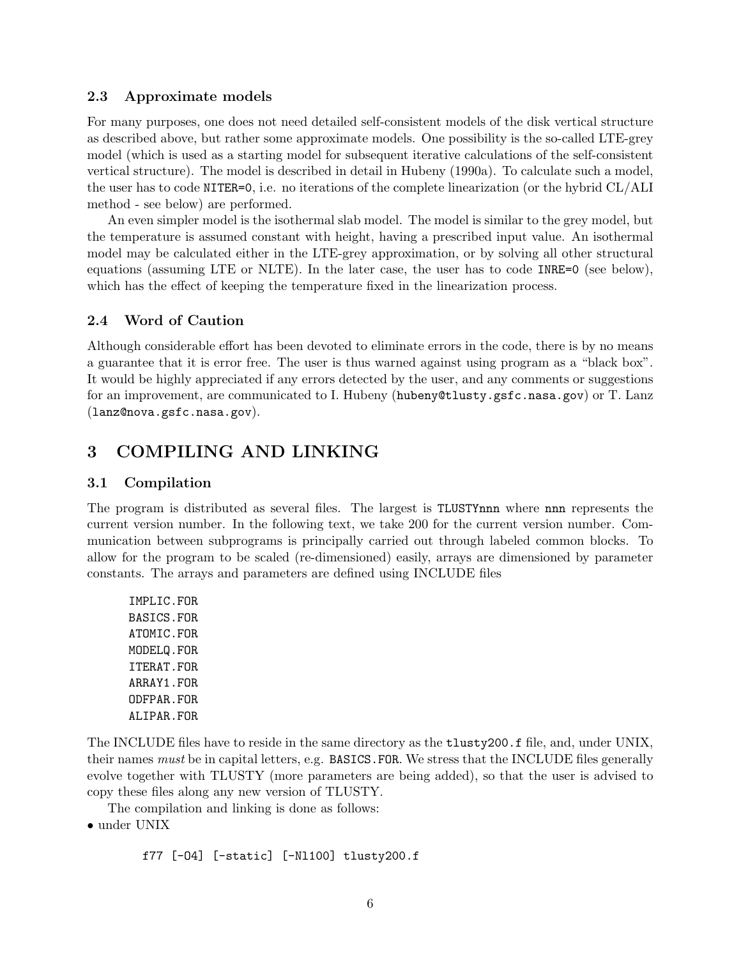### 2.3 Approximate models

For many purposes, one does not need detailed self-consistent models of the disk vertical structure as described above, but rather some approximate models. One possibility is the so-called LTE-grey model (which is used as a starting model for subsequent iterative calculations of the self-consistent vertical structure). The model is described in detail in Hubeny (1990a). To calculate such a model, the user has to code NITER=0, i.e. no iterations of the complete linearization (or the hybrid CL/ALI method - see below) are performed.

An even simpler model is the isothermal slab model. The model is similar to the grey model, but the temperature is assumed constant with height, having a prescribed input value. An isothermal model may be calculated either in the LTE-grey approximation, or by solving all other structural equations (assuming LTE or NLTE). In the later case, the user has to code INRE=0 (see below), which has the effect of keeping the temperature fixed in the linearization process.

## 2.4 Word of Caution

Although considerable effort has been devoted to eliminate errors in the code, there is by no means a guarantee that it is error free. The user is thus warned against using program as a "black box". It would be highly appreciated if any errors detected by the user, and any comments or suggestions for an improvement, are communicated to I. Hubeny (hubeny@tlusty.gsfc.nasa.gov) or T. Lanz (lanz@nova.gsfc.nasa.gov).

## 3 COMPILING AND LINKING

### 3.1 Compilation

The program is distributed as several files. The largest is TLUSTYnnn where nnn represents the current version number. In the following text, we take 200 for the current version number. Communication between subprograms is principally carried out through labeled common blocks. To allow for the program to be scaled (re-dimensioned) easily, arrays are dimensioned by parameter constants. The arrays and parameters are defined using INCLUDE files

IMPLIC.FOR BASICS.FOR ATOMIC.FOR MODELQ.FOR ITERAT.FOR ARRAY1.FOR ODFPAR.FOR ALIPAR.FOR

The INCLUDE files have to reside in the same directory as the tlusty200.f file, and, under UNIX, their names must be in capital letters, e.g. BASICS.FOR. We stress that the INCLUDE files generally evolve together with TLUSTY (more parameters are being added), so that the user is advised to copy these files along any new version of TLUSTY.

The compilation and linking is done as follows:

• under UNIX

f77 [-O4] [-static] [-Nl100] tlusty200.f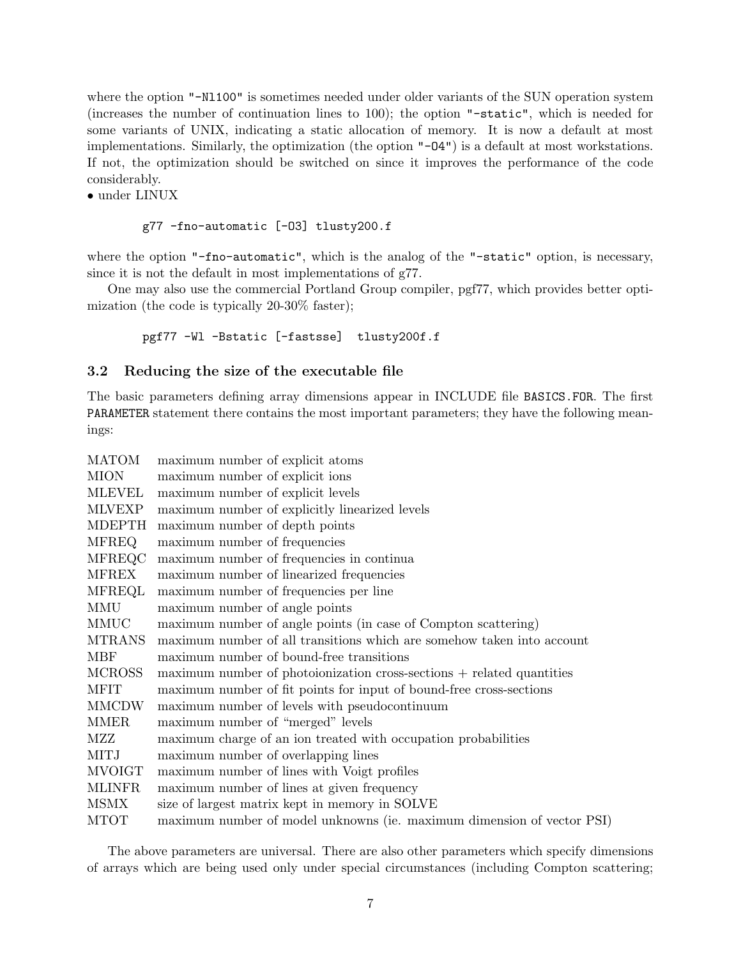where the option "-N1100" is sometimes needed under older variants of the SUN operation system (increases the number of continuation lines to 100); the option "-static", which is needed for some variants of UNIX, indicating a static allocation of memory. It is now a default at most implementations. Similarly, the optimization (the option "-O4") is a default at most workstations. If not, the optimization should be switched on since it improves the performance of the code considerably.

• under LINUX

### g77 -fno-automatic [-O3] tlusty200.f

where the option "-fno-automatic", which is the analog of the "-static" option, is necessary, since it is not the default in most implementations of g77.

One may also use the commercial Portland Group compiler, pgf77, which provides better optimization (the code is typically 20-30% faster);

#### pgf77 -Wl -Bstatic [-fastsse] tlusty200f.f

## 3.2 Reducing the size of the executable file

The basic parameters defining array dimensions appear in INCLUDE file BASICS.FOR. The first PARAMETER statement there contains the most important parameters; they have the following meanings:

| <b>MATOM</b>  | maximum number of explicit atoms                                                      |
|---------------|---------------------------------------------------------------------------------------|
| <b>MION</b>   | maximum number of explicit ions                                                       |
| <b>MLEVEL</b> | maximum number of explicit levels                                                     |
| <b>MLVEXP</b> | maximum number of explicitly linearized levels                                        |
| <b>MDEPTH</b> | maximum number of depth points                                                        |
| <b>MFREQ</b>  | maximum number of frequencies                                                         |
| <b>MFREQC</b> | maximum number of frequencies in continua                                             |
| <b>MFREX</b>  | maximum number of linearized frequencies                                              |
| <b>MFREQL</b> | maximum number of frequencies per line                                                |
| <b>MMU</b>    | maximum number of angle points                                                        |
| MMUC          | maximum number of angle points (in case of Compton scattering)                        |
| <b>MTRANS</b> | maximum number of all transitions which are somehow taken into account                |
| <b>MBF</b>    | maximum number of bound-free transitions                                              |
| <b>MCROSS</b> | $\text{maximum number of photoionization cross-sections} + \text{related quantities}$ |
| <b>MFIT</b>   | maximum number of fit points for input of bound-free cross-sections                   |
| <b>MMCDW</b>  | maximum number of levels with pseudocontinuum                                         |
| <b>MMER</b>   | maximum number of "merged" levels                                                     |
| MZZ           | maximum charge of an ion treated with occupation probabilities                        |
| <b>MITJ</b>   | maximum number of overlapping lines                                                   |
| <b>MVOIGT</b> | maximum number of lines with Voigt profiles                                           |
| <b>MLINFR</b> | maximum number of lines at given frequency                                            |
| <b>MSMX</b>   | size of largest matrix kept in memory in SOLVE                                        |
| <b>MTOT</b>   | maximum number of model unknowns (ie. maximum dimension of vector PSI)                |

The above parameters are universal. There are also other parameters which specify dimensions of arrays which are being used only under special circumstances (including Compton scattering;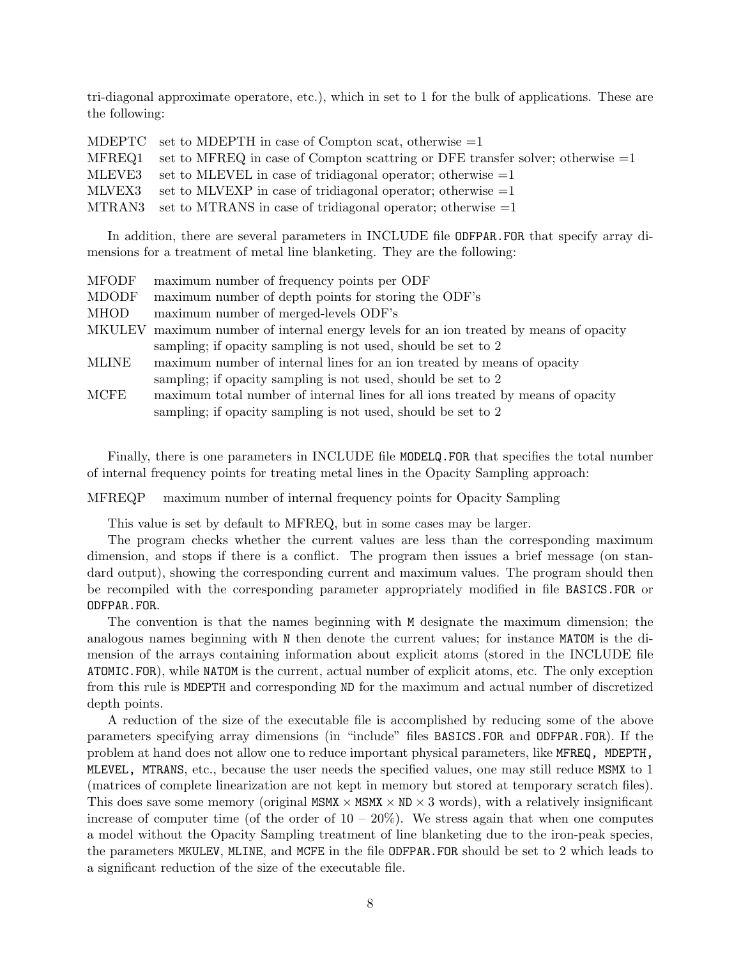tri-diagonal approximate operatore, etc.), which in set to 1 for the bulk of applications. These are the following:

|        | MDEPTC set to MDEPTH in case of Compton scat, otherwise $=1$                            |
|--------|-----------------------------------------------------------------------------------------|
|        | MFREQ1 set to MFREQ in case of Compton scattring or DFE transfer solver; otherwise $=1$ |
| MLEVE3 | set to MLEVEL in case of tridiagonal operator; otherwise $=1$                           |
| MLVEX3 | set to MLVEXP in case of tridiagonal operator; otherwise $=1$                           |
|        | MTRAN3 set to MTRANS in case of tridiagonal operator; otherwise $=1$                    |

In addition, there are several parameters in INCLUDE file ODFPAR.FOR that specify array dimensions for a treatment of metal line blanketing. They are the following:

| <b>MFODF</b>  | maximum number of frequency points per ODF                                      |
|---------------|---------------------------------------------------------------------------------|
| <b>MDODF</b>  | maximum number of depth points for storing the ODF's                            |
| <b>MHOD</b>   | maximum number of merged-levels ODF's                                           |
| <b>MKULEV</b> | maximum number of internal energy levels for an ion treated by means of opacity |
|               | sampling; if opacity sampling is not used, should be set to 2                   |
| <b>MLINE</b>  | maximum number of internal lines for an ion treated by means of opacity         |
|               | sampling; if opacity sampling is not used, should be set to 2                   |
| MCFE          | maximum total number of internal lines for all ions treated by means of opacity |
|               | sampling; if opacity sampling is not used, should be set to 2                   |
|               |                                                                                 |

Finally, there is one parameters in INCLUDE file MODELQ.FOR that specifies the total number of internal frequency points for treating metal lines in the Opacity Sampling approach:

MFREQP maximum number of internal frequency points for Opacity Sampling

This value is set by default to MFREQ, but in some cases may be larger.

The program checks whether the current values are less than the corresponding maximum dimension, and stops if there is a conflict. The program then issues a brief message (on standard output), showing the corresponding current and maximum values. The program should then be recompiled with the corresponding parameter appropriately modified in file BASICS.FOR or ODFPAR.FOR.

The convention is that the names beginning with M designate the maximum dimension; the analogous names beginning with N then denote the current values; for instance MATOM is the dimension of the arrays containing information about explicit atoms (stored in the INCLUDE file ATOMIC.FOR), while NATOM is the current, actual number of explicit atoms, etc. The only exception from this rule is MDEPTH and corresponding ND for the maximum and actual number of discretized depth points.

A reduction of the size of the executable file is accomplished by reducing some of the above parameters specifying array dimensions (in "include" files BASICS.FOR and ODFPAR.FOR). If the problem at hand does not allow one to reduce important physical parameters, like MFREQ, MDEPTH, MLEVEL, MTRANS, etc., because the user needs the specified values, one may still reduce MSMX to 1 (matrices of complete linearization are not kept in memory but stored at temporary scratch files). This does save some memory (original MSMX  $\times$  MSMX  $\times$  ND  $\times$  3 words), with a relatively insignificant increase of computer time (of the order of  $10 - 20\%$ ). We stress again that when one computes a model without the Opacity Sampling treatment of line blanketing due to the iron-peak species, the parameters MKULEV, MLINE, and MCFE in the file ODFPAR.FOR should be set to 2 which leads to a significant reduction of the size of the executable file.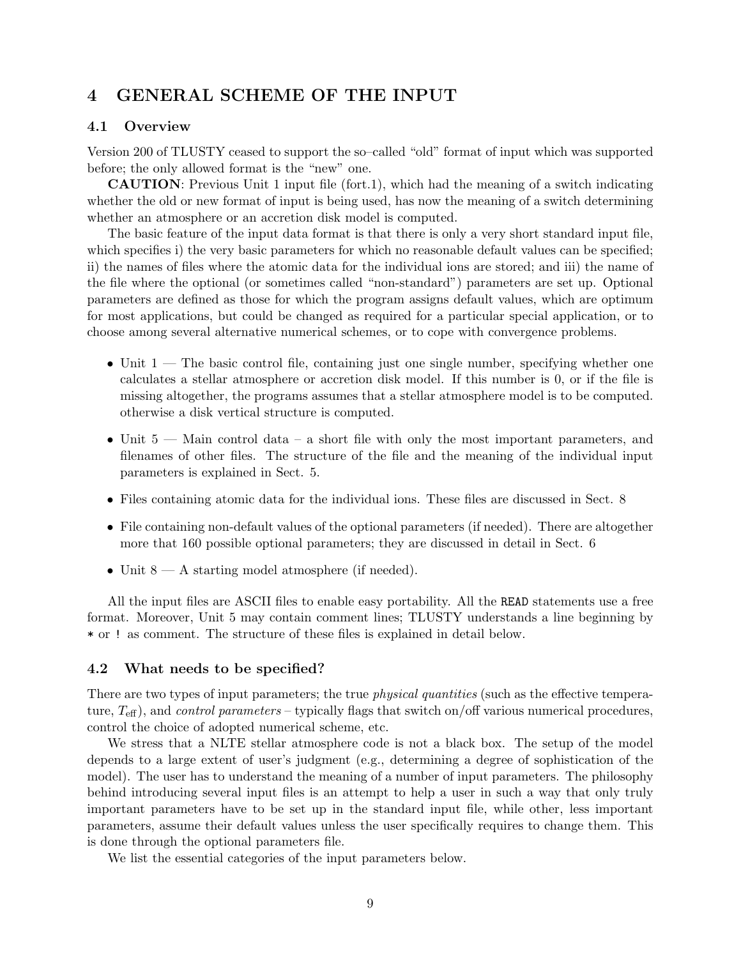## 4 GENERAL SCHEME OF THE INPUT

## 4.1 Overview

Version 200 of TLUSTY ceased to support the so–called "old" format of input which was supported before; the only allowed format is the "new" one.

CAUTION: Previous Unit 1 input file (fort.1), which had the meaning of a switch indicating whether the old or new format of input is being used, has now the meaning of a switch determining whether an atmosphere or an accretion disk model is computed.

The basic feature of the input data format is that there is only a very short standard input file, which specifies i) the very basic parameters for which no reasonable default values can be specified; ii) the names of files where the atomic data for the individual ions are stored; and iii) the name of the file where the optional (or sometimes called "non-standard") parameters are set up. Optional parameters are defined as those for which the program assigns default values, which are optimum for most applications, but could be changed as required for a particular special application, or to choose among several alternative numerical schemes, or to cope with convergence problems.

- Unit  $1$  The basic control file, containing just one single number, specifying whether one calculates a stellar atmosphere or accretion disk model. If this number is 0, or if the file is missing altogether, the programs assumes that a stellar atmosphere model is to be computed. otherwise a disk vertical structure is computed.
- Unit 5 Main control data a short file with only the most important parameters, and filenames of other files. The structure of the file and the meaning of the individual input parameters is explained in Sect. 5.
- Files containing atomic data for the individual ions. These files are discussed in Sect. 8
- File containing non-default values of the optional parameters (if needed). There are altogether more that 160 possible optional parameters; they are discussed in detail in Sect. 6
- Unit  $8 A$  starting model atmosphere (if needed).

All the input files are ASCII files to enable easy portability. All the READ statements use a free format. Moreover, Unit 5 may contain comment lines; TLUSTY understands a line beginning by \* or ! as comment. The structure of these files is explained in detail below.

## 4.2 What needs to be specified?

There are two types of input parameters; the true *physical quantities* (such as the effective temperature,  $T_{\text{eff}}$ ), and *control parameters* – typically flags that switch on/off various numerical procedures, control the choice of adopted numerical scheme, etc.

We stress that a NLTE stellar atmosphere code is not a black box. The setup of the model depends to a large extent of user's judgment (e.g., determining a degree of sophistication of the model). The user has to understand the meaning of a number of input parameters. The philosophy behind introducing several input files is an attempt to help a user in such a way that only truly important parameters have to be set up in the standard input file, while other, less important parameters, assume their default values unless the user specifically requires to change them. This is done through the optional parameters file.

We list the essential categories of the input parameters below.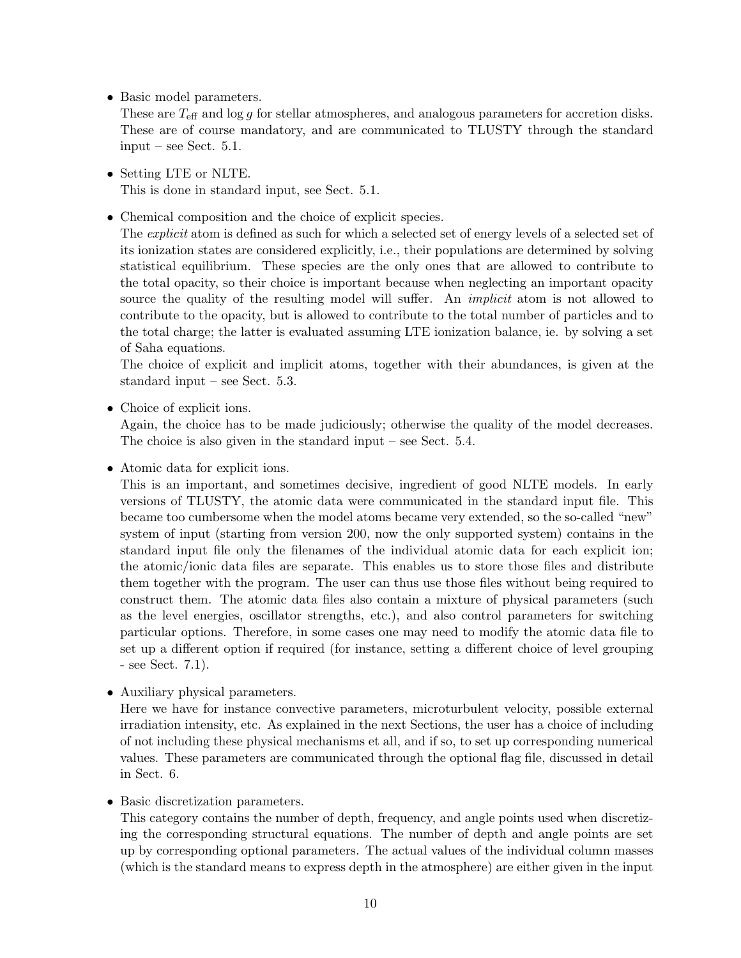• Basic model parameters.

These are  $T_{\text{eff}}$  and log g for stellar atmospheres, and analogous parameters for accretion disks. These are of course mandatory, and are communicated to TLUSTY through the standard input – see Sect. 5.1.

- Setting LTE or NLTE. This is done in standard input, see Sect. 5.1.
- Chemical composition and the choice of explicit species.

The *explicit* atom is defined as such for which a selected set of energy levels of a selected set of its ionization states are considered explicitly, i.e., their populations are determined by solving statistical equilibrium. These species are the only ones that are allowed to contribute to the total opacity, so their choice is important because when neglecting an important opacity source the quality of the resulting model will suffer. An *implicit* atom is not allowed to contribute to the opacity, but is allowed to contribute to the total number of particles and to the total charge; the latter is evaluated assuming LTE ionization balance, ie. by solving a set of Saha equations.

The choice of explicit and implicit atoms, together with their abundances, is given at the standard input – see Sect. 5.3.

• Choice of explicit ions.

Again, the choice has to be made judiciously; otherwise the quality of the model decreases. The choice is also given in the standard input – see Sect. 5.4.

• Atomic data for explicit ions.

This is an important, and sometimes decisive, ingredient of good NLTE models. In early versions of TLUSTY, the atomic data were communicated in the standard input file. This became too cumbersome when the model atoms became very extended, so the so-called "new" system of input (starting from version 200, now the only supported system) contains in the standard input file only the filenames of the individual atomic data for each explicit ion; the atomic/ionic data files are separate. This enables us to store those files and distribute them together with the program. The user can thus use those files without being required to construct them. The atomic data files also contain a mixture of physical parameters (such as the level energies, oscillator strengths, etc.), and also control parameters for switching particular options. Therefore, in some cases one may need to modify the atomic data file to set up a different option if required (for instance, setting a different choice of level grouping - see Sect. 7.1).

• Auxiliary physical parameters.

Here we have for instance convective parameters, microturbulent velocity, possible external irradiation intensity, etc. As explained in the next Sections, the user has a choice of including of not including these physical mechanisms et all, and if so, to set up corresponding numerical values. These parameters are communicated through the optional flag file, discussed in detail in Sect. 6.

• Basic discretization parameters.

This category contains the number of depth, frequency, and angle points used when discretizing the corresponding structural equations. The number of depth and angle points are set up by corresponding optional parameters. The actual values of the individual column masses (which is the standard means to express depth in the atmosphere) are either given in the input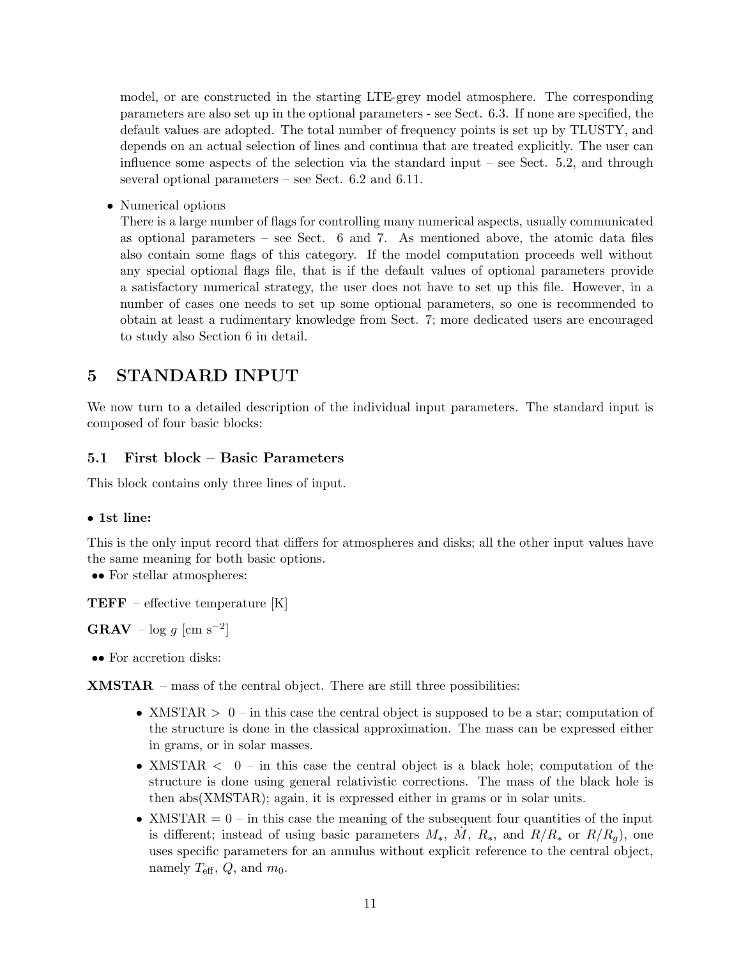model, or are constructed in the starting LTE-grey model atmosphere. The corresponding parameters are also set up in the optional parameters - see Sect. 6.3. If none are specified, the default values are adopted. The total number of frequency points is set up by TLUSTY, and depends on an actual selection of lines and continua that are treated explicitly. The user can influence some aspects of the selection via the standard input – see Sect. 5.2, and through several optional parameters – see Sect. 6.2 and 6.11.

• Numerical options

There is a large number of flags for controlling many numerical aspects, usually communicated as optional parameters – see Sect. 6 and 7. As mentioned above, the atomic data files also contain some flags of this category. If the model computation proceeds well without any special optional flags file, that is if the default values of optional parameters provide a satisfactory numerical strategy, the user does not have to set up this file. However, in a number of cases one needs to set up some optional parameters, so one is recommended to obtain at least a rudimentary knowledge from Sect. 7; more dedicated users are encouraged to study also Section 6 in detail.

## 5 STANDARD INPUT

We now turn to a detailed description of the individual input parameters. The standard input is composed of four basic blocks:

## 5.1 First block – Basic Parameters

This block contains only three lines of input.

## • 1st line:

This is the only input record that differs for atmospheres and disks; all the other input values have the same meaning for both basic options.

•• For stellar atmospheres:

**TEFF** – effective temperature  $[K]$ 

 $\textbf{GRAV} - \log g \text{ [cm s}^{-2}$ 

•• For accretion disks:

XMSTAR – mass of the central object. There are still three possibilities:

- XMSTAR  $> 0$  in this case the central object is supposed to be a star; computation of the structure is done in the classical approximation. The mass can be expressed either in grams, or in solar masses.
- XMSTAR  $\langle 0 \text{in this case the central object is a black hole; computation of the$ structure is done using general relativistic corrections. The mass of the black hole is then abs(XMSTAR); again, it is expressed either in grams or in solar units.
- XMSTAR  $= 0$  in this case the meaning of the subsequent four quantities of the input is different; instead of using basic parameters  $M_*$ ,  $\dot{M}$ ,  $R_*$ , and  $R/R_*$  or  $R/R_g$ ), one uses specific parameters for an annulus without explicit reference to the central object, namely  $T_{\text{eff}}$ ,  $Q$ , and  $m_0$ .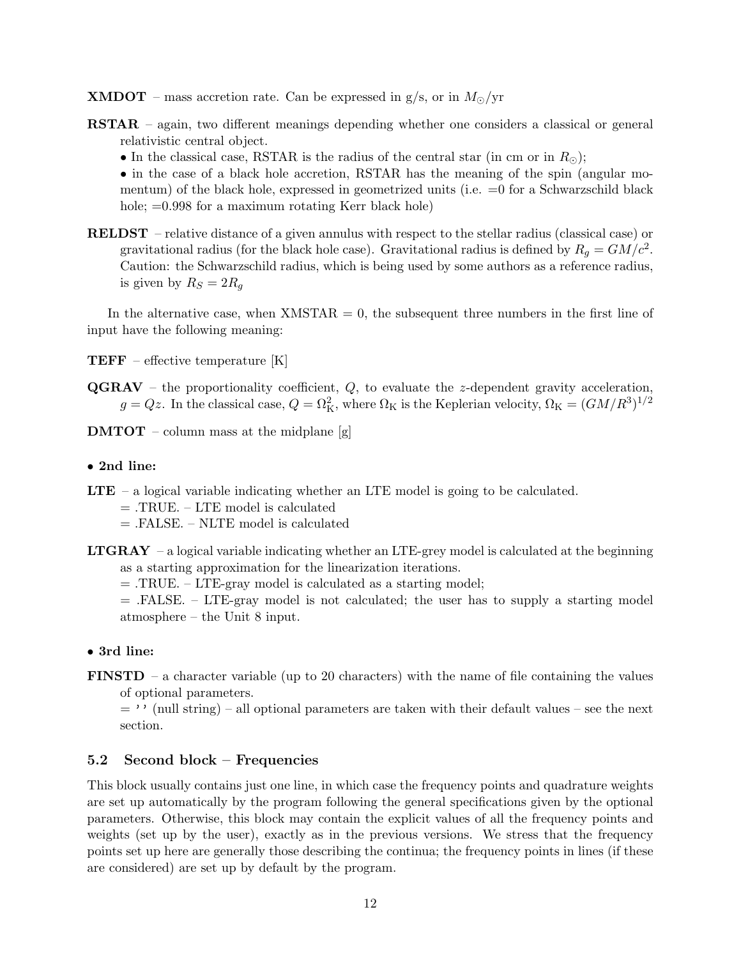- **XMDOT** mass accretion rate. Can be expressed in  $g/s$ , or in  $M_{\odot}/yr$
- RSTAR again, two different meanings depending whether one considers a classical or general relativistic central object.
	- In the classical case, RSTAR is the radius of the central star (in cm or in  $R_{\odot}$ );

• in the case of a black hole accretion, RSTAR has the meaning of the spin (angular momentum) of the black hole, expressed in geometrized units (i.e. =0 for a Schwarzschild black hole;  $=0.998$  for a maximum rotating Kerr black hole)

RELDST – relative distance of a given annulus with respect to the stellar radius (classical case) or gravitational radius (for the black hole case). Gravitational radius is defined by  $R_g = GM/c^2$ . Caution: the Schwarzschild radius, which is being used by some authors as a reference radius, is given by  $R_S = 2R_g$ 

In the alternative case, when  $XMSTAR = 0$ , the subsequent three numbers in the first line of input have the following meaning:

**TEFF** – effective temperature  $[K]$ 

- $\mathbf{QGRAV}$  the proportionality coefficient, Q, to evaluate the z-dependent gravity acceleration,  $g = Qz$ . In the classical case,  $Q = \Omega_K^2$ , where  $\Omega_K$  is the Keplerian velocity,  $\Omega_K = (GM/R^3)^{1/2}$
- **DMTOT** column mass at the midplane  $[g]$

### • 2nd line:

- LTE a logical variable indicating whether an LTE model is going to be calculated.
	- = .TRUE. LTE model is calculated
	- = .FALSE. NLTE model is calculated
- **LTGRAY** a logical variable indicating whether an LTE-grey model is calculated at the beginning as a starting approximation for the linearization iterations.
	- = .TRUE. LTE-gray model is calculated as a starting model;
	- $=$  .FALSE. LTE-gray model is not calculated; the user has to supply a starting model atmosphere – the Unit 8 input.

## • 3rd line:

FINSTD – a character variable (up to 20 characters) with the name of file containing the values of optional parameters.

 $=$  '' (null string) – all optional parameters are taken with their default values – see the next section.

### 5.2 Second block – Frequencies

This block usually contains just one line, in which case the frequency points and quadrature weights are set up automatically by the program following the general specifications given by the optional parameters. Otherwise, this block may contain the explicit values of all the frequency points and weights (set up by the user), exactly as in the previous versions. We stress that the frequency points set up here are generally those describing the continua; the frequency points in lines (if these are considered) are set up by default by the program.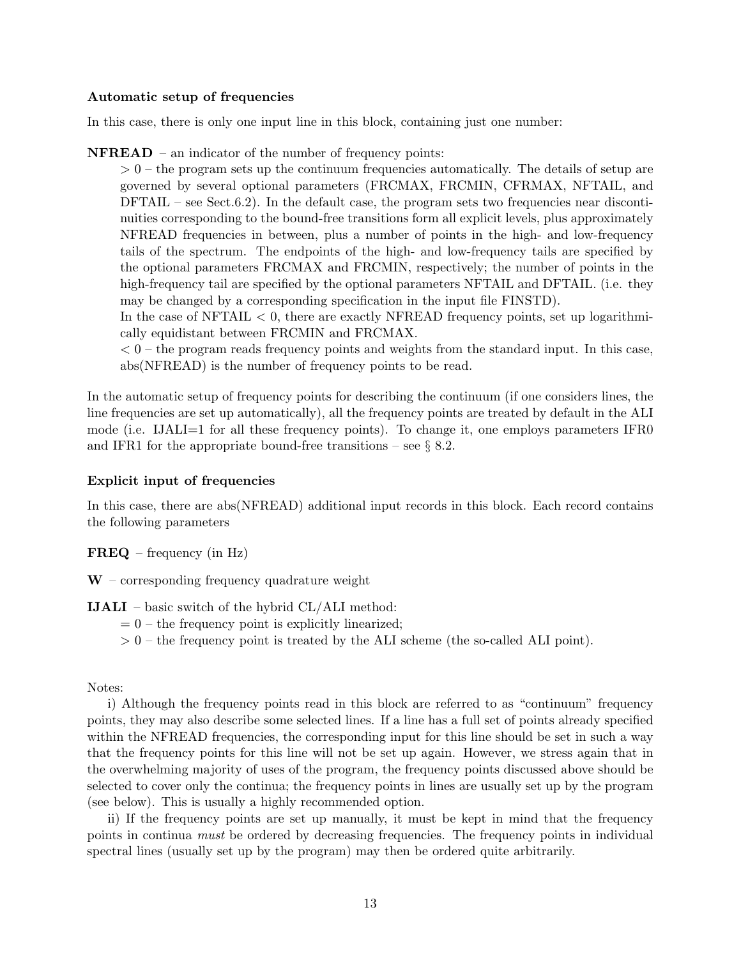### Automatic setup of frequencies

In this case, there is only one input line in this block, containing just one number:

NFREAD – an indicator of the number of frequency points:

 $> 0$  – the program sets up the continuum frequencies automatically. The details of setup are governed by several optional parameters (FRCMAX, FRCMIN, CFRMAX, NFTAIL, and  $DFTAIL - see Sect.6.2)$ . In the default case, the program sets two frequencies near discontinuities corresponding to the bound-free transitions form all explicit levels, plus approximately NFREAD frequencies in between, plus a number of points in the high- and low-frequency tails of the spectrum. The endpoints of the high- and low-frequency tails are specified by the optional parameters FRCMAX and FRCMIN, respectively; the number of points in the high-frequency tail are specified by the optional parameters NFTAIL and DFTAIL. (i.e. they may be changed by a corresponding specification in the input file FINSTD).

In the case of NFTAIL  $< 0$ , there are exactly NFREAD frequency points, set up logarithmically equidistant between FRCMIN and FRCMAX.

 $< 0$  – the program reads frequency points and weights from the standard input. In this case, abs(NFREAD) is the number of frequency points to be read.

In the automatic setup of frequency points for describing the continuum (if one considers lines, the line frequencies are set up automatically), all the frequency points are treated by default in the ALI mode (i.e. IJALI=1 for all these frequency points). To change it, one employs parameters IFR0 and IFR1 for the appropriate bound-free transitions – see  $\S$  8.2.

#### Explicit input of frequencies

In this case, there are abs(NFREAD) additional input records in this block. Each record contains the following parameters

 $\mathbf{FREQ}$  – frequency (in Hz)

 $W$  – corresponding frequency quadrature weight

## IJALI – basic switch of the hybrid CL/ALI method:

- $= 0$  the frequency point is explicitly linearized;
- $> 0$  the frequency point is treated by the ALI scheme (the so-called ALI point).

#### Notes:

i) Although the frequency points read in this block are referred to as "continuum" frequency points, they may also describe some selected lines. If a line has a full set of points already specified within the NFREAD frequencies, the corresponding input for this line should be set in such a way that the frequency points for this line will not be set up again. However, we stress again that in the overwhelming majority of uses of the program, the frequency points discussed above should be selected to cover only the continua; the frequency points in lines are usually set up by the program (see below). This is usually a highly recommended option.

ii) If the frequency points are set up manually, it must be kept in mind that the frequency points in continua must be ordered by decreasing frequencies. The frequency points in individual spectral lines (usually set up by the program) may then be ordered quite arbitrarily.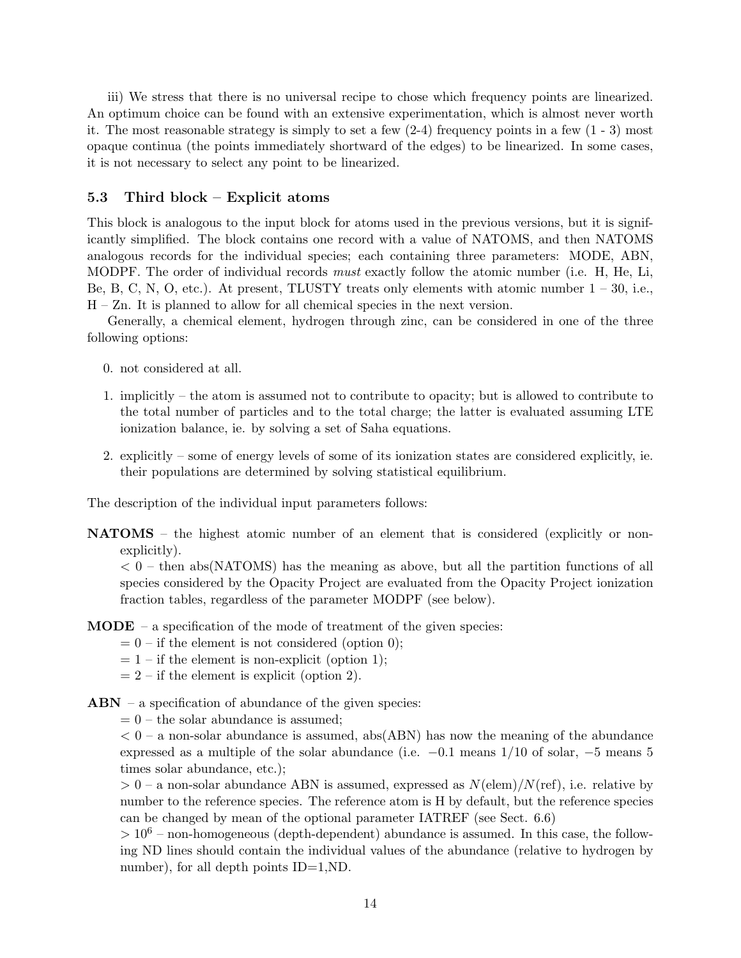iii) We stress that there is no universal recipe to chose which frequency points are linearized. An optimum choice can be found with an extensive experimentation, which is almost never worth it. The most reasonable strategy is simply to set a few  $(2-4)$  frequency points in a few  $(1 - 3)$  most opaque continua (the points immediately shortward of the edges) to be linearized. In some cases, it is not necessary to select any point to be linearized.

### 5.3 Third block – Explicit atoms

This block is analogous to the input block for atoms used in the previous versions, but it is significantly simplified. The block contains one record with a value of NATOMS, and then NATOMS analogous records for the individual species; each containing three parameters: MODE, ABN, MODPF. The order of individual records *must* exactly follow the atomic number (i.e. H, He, Li, Be, B, C, N, O, etc.). At present, TLUSTY treats only elements with atomic number  $1 - 30$ , i.e., H – Zn. It is planned to allow for all chemical species in the next version.

Generally, a chemical element, hydrogen through zinc, can be considered in one of the three following options:

- 0. not considered at all.
- 1. implicitly the atom is assumed not to contribute to opacity; but is allowed to contribute to the total number of particles and to the total charge; the latter is evaluated assuming LTE ionization balance, ie. by solving a set of Saha equations.
- 2. explicitly some of energy levels of some of its ionization states are considered explicitly, ie. their populations are determined by solving statistical equilibrium.

The description of the individual input parameters follows:

NATOMS – the highest atomic number of an element that is considered (explicitly or nonexplicitly).

 $< 0$  – then abs(NATOMS) has the meaning as above, but all the partition functions of all species considered by the Opacity Project are evaluated from the Opacity Project ionization fraction tables, regardless of the parameter MODPF (see below).

- $$ 
	- $= 0$  if the element is not considered (option 0);
	- $= 1 if$  the element is non-explicit (option 1);
	- $= 2$  if the element is explicit (option 2).
- $ABN a$  specification of abundance of the given species:

 $= 0$  – the solar abundance is assumed;

 $< 0$  – a non-solar abundance is assumed, abs(ABN) has now the meaning of the abundance expressed as a multiple of the solar abundance (i.e.  $-0.1$  means 1/10 of solar,  $-5$  means 5 times solar abundance, etc.);

 $> 0$  – a non-solar abundance ABN is assumed, expressed as  $N(\text{elem})/N(\text{ref})$ , i.e. relative by number to the reference species. The reference atom is H by default, but the reference species can be changed by mean of the optional parameter IATREF (see Sect. 6.6)

 $> 10<sup>6</sup>$  – non-homogeneous (depth-dependent) abundance is assumed. In this case, the following ND lines should contain the individual values of the abundance (relative to hydrogen by number), for all depth points ID=1,ND.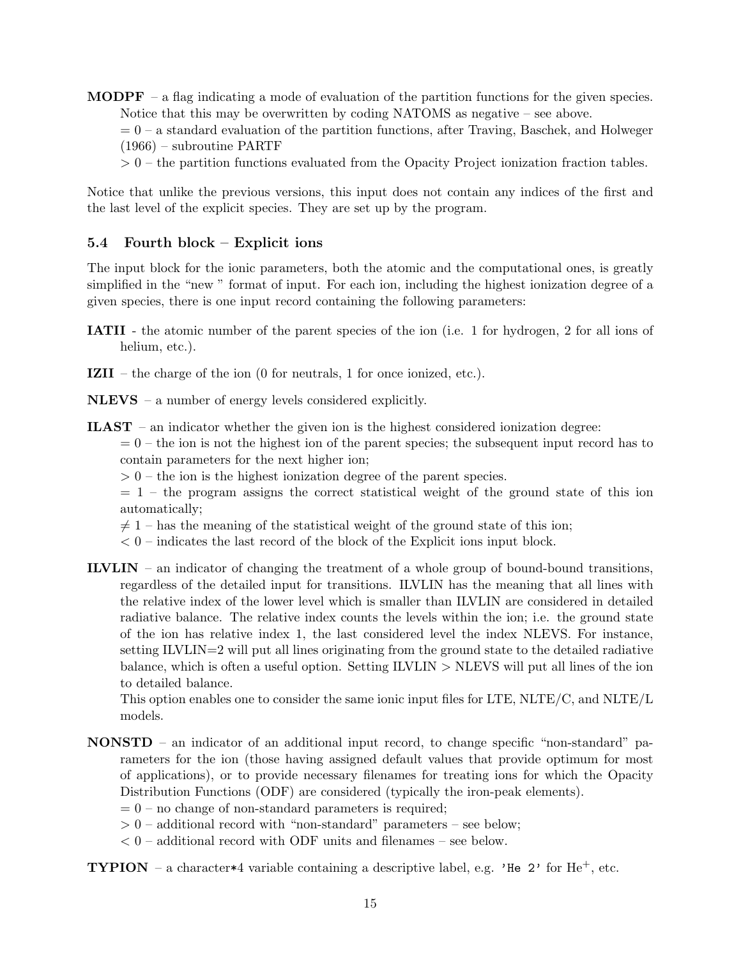**MODPF** – a flag indicating a mode of evaluation of the partition functions for the given species. Notice that this may be overwritten by coding NATOMS as negative – see above.

 $= 0 - a$  standard evaluation of the partition functions, after Traving, Baschek, and Holweger (1966) – subroutine PARTF

 $> 0$  – the partition functions evaluated from the Opacity Project ionization fraction tables.

Notice that unlike the previous versions, this input does not contain any indices of the first and the last level of the explicit species. They are set up by the program.

## 5.4 Fourth block – Explicit ions

The input block for the ionic parameters, both the atomic and the computational ones, is greatly simplified in the "new " format of input. For each ion, including the highest ionization degree of a given species, there is one input record containing the following parameters:

- IATII the atomic number of the parent species of the ion (i.e. 1 for hydrogen, 2 for all ions of helium, etc.).
- IZII the charge of the ion (0 for neutrals, 1 for once ionized, etc.).
- NLEVS a number of energy levels considered explicitly.
- ILAST an indicator whether the given ion is the highest considered ionization degree:

 $= 0$  – the ion is not the highest ion of the parent species; the subsequent input record has to contain parameters for the next higher ion;

 $> 0$  – the ion is the highest ionization degree of the parent species.

 $= 1$  – the program assigns the correct statistical weight of the ground state of this ion automatically;

 $\neq$  1 – has the meaning of the statistical weight of the ground state of this ion;

- $< 0$  indicates the last record of the block of the Explicit ions input block.
- ILVLIN an indicator of changing the treatment of a whole group of bound-bound transitions, regardless of the detailed input for transitions. ILVLIN has the meaning that all lines with the relative index of the lower level which is smaller than ILVLIN are considered in detailed radiative balance. The relative index counts the levels within the ion; i.e. the ground state of the ion has relative index 1, the last considered level the index NLEVS. For instance, setting ILVLIN=2 will put all lines originating from the ground state to the detailed radiative balance, which is often a useful option. Setting  $IUVLIN > NLEVS$  will put all lines of the ion to detailed balance.

This option enables one to consider the same ionic input files for LTE, NLTE/C, and NLTE/L models.

- NONSTD an indicator of an additional input record, to change specific "non-standard" parameters for the ion (those having assigned default values that provide optimum for most of applications), or to provide necessary filenames for treating ions for which the Opacity Distribution Functions (ODF) are considered (typically the iron-peak elements).
	- $= 0$  no change of non-standard parameters is required;
	- $> 0$  additional record with "non-standard" parameters see below;
	- $< 0$  additional record with ODF units and filenames see below.

**TYPION** – a character  $*4$  variable containing a descriptive label, e.g. 'He 2' for He<sup>+</sup>, etc.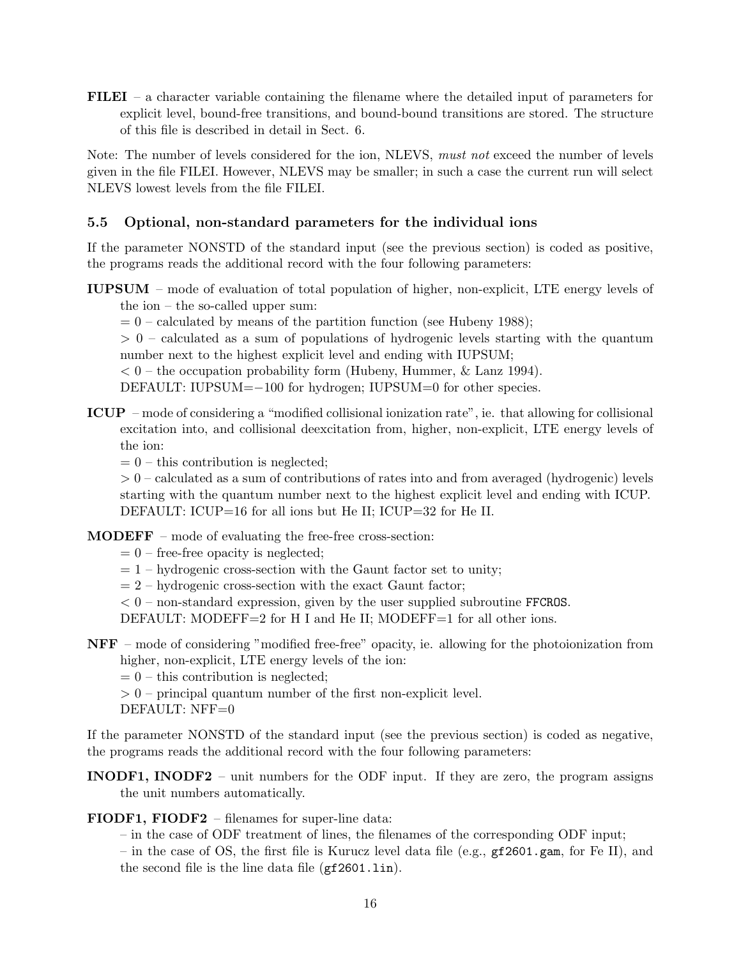FILEI – a character variable containing the filename where the detailed input of parameters for explicit level, bound-free transitions, and bound-bound transitions are stored. The structure of this file is described in detail in Sect. 6.

Note: The number of levels considered for the ion, NLEVS, must not exceed the number of levels given in the file FILEI. However, NLEVS may be smaller; in such a case the current run will select NLEVS lowest levels from the file FILEI.

## 5.5 Optional, non-standard parameters for the individual ions

If the parameter NONSTD of the standard input (see the previous section) is coded as positive, the programs reads the additional record with the four following parameters:

IUPSUM – mode of evaluation of total population of higher, non-explicit, LTE energy levels of

the ion – the so-called upper sum:

 $= 0$  – calculated by means of the partition function (see Hubeny 1988);

> 0 – calculated as a sum of populations of hydrogenic levels starting with the quantum number next to the highest explicit level and ending with IUPSUM;

 $< 0$  – the occupation probability form (Hubeny, Hummer, & Lanz 1994).

DEFAULT: IUPSUM=−100 for hydrogen; IUPSUM=0 for other species.

- ICUP mode of considering a "modified collisional ionization rate", ie. that allowing for collisional excitation into, and collisional deexcitation from, higher, non-explicit, LTE energy levels of the ion:
	- $= 0$  this contribution is neglected;

 $> 0$  – calculated as a sum of contributions of rates into and from averaged (hydrogenic) levels starting with the quantum number next to the highest explicit level and ending with ICUP. DEFAULT: ICUP=16 for all ions but He II; ICUP=32 for He II.

MODEFF – mode of evaluating the free-free cross-section:

- $= 0$  free-free opacity is neglected;
- $= 1$  hydrogenic cross-section with the Gaunt factor set to unity;
- $= 2$  hydrogenic cross-section with the exact Gaunt factor;
- $< 0$  non-standard expression, given by the user supplied subroutine FFCROS.

DEFAULT: MODEFF=2 for H I and He II; MODEFF=1 for all other ions.

NFF – mode of considering "modified free-free" opacity, ie. allowing for the photoionization from higher, non-explicit, LTE energy levels of the ion:

 $= 0$  – this contribution is neglected;

 $> 0$  – principal quantum number of the first non-explicit level.

DEFAULT: NFF=0

If the parameter NONSTD of the standard input (see the previous section) is coded as negative, the programs reads the additional record with the four following parameters:

INODF1, INODF2 – unit numbers for the ODF input. If they are zero, the program assigns the unit numbers automatically.

FIODF1, FIODF2 – filenames for super-line data:

– in the case of ODF treatment of lines, the filenames of the corresponding ODF input;

– in the case of OS, the first file is Kurucz level data file (e.g., gf2601.gam, for Fe II), and the second file is the line data file  $(gf2601.1in)$ .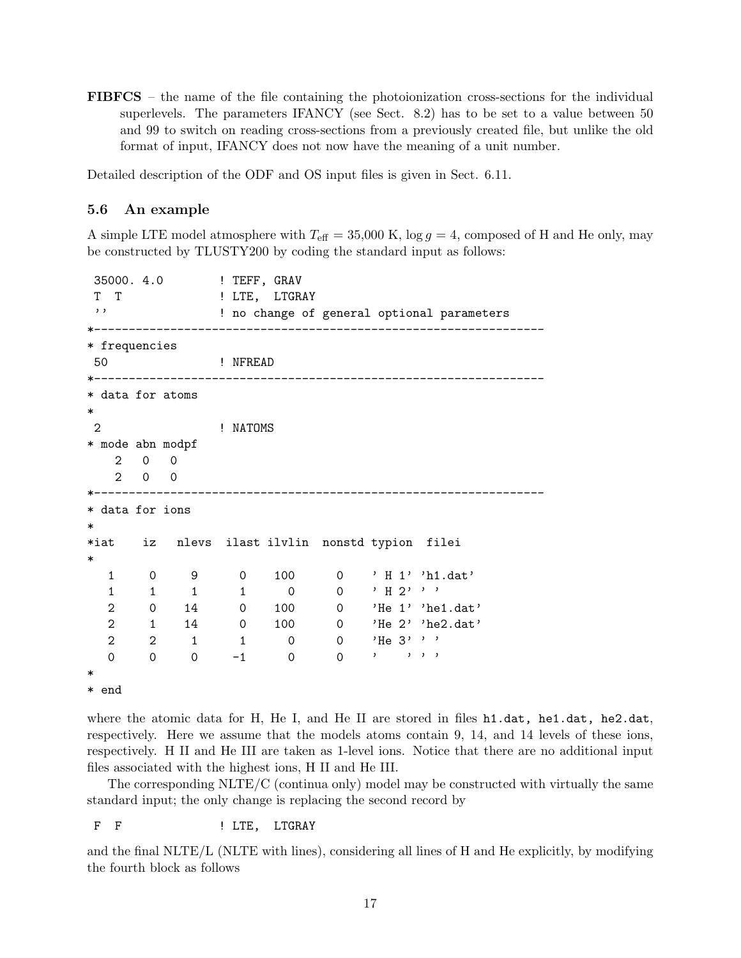FIBFCS – the name of the file containing the photoionization cross-sections for the individual superlevels. The parameters IFANCY (see Sect. 8.2) has to be set to a value between 50 and 99 to switch on reading cross-sections from a previously created file, but unlike the old format of input, IFANCY does not now have the meaning of a unit number.

Detailed description of the ODF and OS input files is given in Sect. 6.11.

#### 5.6 An example

A simple LTE model atmosphere with  $T_{\text{eff}} = 35,000 \text{ K}$ ,  $\log g = 4$ , composed of H and He only, may be constructed by TLUSTY200 by coding the standard input as follows:

```
35000. 4.0 ! TEFF, GRAV
T T T ! LTE, LTGRAY
'' ! no change of general optional parameters
*-----------------------------------------------------------------
* frequencies
50 ! NFREAD
*-----------------------------------------------------------------
* data for atoms
*
2 ! NATOMS
* mode abn modpf
   2 0 0
  2 0 0
*-----------------------------------------------------------------
* data for ions
*
*iat iz nlevs ilast ilvlin nonstd typion filei
*
  1 0 9 0 100 0 ' H 1' 'h1.dat'
  1 \quad 1 \quad 1 \quad 1 \quad 0 \quad 0 \quad 'H 2' '2 0 14 0 100 0 'He 1' 'he1.dat'
  2 1 14 0 100 0 'He 2' 'he2.dat'
  2 2 1 1 0 0 'He 3' ''
  0 0 0 -1 0 0 ' ' ' '
*
```
\* end

where the atomic data for H, He I, and He II are stored in files h1.dat, he1.dat, he2.dat, respectively. Here we assume that the models atoms contain 9, 14, and 14 levels of these ions, respectively. H II and He III are taken as 1-level ions. Notice that there are no additional input files associated with the highest ions, H II and He III.

The corresponding NLTE/C (continua only) model may be constructed with virtually the same standard input; the only change is replacing the second record by

F F : ITE, LTGRAY

and the final NLTE/L (NLTE with lines), considering all lines of H and He explicitly, by modifying the fourth block as follows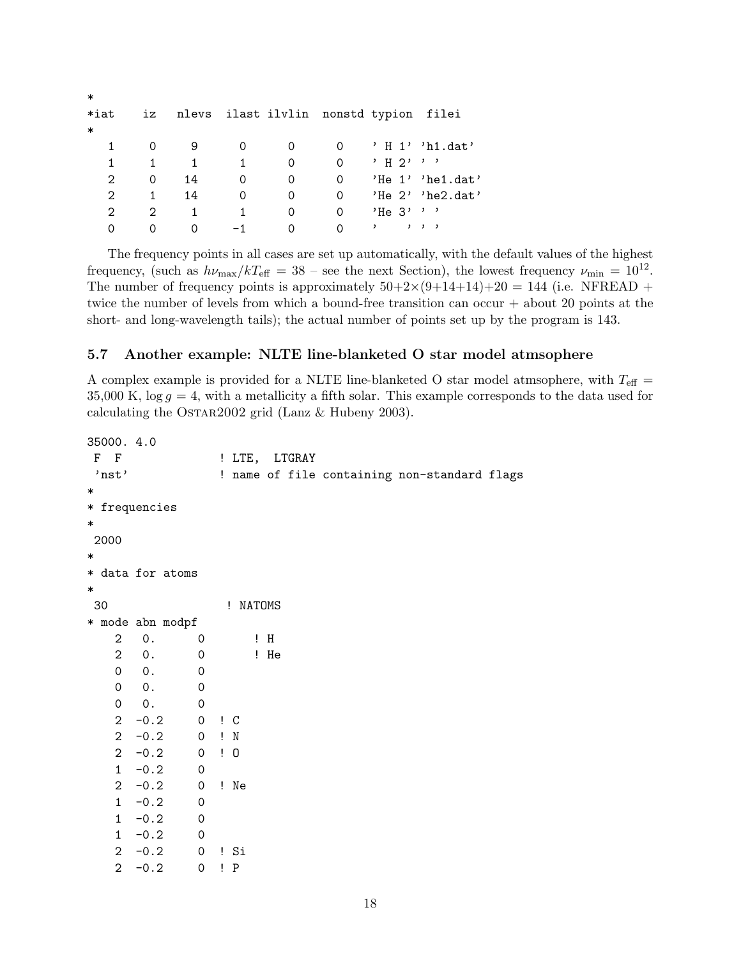| $\ast$  |                             |    |    |                                        |          |              |                       |
|---------|-----------------------------|----|----|----------------------------------------|----------|--------------|-----------------------|
| $*$ iat | iz                          |    |    | nlevs ilast ilvlin nonstd typion filei |          |              |                       |
| $\ast$  |                             |    |    |                                        |          |              |                       |
| 1       |                             | 9  |    | 0                                      | $\Omega$ |              | 'H 1''h1.dat'         |
| 1       | 1                           | 1  | 1. | 0                                      | $\Omega$ | י י י ק H י  |                       |
| 2       | 0                           | 14 | 0  | 0                                      | 0        |              | $'He 1'$ 'hel.dat'    |
| 2       | 1                           | 14 | 0  | 0                                      | 0        |              | 'He $2'$ 'he $2$ dat' |
| 2       | $\mathcal{D}_{\mathcal{L}}$ |    |    | 0                                      | $\Omega$ | $'He$ 3' ''  |                       |
| 0       | Ω                           | O  |    |                                        | $\Omega$ | , , , ,<br>, |                       |

The frequency points in all cases are set up automatically, with the default values of the highest frequency, (such as  $h\nu_{\text{max}}/kT_{\text{eff}} = 38$  – see the next Section), the lowest frequency  $\nu_{\text{min}} = 10^{12}$ . The number of frequency points is approximately  $50+2\times(9+14+14)+20 = 144$  (i.e. NFREAD + twice the number of levels from which a bound-free transition can occur + about 20 points at the short- and long-wavelength tails); the actual number of points set up by the program is 143.

## 5.7 Another example: NLTE line-blanketed O star model atmsophere

A complex example is provided for a NLTE line-blanketed O star model atmsophere, with  $T_{\text{eff}} =$ 35,000 K,  $\log g = 4$ , with a metallicity a fifth solar. This example corresponds to the data used for calculating the Ostar2002 grid (Lanz & Hubeny 2003).

```
35000. 4.0
F F : LTE, LTGRAY
'nst' ... ... ... ! name of file containing non-standard flags
*
* frequencies
*
2000
*
* data for atoms
*
30 ! NATOMS
* mode abn modpf
  2 0. 0 ! H
  2 0. 0 ! He
  0 0. 0
  0 0. 0
  0 0. 0
  2 -0.2 0 ! C
  2 -0.2 0 ! N
  2 -0.2 0 ! O
  1 -0.2 02 -0.2 0 ! Ne
  1 -0.2 01 -0.2 01 -0.2 02 -0.2 0 ! Si
```
2 -0.2 0 ! P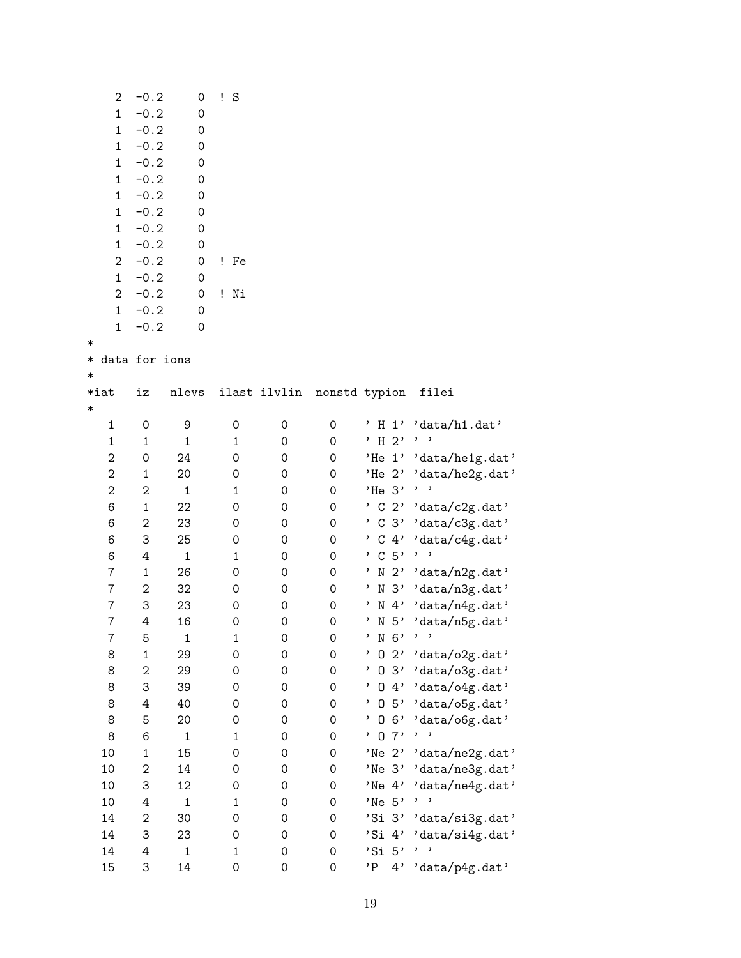| 2               | $-0.2$           | 0            | Ţ.<br>$\rm S$       |              |                     |                           |                                   |
|-----------------|------------------|--------------|---------------------|--------------|---------------------|---------------------------|-----------------------------------|
| $\mathbf{1}$    | $-0.2$           | 0            |                     |              |                     |                           |                                   |
| $\mathbf 1$     | $-0.2$           | 0            |                     |              |                     |                           |                                   |
| $\mathbf{1}$    | $-0.2$           | 0            |                     |              |                     |                           |                                   |
| $\mathbf{1}$    | $-0.2$           | 0            |                     |              |                     |                           |                                   |
| $\mathbf{1}$    | $-0.2$           | 0            |                     |              |                     |                           |                                   |
| $\mathbf{1}$    | $-0.2$           | 0            |                     |              |                     |                           |                                   |
| $\mathbf{1}$    | $-0.2$           | 0            |                     |              |                     |                           |                                   |
| $\mathbf{1}$    | $-0.2$           |              |                     |              |                     |                           |                                   |
|                 |                  | 0            |                     |              |                     |                           |                                   |
| $\mathbf{1}$    | $-0.2$           | 0            |                     |              |                     |                           |                                   |
| 2               | $-0.2$           | 0            | ! Fe                |              |                     |                           |                                   |
| $\mathbf{1}$    | $-0.2$           | 0            |                     |              |                     |                           |                                   |
| $\overline{2}$  | $-0.2$           | 0            | ! Ni                |              |                     |                           |                                   |
| $\mathbf{1}$    | $-0.2$           | 0            |                     |              |                     |                           |                                   |
| $\mathbf{1}$    | $-0.2$           | 0            |                     |              |                     |                           |                                   |
| ∗               |                  |              |                     |              |                     |                           |                                   |
| * data for ions |                  |              |                     |              |                     |                           |                                   |
| *               |                  |              |                     |              |                     |                           |                                   |
| $*$ iat         | iz               | nlevs        |                     | ilast ilvlin |                     | nonstd typion             | filei                             |
| $\ast$          |                  |              |                     |              |                     |                           |                                   |
| $\mathbf 1$     | $\mathbf 0$      | 9            | 0                   | 0            | $\mathsf{O}\xspace$ |                           | 'H 1' 'data/h1.dat'               |
| $\mathbf 1$     | 1                | $\mathbf 1$  | $\mathbf 1$         | 0            | 0                   | $'$ H 2'                  | $, \, \, \,$                      |
| 2               | $\mathbf 0$      | 24           | $\mathsf{O}\xspace$ | 0            | 0                   | 'He 1'                    | 'data/he1g.dat'                   |
| $\overline{c}$  | $\mathbf 1$      | 20           | $\mathsf{O}\xspace$ | 0            | 0                   | $'He$ 2'                  | 'data/he2g.dat'                   |
| $\overline{2}$  | $\boldsymbol{2}$ | $\mathbf 1$  | $\mathbf 1$         | 0            | 0                   | $'He$ 3'                  | $\mathbf{z}$<br>,                 |
| 6               | $\mathbf{1}$     | 22           | 0                   | 0            | 0                   | $^{\prime}$ C 2'          | 'data/c2g.dat'                    |
| 6               | 2                | 23           | 0                   | 0            | 0                   | $C_3'$<br>$\mathbf{r}$    | 'data/c3g.dat'                    |
| 6               | 3                |              |                     |              | 0                   | $^{\prime}$ C 4'          |                                   |
|                 |                  | 25           | $\mathsf{O}\xspace$ | 0            |                     |                           | 'data/c4g.dat'<br>$, \, \, \cdot$ |
| 6               | 4                | $\mathbf 1$  | $\mathbf 1$         | 0            | 0                   | , C 5,                    |                                   |
| $\overline{7}$  | $\mathbf{1}$     | 26           | $\mathsf{O}\xspace$ | 0            | 0                   | N <sub>2</sub><br>,       | 'data/n2g.dat'                    |
| 7               | $\boldsymbol{2}$ | 32           | 0                   | 0            | 0                   | N <sub>3</sub><br>$\cdot$ | 'data/n3g.dat'                    |
| 7               | 3                | 23           | $\mathsf{O}\xspace$ | 0            | 0                   | $N4$ ,<br><sup>,</sup>    | $' {\tt data/n4g.dat'}$           |
| 7               | 4                | 16           | 0                   | 0            | 0                   | $N5$ ,<br>$\mathbf{z}$    | 'data/n5g.dat'                    |
| Ϊ               | 5                | 1            | 1                   | 0            | 0                   | N 6'                      |                                   |
| 8               | 1                | 29           | $\mathsf{O}\xspace$ | 0            | 0                   | 2,<br>0                   | 'data/o2g.dat'                    |
| 8               | $\overline{c}$   | 29           | $\mathsf{O}\xspace$ | 0            | 0                   | 0<br>3'                   | 'data/o3g.dat'                    |
| 8               | 3                | 39           | $\mathsf{O}\xspace$ | 0            | 0                   | 4'<br>0<br>,              | $'$ data/o4g.dat'                 |
| 8               | 4                | 40           | 0                   | 0            | 0                   | 0<br>5'                   | 'data/o5g.dat'                    |
| 8               | 5                | 20           | 0                   | 0            | 0                   | 6'<br>0                   | 'data/o6g.dat'                    |
| 8               | 6                | $\mathbf{1}$ | $\mathbf 1$         | 0            | 0                   | 7'<br>0                   | ,<br>,                            |
| 10              | 1                | 15           | $\mathsf{O}\xspace$ | 0            | 0                   | 'Ne $2'$                  | 'data/ne2g.dat'                   |
| 10              | $\boldsymbol{2}$ | 14           | $\mathsf{O}\xspace$ | 0            | 0                   | 'Ne <sub>3'</sub>         | 'data/ne3g.dat'                   |
| 10              | 3                | 12           | $\mathsf{O}\xspace$ | 0            | 0                   | 'Ne $4'$                  | 'data/ne4g.dat'                   |
| 10              | 4                | $\mathbf{1}$ | $\mathbf 1$         | 0            | 0                   | 'Ne <sub>5'</sub>         | $, \, \, \cdot$                   |
| 14              | 2                | 30           | 0                   | 0            | 0                   | 'Si 3'                    | 'data/si3g.dat'                   |
| 14              | 3                | 23           | 0                   | 0            | 0                   | 'Si 4'                    | 'data/si4g.dat'                   |
| 14              | 4                |              |                     |              | 0                   | 'Si 5'                    | ,<br>$\overline{\phantom{a}}$     |
|                 |                  | $\mathbf 1$  | $\mathbf{1}$        | 0            |                     |                           |                                   |
| 15              | 3                | 14           | 0                   | 0            | 0                   | 'P<br>4'                  | 'data/p4g.dat'                    |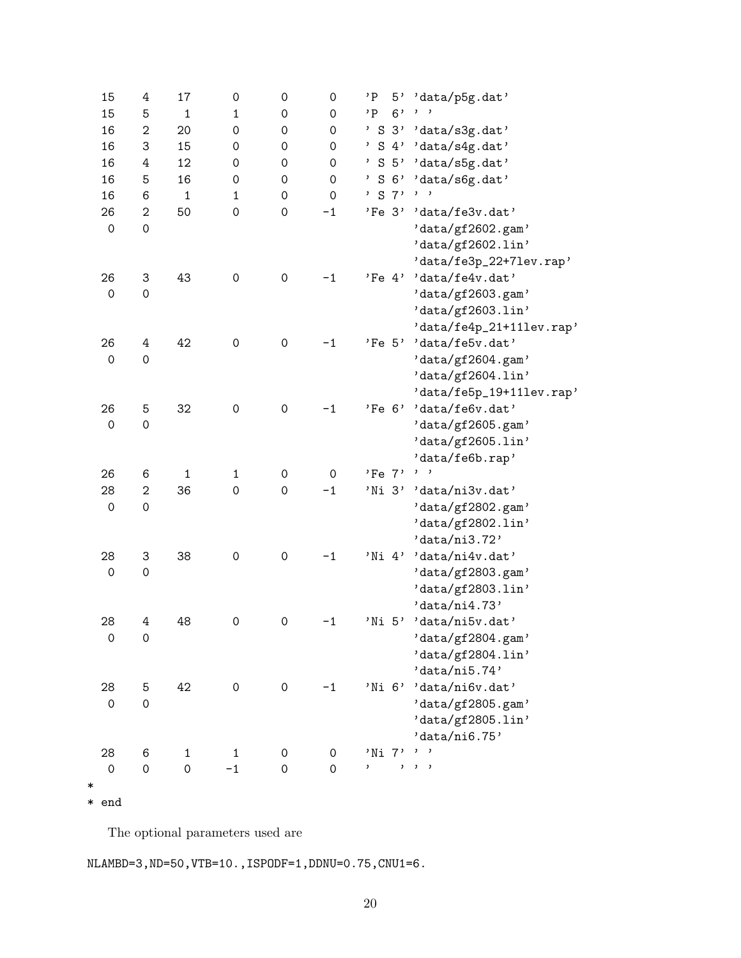| 15                  | 4                   | 17           | 0            | 0                   | 0                   | 'Ρ                  | 5' 'data/p5g.dat'        |
|---------------------|---------------------|--------------|--------------|---------------------|---------------------|---------------------|--------------------------|
| 15                  | 5                   | $\mathbf{1}$ | $\mathbf{1}$ | 0                   | 0                   | 6'<br>$^{\prime}$ P |                          |
| 16                  | $\sqrt{2}$          | 20           | 0            | 0                   | $\mathsf{O}\xspace$ |                     | ' S 3' 'data/s3g.dat'    |
| 16                  | 3                   | 15           | 0            | 0                   | 0                   |                     | ' S 4' 'data/s4g.dat'    |
| 16                  | 4                   | 12           | 0            | 0                   | 0                   |                     | ' S 5' 'data/s5g.dat'    |
| 16                  | 5                   | 16           | 0            | 0                   | $\mathsf{O}\xspace$ | $'$ S $6'$          | 'data/s6g.dat'           |
| 16                  | 6                   | $\mathbf{1}$ | $\mathbf{1}$ | $\mathsf{O}\xspace$ | $\mathsf{O}\xspace$ | ' S 7'              | $, \, \, \cdot$          |
| 26                  | $\overline{2}$      | 50           | 0            | $\mbox{O}$          | $-1$                |                     | 'Fe 3' 'data/fe3v.dat'   |
| $\mbox{O}$          | $\mathsf{O}\xspace$ |              |              |                     |                     |                     | 'data/gf2602.gam'        |
|                     |                     |              |              |                     |                     |                     | 'data/gf2602.lin'        |
|                     |                     |              |              |                     |                     |                     | 'data/fe3p_22+71ev.rap'  |
| 26                  | 3                   | 43           | 0            | $\mbox{O}$          | $-1$                | $'Fe$ 4'            | 'data/fe4v.dat'          |
| $\mathsf{O}\xspace$ | $\mathsf{O}\xspace$ |              |              |                     |                     |                     | 'data/gf2603.gam'        |
|                     |                     |              |              |                     |                     |                     | 'data/gf2603.lin'        |
|                     |                     |              |              |                     |                     |                     | 'data/fe4p_21+111ev.rap' |
| 26                  | 4                   | 42           | 0            | $\mathsf{O}\xspace$ | $-1$                | 'Fe 5'              | 'data/fe5v.dat'          |
| $\mbox{O}$          | $\mathsf{O}\xspace$ |              |              |                     |                     |                     | 'data/gf2604.gam'        |
|                     |                     |              |              |                     |                     |                     | 'data/gf2604.lin'        |
|                     |                     |              |              |                     |                     |                     | 'data/fe5p_19+111ev.rap' |
| 26                  | 5                   | 32           | 0            | $\mathsf{O}\xspace$ | $-1$                |                     | 'Fe 6' 'data/fe6v.dat'   |
| $\mathsf{O}\xspace$ | $\mathsf{O}\xspace$ |              |              |                     |                     |                     | 'data/gf2605.gam'        |
|                     |                     |              |              |                     |                     |                     | 'data/gf2605.lin'        |
|                     |                     |              |              |                     |                     |                     | 'data/fe6b.rap'          |
| 26                  | 6                   | $\mathbf{1}$ | $\mathbf{1}$ | 0                   | $\mathsf{O}\xspace$ | 'Fe 7'              | $, \, \, \cdot$          |
| 28                  | $\overline{2}$      | 36           | 0            | $\mbox{O}$          | $-1$                | 'Ni 3'              | 'data/ni3v.dat'          |
| $\mbox{O}$          | $\mathsf{O}\xspace$ |              |              |                     |                     |                     | 'data/gf2802.gam'        |
|                     |                     |              |              |                     |                     |                     | 'data/gf2802.lin'        |
|                     |                     |              |              |                     |                     |                     | 'data/ni3.72'            |
| 28                  | 3                   | 38           | 0            | $\mbox{O}$          | $-1$                | 'Ni 4'              | 'data/ni4v.dat'          |
| 0                   | $\mathsf{O}\xspace$ |              |              |                     |                     |                     | 'data/gf2803.gam'        |
|                     |                     |              |              |                     |                     |                     | 'data/gf2803.lin'        |
|                     |                     |              |              |                     |                     |                     | 'data/ni4.73'            |
| 28                  | 4                   | 48           | 0            | $\mathsf{O}\xspace$ | $-1$                | 'Ni 5'              | 'data/ni5v.dat'          |
| 0                   | $\mathsf{O}\xspace$ |              |              |                     |                     |                     | 'data/gf2804.gam'        |
|                     |                     |              |              |                     |                     |                     | 'data/gf2804.lin'        |
|                     |                     |              |              |                     |                     |                     | 'data/ni5.74'            |
| 28                  | 5                   | 42           | 0            | 0                   | $-1$                | 'Ni 6'              | 'data/ni6v.dat'          |
| $\mathsf{O}\xspace$ | $\mathsf{O}\xspace$ |              |              |                     |                     |                     | 'data/gf2805.gam'        |
|                     |                     |              |              |                     |                     |                     | 'data/gf2805.lin'        |
|                     |                     |              |              |                     |                     |                     | 'data/ni6.75'            |
| 28                  | 6                   | $\mathbf{1}$ | 1            | 0                   | 0                   | 'Ni 7'              | ,                        |
| 0                   | $\mathbf 0$         | $\mathbf 0$  | $-1$         | 0                   | $\mathbf 0$         | ,<br>,              | $, \, \, \cdot$          |
| ∗                   |                     |              |              |                     |                     |                     |                          |
|                     |                     |              |              |                     |                     |                     |                          |

\* end

The optional parameters used are

NLAMBD=3,ND=50,VTB=10.,ISPODF=1,DDNU=0.75,CNU1=6.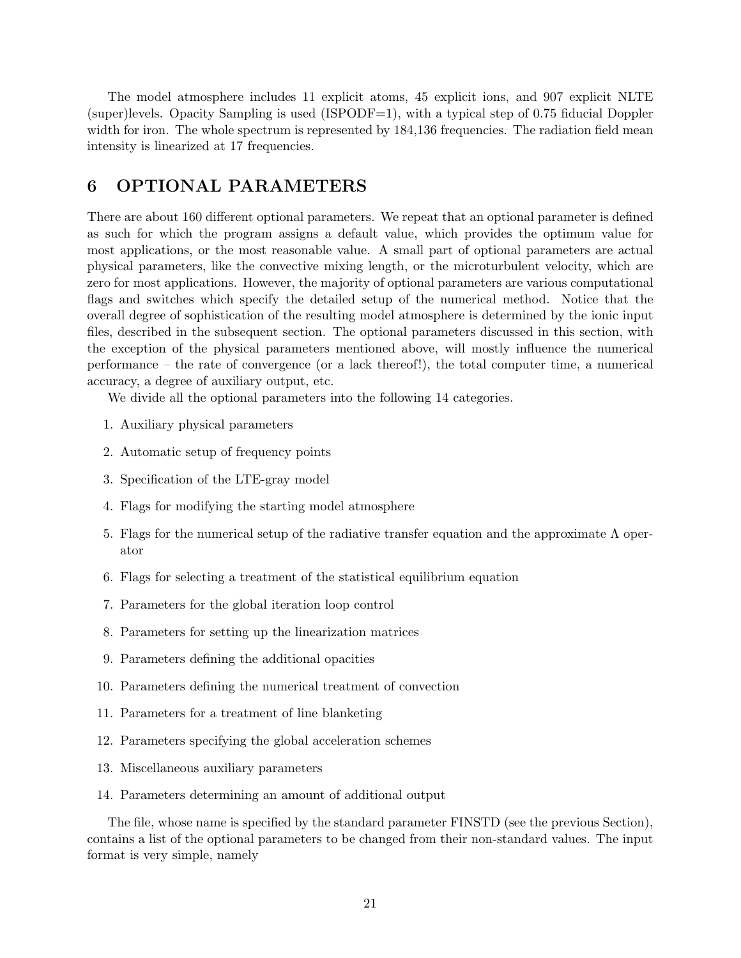The model atmosphere includes 11 explicit atoms, 45 explicit ions, and 907 explicit NLTE (super)levels. Opacity Sampling is used (ISPODF=1), with a typical step of 0.75 fiducial Doppler width for iron. The whole spectrum is represented by  $184,136$  frequencies. The radiation field mean intensity is linearized at 17 frequencies.

## 6 OPTIONAL PARAMETERS

There are about 160 different optional parameters. We repeat that an optional parameter is defined as such for which the program assigns a default value, which provides the optimum value for most applications, or the most reasonable value. A small part of optional parameters are actual physical parameters, like the convective mixing length, or the microturbulent velocity, which are zero for most applications. However, the majority of optional parameters are various computational flags and switches which specify the detailed setup of the numerical method. Notice that the overall degree of sophistication of the resulting model atmosphere is determined by the ionic input files, described in the subsequent section. The optional parameters discussed in this section, with the exception of the physical parameters mentioned above, will mostly influence the numerical performance – the rate of convergence (or a lack thereof!), the total computer time, a numerical accuracy, a degree of auxiliary output, etc.

We divide all the optional parameters into the following 14 categories.

- 1. Auxiliary physical parameters
- 2. Automatic setup of frequency points
- 3. Specification of the LTE-gray model
- 4. Flags for modifying the starting model atmosphere
- 5. Flags for the numerical setup of the radiative transfer equation and the approximate Λ operator
- 6. Flags for selecting a treatment of the statistical equilibrium equation
- 7. Parameters for the global iteration loop control
- 8. Parameters for setting up the linearization matrices
- 9. Parameters defining the additional opacities
- 10. Parameters defining the numerical treatment of convection
- 11. Parameters for a treatment of line blanketing
- 12. Parameters specifying the global acceleration schemes
- 13. Miscellaneous auxiliary parameters
- 14. Parameters determining an amount of additional output

The file, whose name is specified by the standard parameter FINSTD (see the previous Section), contains a list of the optional parameters to be changed from their non-standard values. The input format is very simple, namely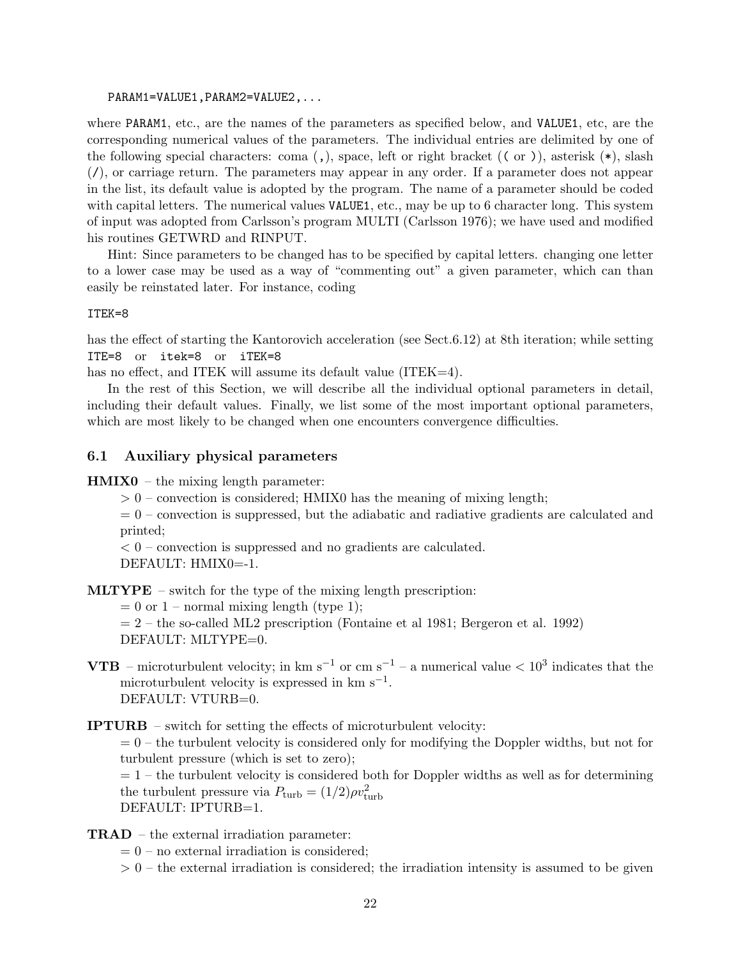PARAM1=VALUE1,PARAM2=VALUE2,...

where PARAM1, etc., are the names of the parameters as specified below, and VALUE1, etc, are the corresponding numerical values of the parameters. The individual entries are delimited by one of the following special characters: coma  $($ , $)$ , space, left or right bracket  $($  ( $)$ ), asterisk  $(*)$ , slash (/), or carriage return. The parameters may appear in any order. If a parameter does not appear in the list, its default value is adopted by the program. The name of a parameter should be coded with capital letters. The numerical values VALUE1, etc., may be up to 6 character long. This system of input was adopted from Carlsson's program MULTI (Carlsson 1976); we have used and modified his routines GETWRD and RINPUT.

Hint: Since parameters to be changed has to be specified by capital letters. changing one letter to a lower case may be used as a way of "commenting out" a given parameter, which can than easily be reinstated later. For instance, coding

#### ITEK=8

has the effect of starting the Kantorovich acceleration (see Sect.6.12) at 8th iteration; while setting ITE=8 or itek=8 or iTEK=8

has no effect, and ITEK will assume its default value (ITEK=4).

In the rest of this Section, we will describe all the individual optional parameters in detail, including their default values. Finally, we list some of the most important optional parameters, which are most likely to be changed when one encounters convergence difficulties.

### 6.1 Auxiliary physical parameters

 $HMIX0 - the mixing length parameter:$ 

 $> 0$  – convection is considered; HMIX0 has the meaning of mixing length;

 $= 0$  – convection is suppressed, but the adiabatic and radiative gradients are calculated and printed;

 $< 0$  – convection is suppressed and no gradients are calculated.

DEFAULT: HMIX0=-1.

MLTYPE – switch for the type of the mixing length prescription:

 $= 0$  or  $1$  – normal mixing length (type 1);

- $= 2$  the so-called ML2 prescription (Fontaine et al 1981; Bergeron et al. 1992) DEFAULT: MLTYPE=0.
- **VTB** microturbulent velocity; in km s<sup>-1</sup> or cm s<sup>-1</sup> a numerical value  $\lt 10^3$  indicates that the microturbulent velocity is expressed in  $km s^{-1}$ . DEFAULT: VTURB=0.
- IPTURB switch for setting the effects of microturbulent velocity:  $= 0$  – the turbulent velocity is considered only for modifying the Doppler widths, but not for turbulent pressure (which is set to zero);  $= 1$  – the turbulent velocity is considered both for Doppler widths as well as for determining the turbulent pressure via  $P_{\text{turb}} = (1/2)\rho v_{\text{turb}}^2$ DEFAULT: IPTURB=1.
- TRAD the external irradiation parameter:
	- $= 0$  no external irradiation is considered;
	- $> 0$  the external irradiation is considered; the irradiation intensity is assumed to be given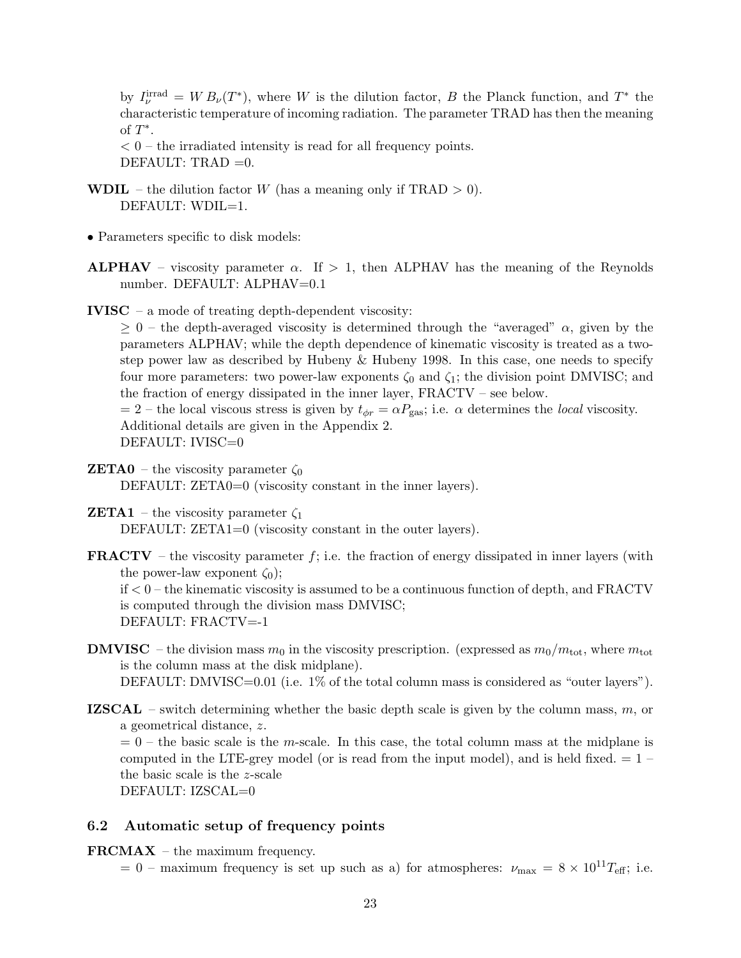by  $I_{\nu}^{\text{irrad}} = W B_{\nu}(T^*)$ , where W is the dilution factor, B the Planck function, and  $T^*$  the characteristic temperature of incoming radiation. The parameter TRAD has then the meaning of  $T^*$ .

 $< 0$  – the irradiated intensity is read for all frequency points. DEFAULT: TRAD  $=0$ .

- **WDIL** the dilution factor W (has a meaning only if  $\text{TRAD} > 0$ ). DEFAULT: WDIL=1.
- Parameters specific to disk models:
- **ALPHAV** viscosity parameter  $\alpha$ . If  $> 1$ , then ALPHAV has the meaning of the Reynolds number. DEFAULT: ALPHAV=0.1
- IVISC a mode of treating depth-dependent viscosity:

 $\geq 0$  – the depth-averaged viscosity is determined through the "averaged"  $\alpha$ , given by the parameters ALPHAV; while the depth dependence of kinematic viscosity is treated as a twostep power law as described by Hubeny & Hubeny 1998. In this case, one needs to specify four more parameters: two power-law exponents  $\zeta_0$  and  $\zeta_1$ ; the division point DMVISC; and the fraction of energy dissipated in the inner layer, FRACTV – see below.

 $= 2$  – the local viscous stress is given by  $t_{\phi r} = \alpha P_{\text{gas}}$ ; i.e.  $\alpha$  determines the *local* viscosity. Additional details are given in the Appendix 2. DEFAULT: IVISC=0

- **ZETA0** the viscosity parameter  $\zeta_0$ DEFAULT: ZETA0=0 (viscosity constant in the inner layers).
- **ZETA1** the viscosity parameter  $\zeta_1$ DEFAULT:  $ZETA1=0$  (viscosity constant in the outer layers).

**FRACTV** – the viscosity parameter  $f$ ; i.e. the fraction of energy dissipated in inner layers (with the power-law exponent  $\zeta_0$ ; if < 0 – the kinematic viscosity is assumed to be a continuous function of depth, and FRACTV is computed through the division mass DMVISC; DEFAULT: FRACTV=-1

- **DMVISC** the division mass  $m_0$  in the viscosity prescription. (expressed as  $m_0/m_{\text{tot}}$ , where  $m_{\text{tot}}$ is the column mass at the disk midplane). DEFAULT: DMVISC=0.01 (i.e. 1% of the total column mass is considered as "outer layers").
- **IZSCAL** switch determining whether the basic depth scale is given by the column mass,  $m$ , or a geometrical distance, z.

 $= 0$  – the basic scale is the m-scale. In this case, the total column mass at the midplane is computed in the LTE-grey model (or is read from the input model), and is held fixed.  $= 1$ the basic scale is the z-scale DEFAULT: IZSCAL=0

## 6.2 Automatic setup of frequency points

FRCMAX – the maximum frequency.

 $= 0$  – maximum frequency is set up such as a) for atmospheres:  $\nu_{\text{max}} = 8 \times 10^{11} T_{\text{eff}}$ ; i.e.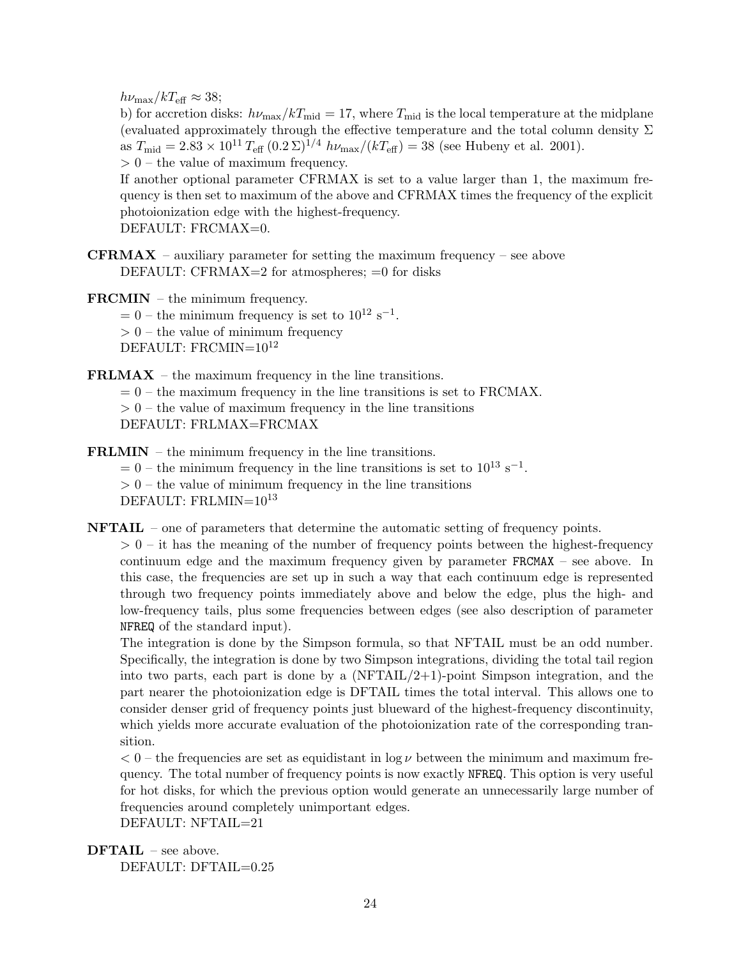$h\nu_{\text{max}}/kT_{\text{eff}} \approx 38;$ 

b) for accretion disks:  $h\nu_{\text{max}}/kT_{\text{mid}} = 17$ , where  $T_{\text{mid}}$  is the local temperature at the midplane (evaluated approximately through the effective temperature and the total column density  $\Sigma$ as  $T_{\text{mid}} = 2.83 \times 10^{11} T_{\text{eff}} (0.2 \,\Sigma)^{1/4} h\nu_{\text{max}}/(kT_{\text{eff}}) = 38$  (see Hubeny et al. 2001).

 $> 0$  – the value of maximum frequency.

If another optional parameter CFRMAX is set to a value larger than 1, the maximum frequency is then set to maximum of the above and CFRMAX times the frequency of the explicit photoionization edge with the highest-frequency. DEFAULT: FRCMAX=0.

- **CFRMAX** auxiliary parameter for setting the maximum frequency see above DEFAULT: CFRMAX=2 for atmospheres;  $=0$  for disks
- FRCMIN the minimum frequency.  $= 0$  – the minimum frequency is set to  $10^{12}$  s<sup>-1</sup>.  $> 0$  – the value of minimum frequency DEFAULT: FRCMIN= $10^{12}$

FRLMAX – the maximum frequency in the line transitions.

 $= 0$  – the maximum frequency in the line transitions is set to FRCMAX.

 $> 0$  – the value of maximum frequency in the line transitions

DEFAULT: FRLMAX=FRCMAX

FRLMIN – the minimum frequency in the line transitions.

 $= 0$  – the minimum frequency in the line transitions is set to  $10^{13}$  s<sup>-1</sup>.  $> 0$  – the value of minimum frequency in the line transitions DEFAULT:  $\text{FRLMIN}=10^{13}$ 

NFTAIL – one of parameters that determine the automatic setting of frequency points.

 $> 0$  – it has the meaning of the number of frequency points between the highest-frequency continuum edge and the maximum frequency given by parameter FRCMAX – see above. In this case, the frequencies are set up in such a way that each continuum edge is represented through two frequency points immediately above and below the edge, plus the high- and low-frequency tails, plus some frequencies between edges (see also description of parameter NFREQ of the standard input).

The integration is done by the Simpson formula, so that NFTAIL must be an odd number. Specifically, the integration is done by two Simpson integrations, dividing the total tail region into two parts, each part is done by a  $(NFTAIL/2+1)$ -point Simpson integration, and the part nearer the photoionization edge is DFTAIL times the total interval. This allows one to consider denser grid of frequency points just blueward of the highest-frequency discontinuity, which yields more accurate evaluation of the photoionization rate of the corresponding transition.

 $< 0$  – the frequencies are set as equidistant in  $\log \nu$  between the minimum and maximum frequency. The total number of frequency points is now exactly NFREQ. This option is very useful for hot disks, for which the previous option would generate an unnecessarily large number of frequencies around completely unimportant edges.

DEFAULT: NFTAIL=21

```
DFTAIL – see above.
    DEFAULT: DFTAIL=0.25
```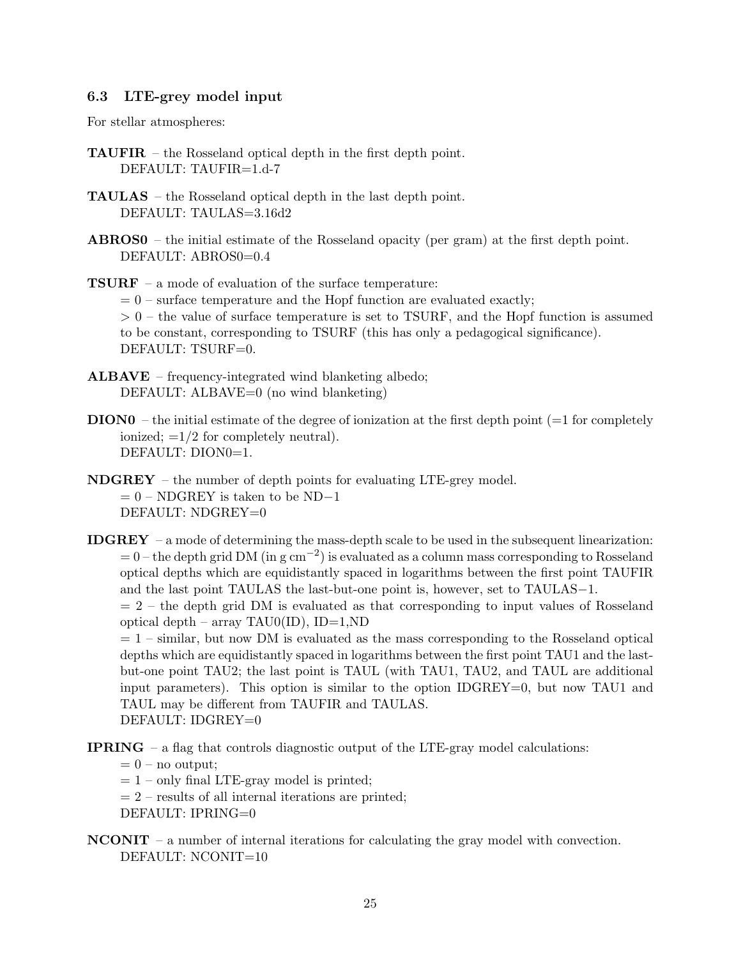## 6.3 LTE-grey model input

For stellar atmospheres:

- TAUFIR the Rosseland optical depth in the first depth point. DEFAULT: TAUFIR=1.d-7
- TAULAS the Rosseland optical depth in the last depth point. DEFAULT: TAULAS=3.16d2
- ABROS0 the initial estimate of the Rosseland opacity (per gram) at the first depth point. DEFAULT: ABROS0=0.4
- TSURF a mode of evaluation of the surface temperature:  $= 0$  – surface temperature and the Hopf function are evaluated exactly;  $> 0$  – the value of surface temperature is set to TSURF, and the Hopf function is assumed to be constant, corresponding to TSURF (this has only a pedagogical significance). DEFAULT: TSURF=0.
- ALBAVE frequency-integrated wind blanketing albedo; DEFAULT: ALBAVE=0 (no wind blanketing)
- $DION0 -$  the initial estimate of the degree of ionization at the first depth point ( $=1$  for completely ionized;  $=1/2$  for completely neutral). DEFAULT: DION0=1.
- NDGREY the number of depth points for evaluating LTE-grey model.  $= 0$  – NDGREY is taken to be ND−1 DEFAULT: NDGREY=0
- IDGREY a mode of determining the mass-depth scale to be used in the subsequent linearization:  $= 0$  – the depth grid DM (in g cm<sup>-2</sup>) is evaluated as a column mass corresponding to Rosseland optical depths which are equidistantly spaced in logarithms between the first point TAUFIR and the last point TAULAS the last-but-one point is, however, set to TAULAS−1.

 $= 2$  – the depth grid DM is evaluated as that corresponding to input values of Rosseland optical depth – array TAU0(ID), ID=1,ND

 $= 1$  – similar, but now DM is evaluated as the mass corresponding to the Rosseland optical depths which are equidistantly spaced in logarithms between the first point TAU1 and the lastbut-one point TAU2; the last point is TAUL (with TAU1, TAU2, and TAUL are additional input parameters). This option is similar to the option IDGREY=0, but now TAU1 and TAUL may be different from TAUFIR and TAULAS. DEFAULT: IDGREY=0

- IPRING a flag that controls diagnostic output of the LTE-gray model calculations:
	- $= 0$  no output;
	- $= 1$  only final LTE-gray model is printed;
	- $= 2$  results of all internal iterations are printed;
	- DEFAULT: IPRING=0
- $NCONT a$  number of internal iterations for calculating the gray model with convection. DEFAULT: NCONIT=10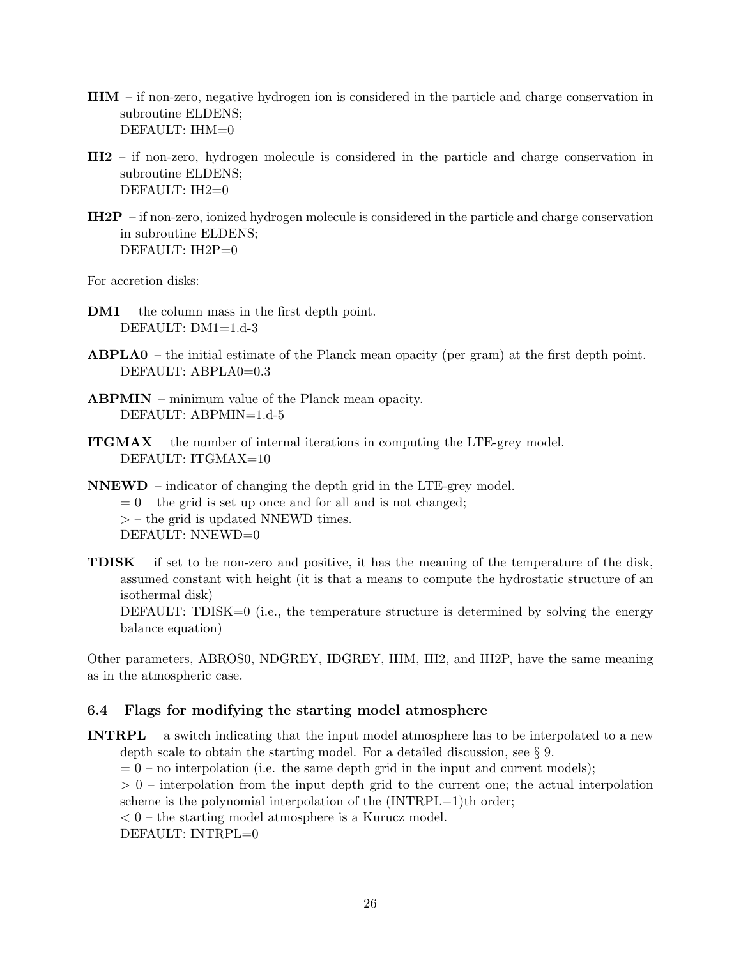- IHM if non-zero, negative hydrogen ion is considered in the particle and charge conservation in subroutine ELDENS; DEFAULT: IHM=0
- IH2 if non-zero, hydrogen molecule is considered in the particle and charge conservation in subroutine ELDENS; DEFAULT: IH2=0
- IH2P if non-zero, ionized hydrogen molecule is considered in the particle and charge conservation in subroutine ELDENS; DEFAULT: IH2P=0

For accretion disks:

- DM1 the column mass in the first depth point. DEFAULT: DM1=1.d-3
- ABPLA0 the initial estimate of the Planck mean opacity (per gram) at the first depth point. DEFAULT: ABPLA0=0.3
- ABPMIN minimum value of the Planck mean opacity. DEFAULT: ABPMIN=1.d-5
- ITGMAX the number of internal iterations in computing the LTE-grey model. DEFAULT: ITGMAX=10
- NNEWD indicator of changing the depth grid in the LTE-grey model.  $= 0$  – the grid is set up once and for all and is not changed; > – the grid is updated NNEWD times. DEFAULT: NNEWD=0
- **TDISK** if set to be non-zero and positive, it has the meaning of the temperature of the disk, assumed constant with height (it is that a means to compute the hydrostatic structure of an isothermal disk) DEFAULT: TDISK=0 (i.e., the temperature structure is determined by solving the energy balance equation)

Other parameters, ABROS0, NDGREY, IDGREY, IHM, IH2, and IH2P, have the same meaning as in the atmospheric case.

## 6.4 Flags for modifying the starting model atmosphere

INTRPL – a switch indicating that the input model atmosphere has to be interpolated to a new depth scale to obtain the starting model. For a detailed discussion, see § 9.

 $= 0$  – no interpolation (i.e. the same depth grid in the input and current models);

 $> 0$  – interpolation from the input depth grid to the current one; the actual interpolation scheme is the polynomial interpolation of the (INTRPL−1)th order;

 $< 0$  – the starting model atmosphere is a Kurucz model.

DEFAULT: INTRPL=0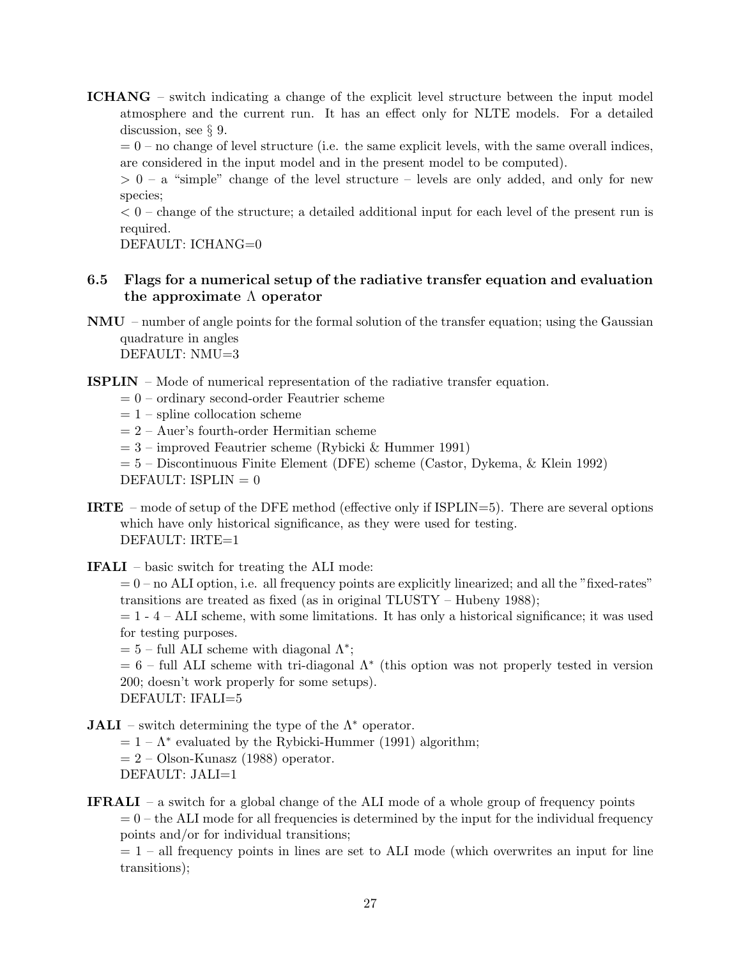ICHANG – switch indicating a change of the explicit level structure between the input model atmosphere and the current run. It has an effect only for NLTE models. For a detailed discussion, see § 9.

 $= 0$  – no change of level structure (i.e. the same explicit levels, with the same overall indices, are considered in the input model and in the present model to be computed).

 $> 0 - a$  "simple" change of the level structure – levels are only added, and only for new species;

 $< 0$  – change of the structure; a detailed additional input for each level of the present run is required.

DEFAULT: ICHANG=0

## 6.5 Flags for a numerical setup of the radiative transfer equation and evaluation the approximate  $\Lambda$  operator

- NMU number of angle points for the formal solution of the transfer equation; using the Gaussian quadrature in angles DEFAULT: NMU=3
- ISPLIN Mode of numerical representation of the radiative transfer equation.
	- $= 0$  ordinary second-order Feautrier scheme
	- $= 1$  spline collocation scheme
	- $= 2 Auer's fourth-order Hermitian scheme$
	- $= 3$  improved Feautrier scheme (Rybicki & Hummer 1991)

= 5 – Discontinuous Finite Element (DFE) scheme (Castor, Dykema, & Klein 1992) DEFAULT:  $ISPLIN = 0$ 

- IRTE mode of setup of the DFE method (effective only if ISPLIN=5). There are several options which have only historical significance, as they were used for testing. DEFAULT: IRTE=1
- IFALI basic switch for treating the ALI mode:
	- $= 0$  no ALI option, i.e. all frequency points are explicitly linearized; and all the "fixed-rates" transitions are treated as fixed (as in original TLUSTY – Hubeny 1988);

 $= 1 - 4 - ALI$  scheme, with some limitations. It has only a historical significance; it was used for testing purposes.

 $= 5$  – full ALI scheme with diagonal  $\Lambda^*$ ;

 $= 6$  – full ALI scheme with tri-diagonal  $\Lambda^*$  (this option was not properly tested in version 200; doesn't work properly for some setups).

DEFAULT: IFALI=5

**JALI** – switch determining the type of the  $\Lambda^*$  operator.

 $= 1 - \Lambda^*$  evaluated by the Rybicki-Hummer (1991) algorithm;

- $= 2 -$ Olson-Kunasz (1988) operator.
- DEFAULT: JALI=1

**IFRALI** – a switch for a global change of the ALI mode of a whole group of frequency points  $= 0$  – the ALI mode for all frequencies is determined by the input for the individual frequency points and/or for individual transitions;

 $= 1$  – all frequency points in lines are set to ALI mode (which overwrites an input for line transitions);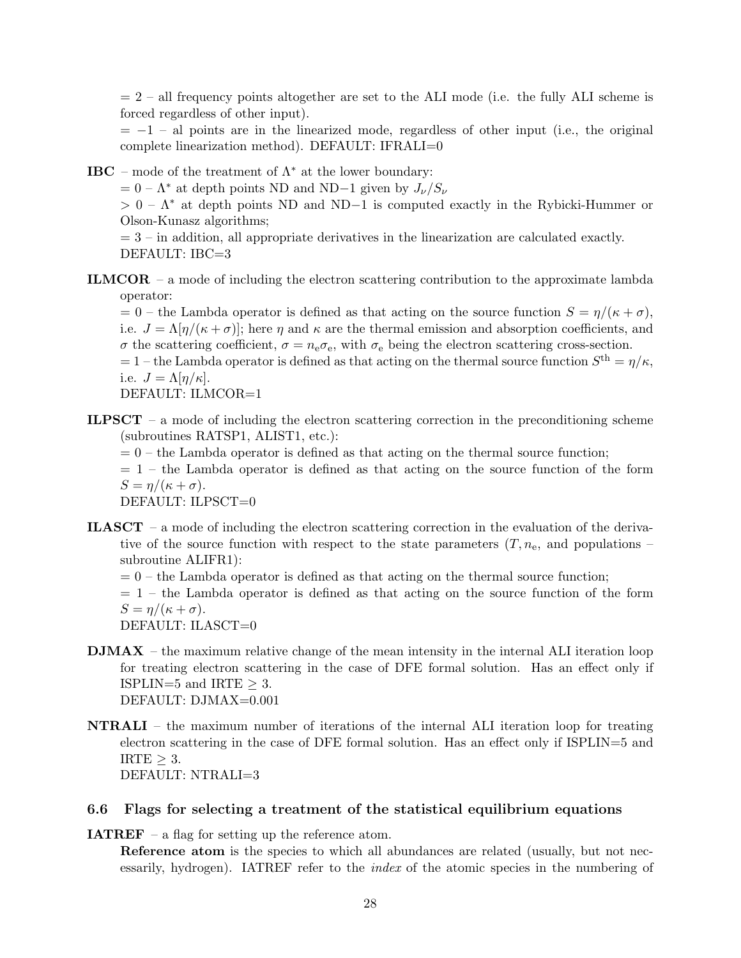$= 2$  – all frequency points altogether are set to the ALI mode (i.e. the fully ALI scheme is forced regardless of other input).

 $= -1$  – al points are in the linearized mode, regardless of other input (i.e., the original complete linearization method). DEFAULT: IFRALI=0

**IBC** – mode of the treatment of  $\Lambda^*$  at the lower boundary:

 $= 0 - \Lambda^*$  at depth points ND and ND−1 given by  $J_{\nu}/S_{\nu}$ 

 $> 0 - \Lambda^*$  at depth points ND and ND-1 is computed exactly in the Rybicki-Hummer or Olson-Kunasz algorithms;

 $= 3$  – in addition, all appropriate derivatives in the linearization are calculated exactly. DEFAULT: IBC=3

ILMCOR – a mode of including the electron scattering contribution to the approximate lambda operator:

 $= 0$  – the Lambda operator is defined as that acting on the source function  $S = \eta/(\kappa + \sigma)$ , i.e.  $J = \Lambda[\eta/(\kappa + \sigma)]$ ; here  $\eta$  and  $\kappa$  are the thermal emission and absorption coefficients, and σ the scattering coefficient,  $σ = n_e σ_e$ , with  $σ_e$  being the electron scattering cross-section.  $= 1$  – the Lambda operator is defined as that acting on the thermal source function  $S<sup>th</sup> = \eta/\kappa$ , i.e.  $J = \Lambda[\eta/\kappa]$ .

DEFAULT: ILMCOR=1

- **ILPSCT** a mode of including the electron scattering correction in the preconditioning scheme (subroutines RATSP1, ALIST1, etc.):
	- $= 0$  the Lambda operator is defined as that acting on the thermal source function;
	- $= 1$  the Lambda operator is defined as that acting on the source function of the form  $S = \eta/(\kappa + \sigma).$

DEFAULT: ILPSCT=0

- ILASCT a mode of including the electron scattering correction in the evaluation of the derivative of the source function with respect to the state parameters  $(T, n_e)$ , and populations – subroutine ALIFR1):
	- $= 0$  the Lambda operator is defined as that acting on the thermal source function;
	- $= 1$  the Lambda operator is defined as that acting on the source function of the form  $S = \frac{\eta}{\kappa + \sigma}$ .

DEFAULT: ILASCT=0

- $\textbf{DMAX}$  the maximum relative change of the mean intensity in the internal ALI iteration loop for treating electron scattering in the case of DFE formal solution. Has an effect only if ISPLIN=5 and IRTE  $\geq$  3. DEFAULT: DJMAX=0.001
- NTRALI the maximum number of iterations of the internal ALI iteration loop for treating electron scattering in the case of DFE formal solution. Has an effect only if ISPLIN=5 and IRTE  $\geq$  3. DEFAULT: NTRALI=3

#### 6.6 Flags for selecting a treatment of the statistical equilibrium equations

**IATREF** – a flag for setting up the reference atom.

Reference atom is the species to which all abundances are related (usually, but not necessarily, hydrogen). IATREF refer to the index of the atomic species in the numbering of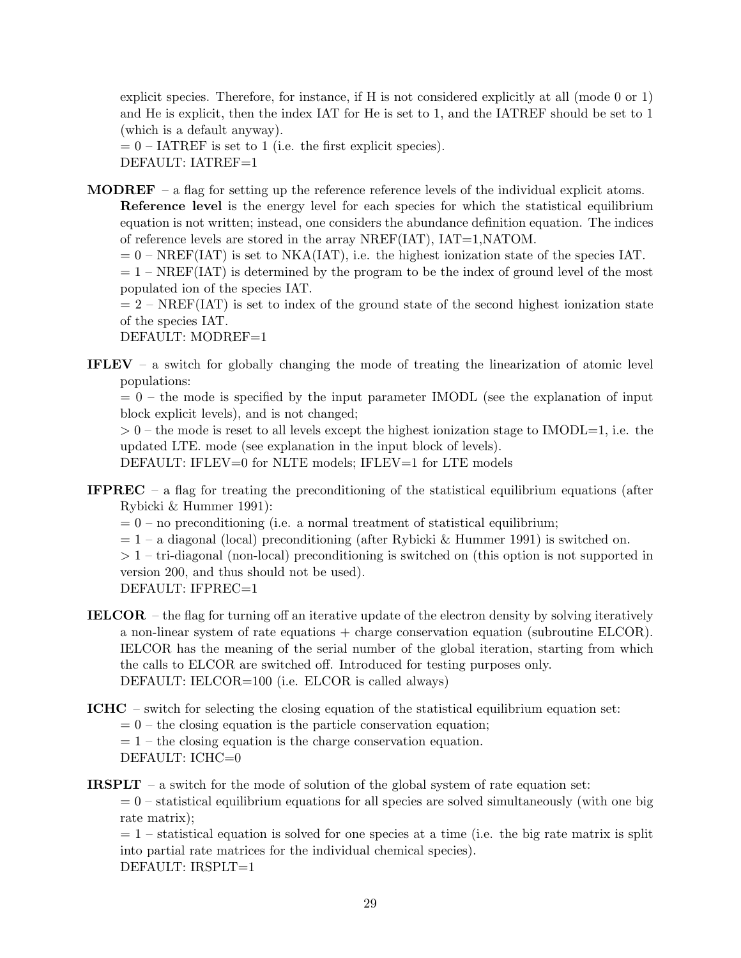explicit species. Therefore, for instance, if H is not considered explicitly at all (mode 0 or 1) and He is explicit, then the index IAT for He is set to 1, and the IATREF should be set to 1 (which is a default anyway).

 $= 0$  – IATREF is set to 1 (i.e. the first explicit species). DEFAULT: IATREF=1

**MODREF** – a flag for setting up the reference reference levels of the individual explicit atoms. Reference level is the energy level for each species for which the statistical equilibrium equation is not written; instead, one considers the abundance definition equation. The indices of reference levels are stored in the array NREF(IAT), IAT=1,NATOM.

 $= 0$  – NREF(IAT) is set to NKA(IAT), i.e. the highest ionization state of the species IAT.

 $= 1$  – NREF(IAT) is determined by the program to be the index of ground level of the most populated ion of the species IAT.

 $= 2$  – NREF(IAT) is set to index of the ground state of the second highest ionization state of the species IAT.

DEFAULT: MODREF=1

IFLEV – a switch for globally changing the mode of treating the linearization of atomic level populations:

 $= 0$  – the mode is specified by the input parameter IMODL (see the explanation of input block explicit levels), and is not changed;

 $> 0$  – the mode is reset to all levels except the highest ionization stage to IMODL=1, i.e. the updated LTE. mode (see explanation in the input block of levels).

DEFAULT: IFLEV=0 for NLTE models; IFLEV=1 for LTE models

- **IFPREC** a flag for treating the preconditioning of the statistical equilibrium equations (after Rybicki & Hummer 1991):
	- $= 0$  no preconditioning (i.e. a normal treatment of statistical equilibrium;
	- $= 1 a$  diagonal (local) preconditioning (after Rybicki & Hummer 1991) is switched on.
	- $> 1$  tri-diagonal (non-local) preconditioning is switched on (this option is not supported in version 200, and thus should not be used).
	- DEFAULT: IFPREC=1
- IELCOR the flag for turning off an iterative update of the electron density by solving iteratively a non-linear system of rate equations + charge conservation equation (subroutine ELCOR). IELCOR has the meaning of the serial number of the global iteration, starting from which the calls to ELCOR are switched off. Introduced for testing purposes only. DEFAULT: IELCOR=100 (i.e. ELCOR is called always)
- ICHC switch for selecting the closing equation of the statistical equilibrium equation set:
	- $= 0$  the closing equation is the particle conservation equation;

 $= 1$  – the closing equation is the charge conservation equation.

DEFAULT: ICHC=0

**IRSPLT** – a switch for the mode of solution of the global system of rate equation set:

 $= 0$  – statistical equilibrium equations for all species are solved simultaneously (with one big rate matrix);

 $= 1$  – statistical equation is solved for one species at a time (i.e. the big rate matrix is split into partial rate matrices for the individual chemical species). DEFAULT: IRSPLT=1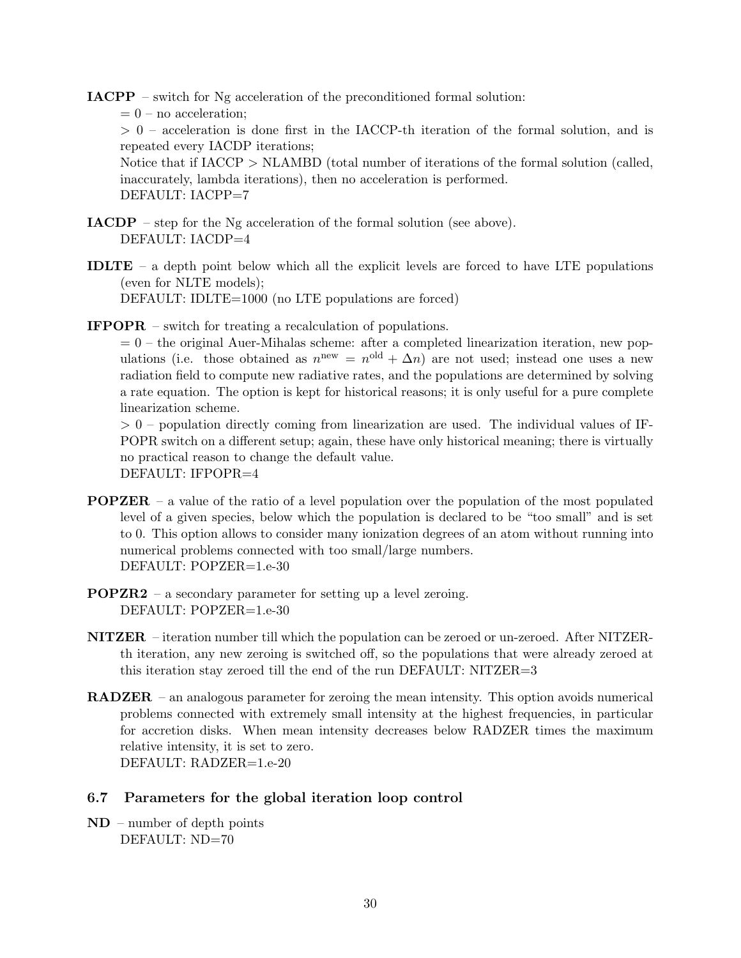IACPP – switch for Ng acceleration of the preconditioned formal solution:  $= 0$  – no acceleration;  $> 0$  – acceleration is done first in the IACCP-th iteration of the formal solution, and is repeated every IACDP iterations; Notice that if IACCP > NLAMBD (total number of iterations of the formal solution (called, inaccurately, lambda iterations), then no acceleration is performed. DEFAULT: IACPP=7

- IACDP step for the Ng acceleration of the formal solution (see above). DEFAULT: IACDP=4
- IDLTE a depth point below which all the explicit levels are forced to have LTE populations (even for NLTE models); DEFAULT: IDLTE=1000 (no LTE populations are forced)
- IFPOPR switch for treating a recalculation of populations.

 $= 0$  – the original Auer-Mihalas scheme: after a completed linearization iteration, new populations (i.e. those obtained as  $n^{\text{new}} = n^{\text{old}} + \Delta n$ ) are not used; instead one uses a new radiation field to compute new radiative rates, and the populations are determined by solving a rate equation. The option is kept for historical reasons; it is only useful for a pure complete linearization scheme.

 $> 0$  – population directly coming from linearization are used. The individual values of IF-POPR switch on a different setup; again, these have only historical meaning; there is virtually no practical reason to change the default value. DEFAULT: IFPOPR=4

- POPZER a value of the ratio of a level population over the population of the most populated level of a given species, below which the population is declared to be "too small" and is set to 0. This option allows to consider many ionization degrees of an atom without running into numerical problems connected with too small/large numbers. DEFAULT: POPZER=1.e-30
- POPZR2 a secondary parameter for setting up a level zeroing. DEFAULT: POPZER=1.e-30
- NITZER iteration number till which the population can be zeroed or un-zeroed. After NITZERth iteration, any new zeroing is switched off, so the populations that were already zeroed at this iteration stay zeroed till the end of the run DEFAULT: NITZER=3
- RADZER an analogous parameter for zeroing the mean intensity. This option avoids numerical problems connected with extremely small intensity at the highest frequencies, in particular for accretion disks. When mean intensity decreases below RADZER times the maximum relative intensity, it is set to zero. DEFAULT: RADZER=1.e-20
- 6.7 Parameters for the global iteration loop control
- ND number of depth points DEFAULT: ND=70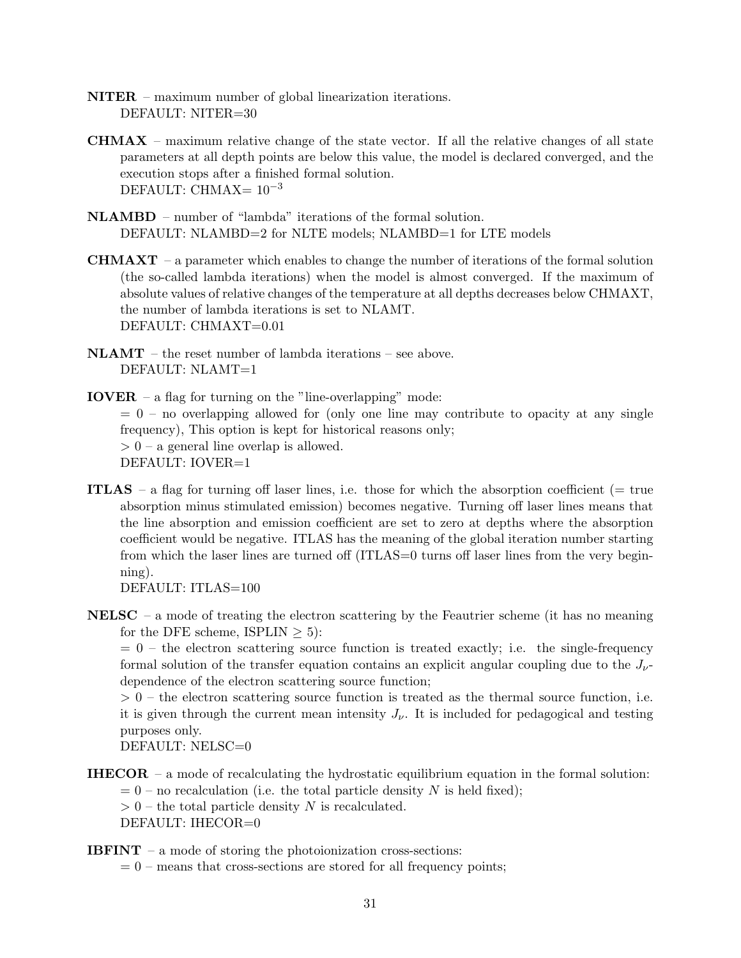- NITER maximum number of global linearization iterations. DEFAULT: NITER=30
- **CHMAX** maximum relative change of the state vector. If all the relative changes of all state parameters at all depth points are below this value, the model is declared converged, and the execution stops after a finished formal solution. DEFAULT: CHMAX=  $10^{-3}$
- NLAMBD number of "lambda" iterations of the formal solution. DEFAULT: NLAMBD=2 for NLTE models; NLAMBD=1 for LTE models
- **CHMAXT** a parameter which enables to change the number of iterations of the formal solution (the so-called lambda iterations) when the model is almost converged. If the maximum of absolute values of relative changes of the temperature at all depths decreases below CHMAXT, the number of lambda iterations is set to NLAMT. DEFAULT: CHMAXT=0.01
- NLAMT the reset number of lambda iterations see above. DEFAULT: NLAMT=1
- IOVER a flag for turning on the "line-overlapping" mode:  $= 0$  – no overlapping allowed for (only one line may contribute to opacity at any single frequency), This option is kept for historical reasons only;  $> 0$  – a general line overlap is allowed. DEFAULT: IOVER=1
- ITLAS a flag for turning off laser lines, i.e. those for which the absorption coefficient (= true absorption minus stimulated emission) becomes negative. Turning off laser lines means that the line absorption and emission coefficient are set to zero at depths where the absorption coefficient would be negative. ITLAS has the meaning of the global iteration number starting from which the laser lines are turned off (ITLAS=0 turns off laser lines from the very beginning).

DEFAULT: ITLAS=100

**NELSC** – a mode of treating the electron scattering by the Feautrier scheme (it has no meaning for the DFE scheme, ISPLIN  $\geq 5$ :

 $= 0$  – the electron scattering source function is treated exactly; i.e. the single-frequency formal solution of the transfer equation contains an explicit angular coupling due to the  $J_{\nu}$ dependence of the electron scattering source function;

 $> 0$  – the electron scattering source function is treated as the thermal source function, i.e. it is given through the current mean intensity  $J_{\nu}$ . It is included for pedagogical and testing purposes only.

DEFAULT: NELSC=0

**IHECOR** – a mode of recalculating the hydrostatic equilibrium equation in the formal solution:  $= 0$  – no recalculation (i.e. the total particle density N is held fixed);

 $> 0$  – the total particle density N is recalculated.

DEFAULT: IHECOR=0

**IBFINT** – a mode of storing the photoionization cross-sections:

 $= 0$  – means that cross-sections are stored for all frequency points;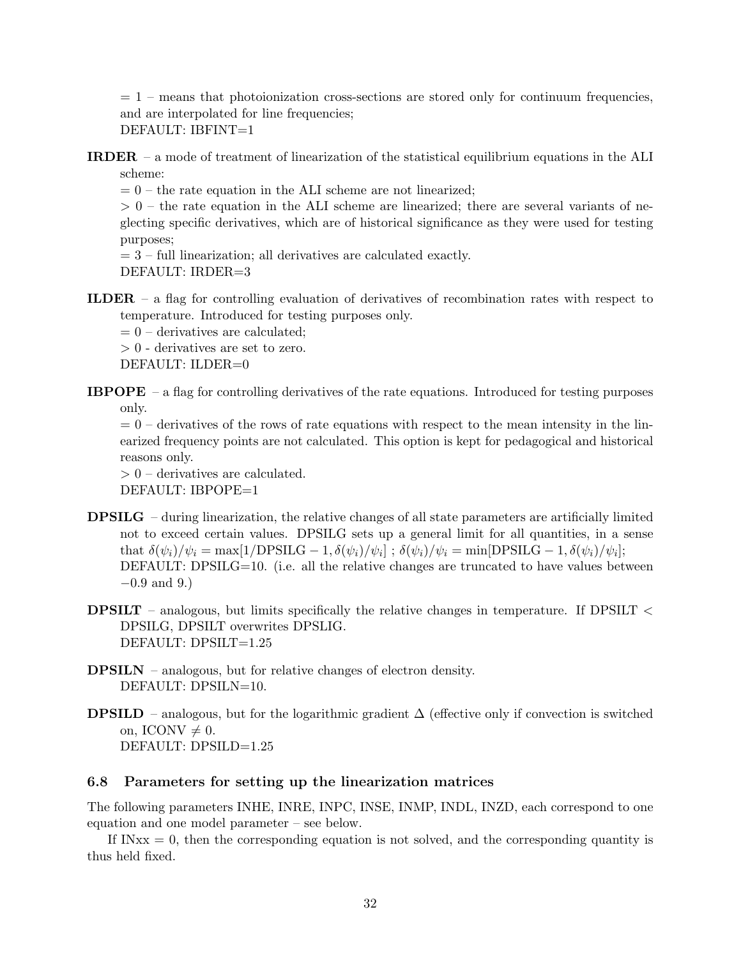$= 1$  – means that photoionization cross-sections are stored only for continuum frequencies, and are interpolated for line frequencies; DEFAULT: IBFINT=1

IRDER – a mode of treatment of linearization of the statistical equilibrium equations in the ALI scheme:

 $= 0$  – the rate equation in the ALI scheme are not linearized;

 $> 0$  – the rate equation in the ALI scheme are linearized; there are several variants of neglecting specific derivatives, which are of historical significance as they were used for testing purposes;

 $= 3$  – full linearization; all derivatives are calculated exactly. DEFAULT: IRDER=3

ILDER – a flag for controlling evaluation of derivatives of recombination rates with respect to temperature. Introduced for testing purposes only.

 $= 0$  – derivatives are calculated;

 $> 0$  - derivatives are set to zero.

DEFAULT: ILDER=0

IBPOPE – a flag for controlling derivatives of the rate equations. Introduced for testing purposes only.

 $= 0$  – derivatives of the rows of rate equations with respect to the mean intensity in the linearized frequency points are not calculated. This option is kept for pedagogical and historical reasons only.

> 0 – derivatives are calculated. DEFAULT: IBPOPE=1

- DPSILG during linearization, the relative changes of all state parameters are artificially limited not to exceed certain values. DPSILG sets up a general limit for all quantities, in a sense that  $\delta(\psi_i)/\psi_i = \max[1/\text{DPSILG} - 1, \delta(\psi_i)/\psi_i]; \ \delta(\psi_i)/\psi_i = \min[\text{DPSILG} - 1, \delta(\psi_i)/\psi_i];$ DEFAULT: DPSILG=10. (i.e. all the relative changes are truncated to have values between  $-0.9$  and 9.)
- **DPSILT** analogous, but limits specifically the relative changes in temperature. If DPSILT  $\lt$ DPSILG, DPSILT overwrites DPSLIG. DEFAULT: DPSILT=1.25
- DPSILN analogous, but for relative changes of electron density. DEFAULT: DPSILN=10.
- **DPSILD** analogous, but for the logarithmic gradient  $\Delta$  (effective only if convection is switched on, ICONV  $\neq$  0. DEFAULT: DPSILD=1.25

## 6.8 Parameters for setting up the linearization matrices

The following parameters INHE, INRE, INPC, INSE, INMP, INDL, INZD, each correspond to one equation and one model parameter – see below.

If  $INxx = 0$ , then the corresponding equation is not solved, and the corresponding quantity is thus held fixed.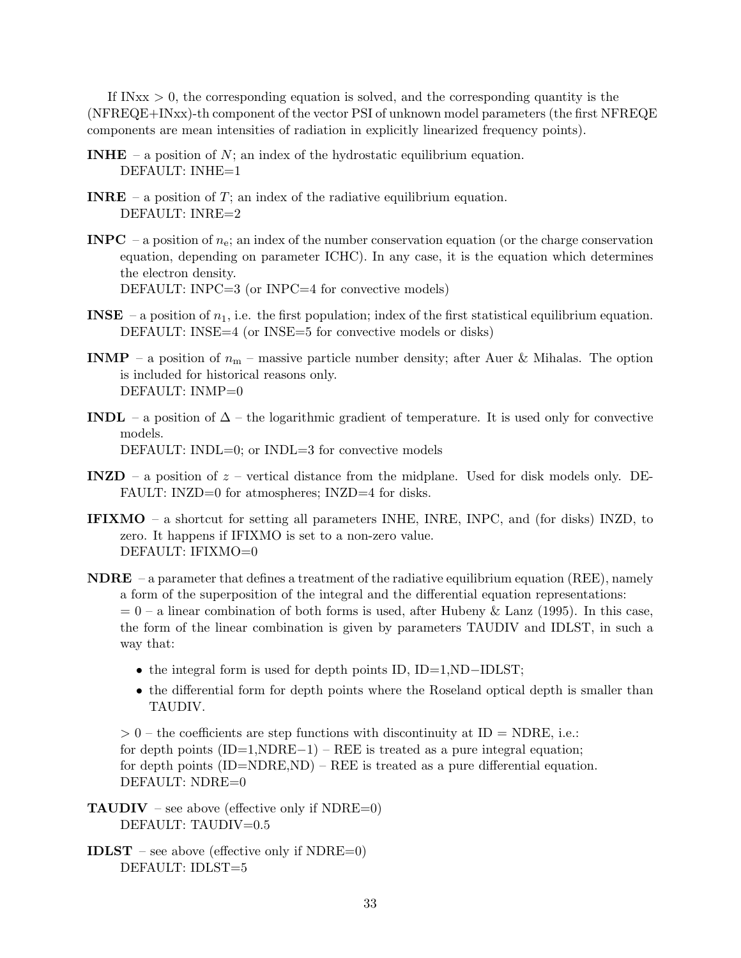If  $INxx > 0$ , the corresponding equation is solved, and the corresponding quantity is the (NFREQE+INxx)-th component of the vector PSI of unknown model parameters (the first NFREQE components are mean intensities of radiation in explicitly linearized frequency points).

- **INHE** a position of N; an index of the hydrostatic equilibrium equation. DEFAULT: INHE=1
- **INRE** a position of T; an index of the radiative equilibrium equation. DEFAULT: INRE=2
- **INPC** a position of  $n_e$ ; an index of the number conservation equation (or the charge conservation equation, depending on parameter ICHC). In any case, it is the equation which determines the electron density. DEFAULT: INPC=3 (or INPC=4 for convective models)
- **INSE** a position of  $n_1$ , i.e. the first population; index of the first statistical equilibrium equation. DEFAULT: INSE=4 (or INSE=5 for convective models or disks)
- **INMP** a position of  $n_m$  massive particle number density; after Auer & Mihalas. The option is included for historical reasons only. DEFAULT: INMP=0
- INDL a position of  $\Delta$  the logarithmic gradient of temperature. It is used only for convective models. DEFAULT: INDL=0; or INDL=3 for convective models
- INZD a position of  $z$  vertical distance from the midplane. Used for disk models only. DE-FAULT: INZD=0 for atmospheres; INZD=4 for disks.
- IFIXMO a shortcut for setting all parameters INHE, INRE, INPC, and (for disks) INZD, to zero. It happens if IFIXMO is set to a non-zero value. DEFAULT: IFIXMO=0
- **NDRE** a parameter that defines a treatment of the radiative equilibrium equation (REE), namely a form of the superposition of the integral and the differential equation representations:  $= 0$  – a linear combination of both forms is used, after Hubeny & Lanz (1995). In this case, the form of the linear combination is given by parameters TAUDIV and IDLST, in such a way that:
	- the integral form is used for depth points ID, ID=1,ND-IDLST;
	- the differential form for depth points where the Roseland optical depth is smaller than TAUDIV.

 $> 0$  – the coefficients are step functions with discontinuity at ID = NDRE, i.e.: for depth points  $(ID=1, NDRE-1) - REE$  is treated as a pure integral equation; for depth points  $(ID=NNRE, ND) -REE$  is treated as a pure differential equation. DEFAULT: NDRE=0

**TAUDIV** – see above (effective only if  $NDRE=0$ ) DEFAULT: TAUDIV=0.5

**IDLST** – see above (effective only if NDRE=0) DEFAULT: IDLST=5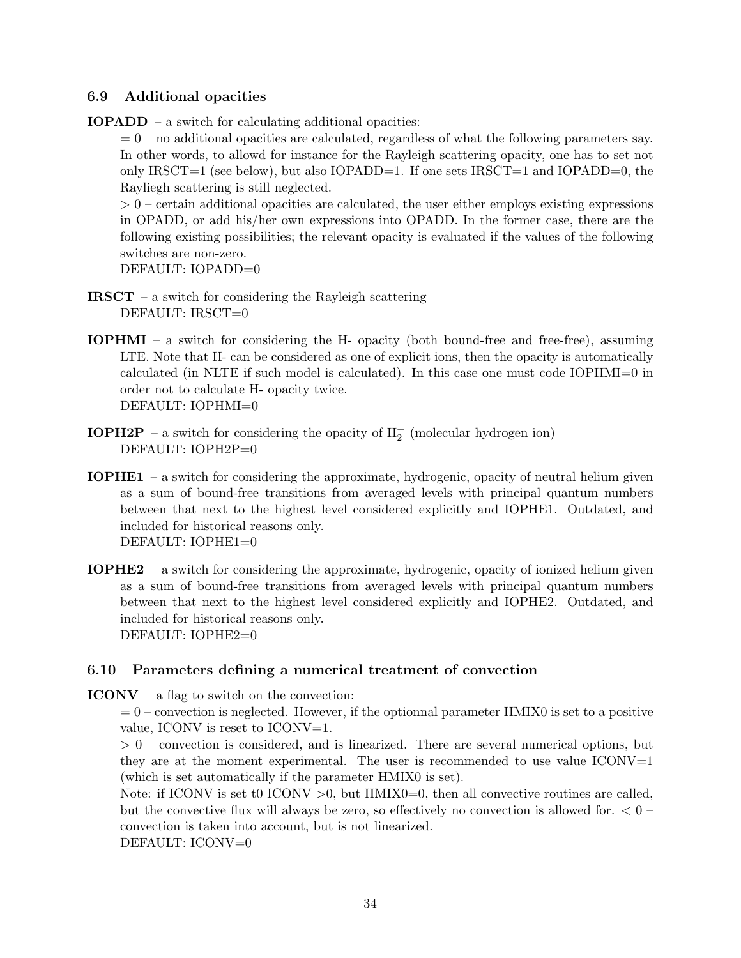## 6.9 Additional opacities

IOPADD – a switch for calculating additional opacities:

 $= 0$  – no additional opacities are calculated, regardless of what the following parameters say. In other words, to allowd for instance for the Rayleigh scattering opacity, one has to set not only IRSCT=1 (see below), but also IOPADD=1. If one sets IRSCT=1 and IOPADD=0, the Rayliegh scattering is still neglected.

 $> 0$  – certain additional opacities are calculated, the user either employs existing expressions in OPADD, or add his/her own expressions into OPADD. In the former case, there are the following existing possibilities; the relevant opacity is evaluated if the values of the following switches are non-zero.

DEFAULT: IOPADD=0

- **IRSCT** a switch for considering the Rayleigh scattering DEFAULT: IRSCT=0
- IOPHMI a switch for considering the H- opacity (both bound-free and free-free), assuming LTE. Note that H- can be considered as one of explicit ions, then the opacity is automatically calculated (in NLTE if such model is calculated). In this case one must code IOPHMI=0 in order not to calculate H- opacity twice. DEFAULT: IOPHMI=0
- **IOPH2P** a switch for considering the opacity of  $H_2^+$  (molecular hydrogen ion) DEFAULT: IOPH2P=0
- IOPHE1 a switch for considering the approximate, hydrogenic, opacity of neutral helium given as a sum of bound-free transitions from averaged levels with principal quantum numbers between that next to the highest level considered explicitly and IOPHE1. Outdated, and included for historical reasons only. DEFAULT: IOPHE1=0
- IOPHE2 a switch for considering the approximate, hydrogenic, opacity of ionized helium given as a sum of bound-free transitions from averaged levels with principal quantum numbers between that next to the highest level considered explicitly and IOPHE2. Outdated, and included for historical reasons only. DEFAULT: IOPHE2=0

## 6.10 Parameters defining a numerical treatment of convection

 $ICONV - a$  flag to switch on the convection:

 $= 0$  – convection is neglected. However, if the optionnal parameter HMIX0 is set to a positive value, ICONV is reset to  $ICONV=1$ .

 $> 0$  – convection is considered, and is linearized. There are several numerical options, but they are at the moment experimental. The user is recommended to use value  $ICONV=1$ (which is set automatically if the parameter HMIX0 is set).

Note: if ICONV is set to ICONV  $>0$ , but HMIX0=0, then all convective routines are called, but the convective flux will always be zero, so effectively no convection is allowed for.  $< 0$  – convection is taken into account, but is not linearized.

DEFAULT: ICONV=0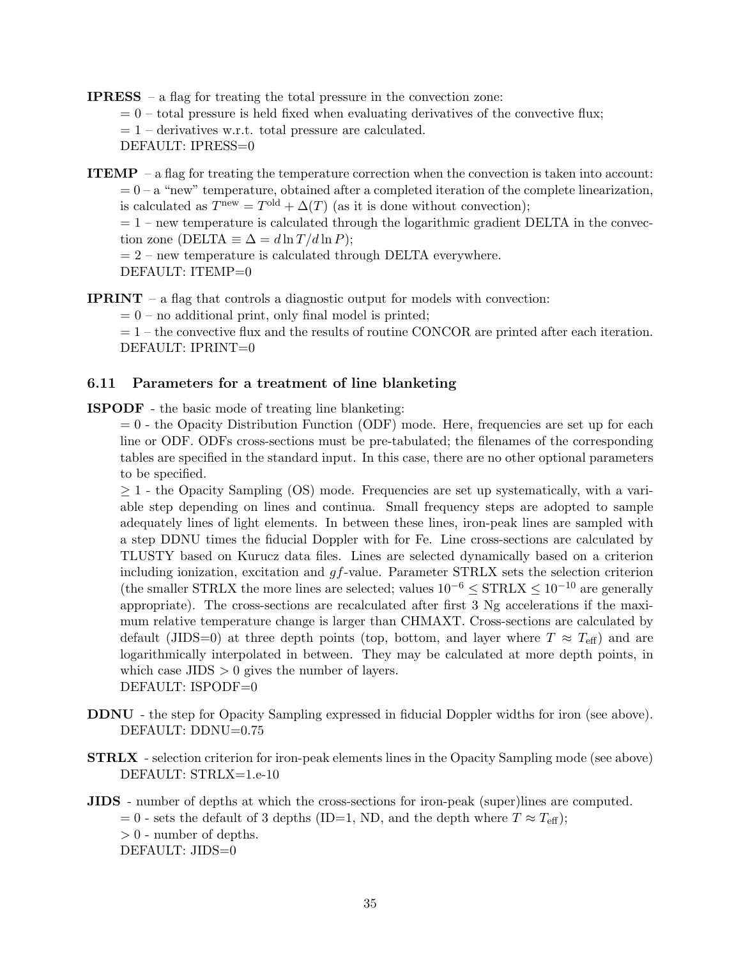IPRESS – a flag for treating the total pressure in the convection zone:

 $= 0$  – total pressure is held fixed when evaluating derivatives of the convective flux;

 $= 1$  – derivatives w.r.t. total pressure are calculated.

DEFAULT: IPRESS=0

**ITEMP** – a flag for treating the temperature correction when the convection is taken into account:  $= 0 - a$  "new" temperature, obtained after a completed iteration of the complete linearization, is calculated as  $T^{\text{new}} = T^{\text{old}} + \Delta(T)$  (as it is done without convection);  $= 1$  – new temperature is calculated through the logarithmic gradient DELTA in the convec-

tion zone (DELTA  $\equiv \Delta = d \ln T / d \ln P$ );

 $= 2$  – new temperature is calculated through DELTA everywhere. DEFAULT: ITEMP=0

**IPRINT** – a flag that controls a diagnostic output for models with convection:

 $= 0$  – no additional print, only final model is printed;

 $= 1$  – the convective flux and the results of routine CONCOR are printed after each iteration. DEFAULT: IPRINT=0

## 6.11 Parameters for a treatment of line blanketing

ISPODF - the basic mode of treating line blanketing:

 $= 0$  - the Opacity Distribution Function (ODF) mode. Here, frequencies are set up for each line or ODF. ODFs cross-sections must be pre-tabulated; the filenames of the corresponding tables are specified in the standard input. In this case, there are no other optional parameters to be specified.

 $\geq$  1 - the Opacity Sampling (OS) mode. Frequencies are set up systematically, with a variable step depending on lines and continua. Small frequency steps are adopted to sample adequately lines of light elements. In between these lines, iron-peak lines are sampled with a step DDNU times the fiducial Doppler with for Fe. Line cross-sections are calculated by TLUSTY based on Kurucz data files. Lines are selected dynamically based on a criterion including ionization, excitation and  $gf$ -value. Parameter STRLX sets the selection criterion (the smaller STRLX the more lines are selected; values  $10^{-6} \leq \text{STRLX} \leq 10^{-10}$  are generally appropriate). The cross-sections are recalculated after first 3 Ng accelerations if the maximum relative temperature change is larger than CHMAXT. Cross-sections are calculated by default (JIDS=0) at three depth points (top, bottom, and layer where  $T \approx T_{\text{eff}}$ ) and are logarithmically interpolated in between. They may be calculated at more depth points, in which case  $JIDS > 0$  gives the number of layers. DEFAULT: ISPODF=0

- DDNU the step for Opacity Sampling expressed in fiducial Doppler widths for iron (see above). DEFAULT: DDNU=0.75
- STRLX selection criterion for iron-peak elements lines in the Opacity Sampling mode (see above) DEFAULT: STRLX=1.e-10
- JIDS number of depths at which the cross-sections for iron-peak (super)lines are computed. = 0 - sets the default of 3 depths (ID=1, ND, and the depth where  $T \approx T_{\text{eff}}$ );  $> 0$  - number of depths. DEFAULT: JIDS=0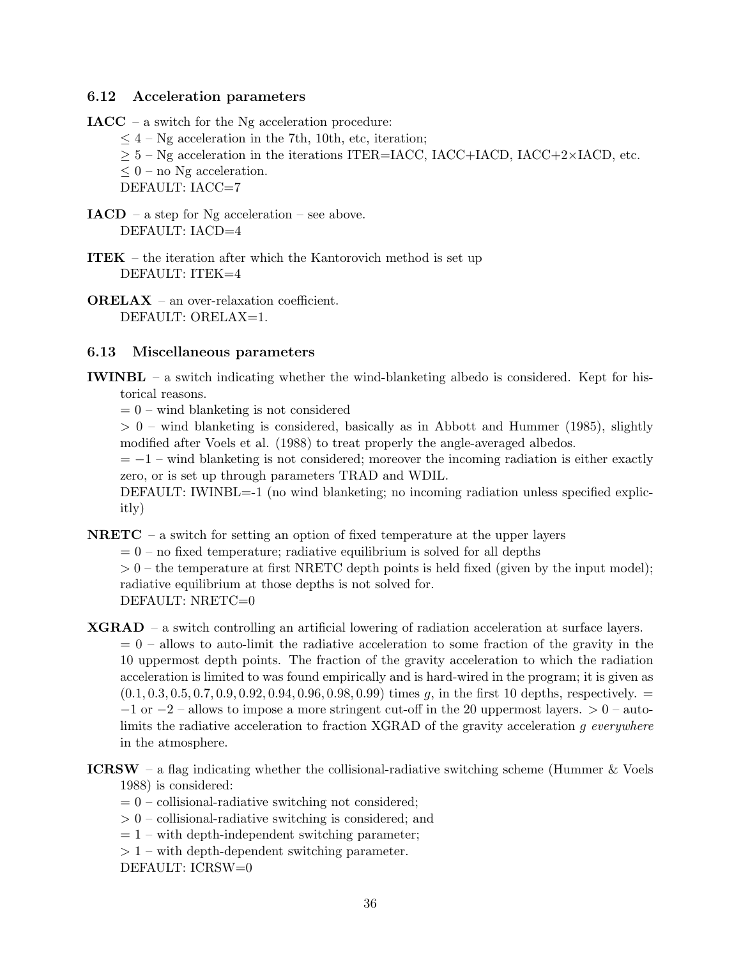## 6.12 Acceleration parameters

 $IACC - a switch for the Ng acceleration procedure:$ 

- $\leq 4$  Ng acceleration in the 7th, 10th, etc, iteration;
- $\geq$  5 Ng acceleration in the iterations ITER=IACC, IACC+IACD, IACC+2×IACD, etc.
- $\leq 0$  no Ng acceleration.

DEFAULT: IACC=7

- $IACD a$  step for Ng acceleration see above. DEFAULT: IACD=4
- ITEK the iteration after which the Kantorovich method is set up DEFAULT: ITEK=4
- ORELAX an over-relaxation coefficient. DEFAULT: ORELAX=1.

## 6.13 Miscellaneous parameters

IWINBL – a switch indicating whether the wind-blanketing albedo is considered. Kept for historical reasons.

 $= 0$  – wind blanketing is not considered

 $> 0$  – wind blanketing is considered, basically as in Abbott and Hummer (1985), slightly modified after Voels et al. (1988) to treat properly the angle-averaged albedos.

 $= -1$  – wind blanketing is not considered; moreover the incoming radiation is either exactly zero, or is set up through parameters TRAD and WDIL.

DEFAULT: IWINBL=-1 (no wind blanketing; no incoming radiation unless specified explicitly)

**NRETC** – a switch for setting an option of fixed temperature at the upper layers

 $= 0$  – no fixed temperature; radiative equilibrium is solved for all depths

 $> 0$  – the temperature at first NRETC depth points is held fixed (given by the input model); radiative equilibrium at those depths is not solved for. DEFAULT: NRETC=0

XGRAD – a switch controlling an artificial lowering of radiation acceleration at surface layers.

 $= 0$  – allows to auto-limit the radiative acceleration to some fraction of the gravity in the 10 uppermost depth points. The fraction of the gravity acceleration to which the radiation acceleration is limited to was found empirically and is hard-wired in the program; it is given as  $(0.1, 0.3, 0.5, 0.7, 0.9, 0.92, 0.94, 0.96, 0.98, 0.99)$  times g, in the first 10 depths, respectively.  $=$  $-1$  or  $-2$  – allows to impose a more stringent cut-off in the 20 uppermost layers.  $> 0$  – autolimits the radiative acceleration to fraction XGRAD of the gravity acceleration g everywhere in the atmosphere.

- **ICRSW** a flag indicating whether the collisional-radiative switching scheme (Hummer  $\&$  Voels 1988) is considered:
	- $= 0$  collisional-radiative switching not considered;
	- $> 0$  collisional-radiative switching is considered; and
	- $= 1$  with depth-independent switching parameter;
	- $> 1$  with depth-dependent switching parameter.

DEFAULT: ICRSW=0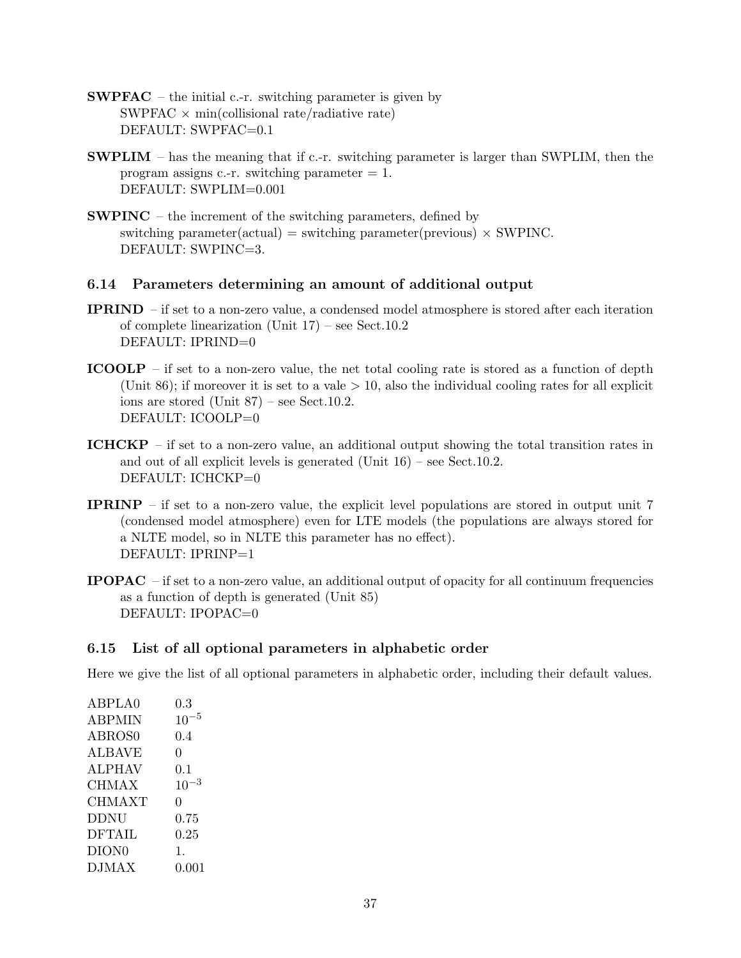- SWPFAC the initial c.-r. switching parameter is given by SWPFAC  $\times$  min(collisional rate/radiative rate) DEFAULT: SWPFAC=0.1
- SWPLIM has the meaning that if c.-r. switching parameter is larger than SWPLIM, then the program assigns c.-r. switching parameter  $= 1$ . DEFAULT: SWPLIM=0.001
- SWPINC the increment of the switching parameters, defined by switching parameter(actual) = switching parameter(previous)  $\times$  SWPINC. DEFAULT: SWPINC=3.

## 6.14 Parameters determining an amount of additional output

- IPRIND if set to a non-zero value, a condensed model atmosphere is stored after each iteration of complete linearization (Unit 17) – see Sect.10.2 DEFAULT: IPRIND=0
- ICOOLP if set to a non-zero value, the net total cooling rate is stored as a function of depth (Unit 86); if moreover it is set to a vale  $> 10$ , also the individual cooling rates for all explicit ions are stored (Unit 87) – see Sect.10.2. DEFAULT: ICOOLP=0
- ICHCKP if set to a non-zero value, an additional output showing the total transition rates in and out of all explicit levels is generated (Unit 16) – see Sect.10.2. DEFAULT: ICHCKP=0
- IPRINP if set to a non-zero value, the explicit level populations are stored in output unit 7 (condensed model atmosphere) even for LTE models (the populations are always stored for a NLTE model, so in NLTE this parameter has no effect). DEFAULT: IPRINP=1
- IPOPAC if set to a non-zero value, an additional output of opacity for all continuum frequencies as a function of depth is generated (Unit 85) DEFAULT: IPOPAC=0

## 6.15 List of all optional parameters in alphabetic order

Here we give the list of all optional parameters in alphabetic order, including their default values.

| ABPLA0            | $0.3\,$   |
|-------------------|-----------|
| <b>ABPMIN</b>     | $10^{-5}$ |
| ABROS0            | 0.4       |
| <b>ALBAVE</b>     | 0         |
| <b>ALPHAV</b>     | $0.1\,$   |
| <b>CHMAX</b>      | $10^{-3}$ |
| CHMAXT            | 0         |
| <b>DDNU</b>       | 0.75      |
| <b>DFTAIL</b>     | 0.25      |
| DION <sub>0</sub> | 1.        |
| <b>DJMAX</b>      | 0.001     |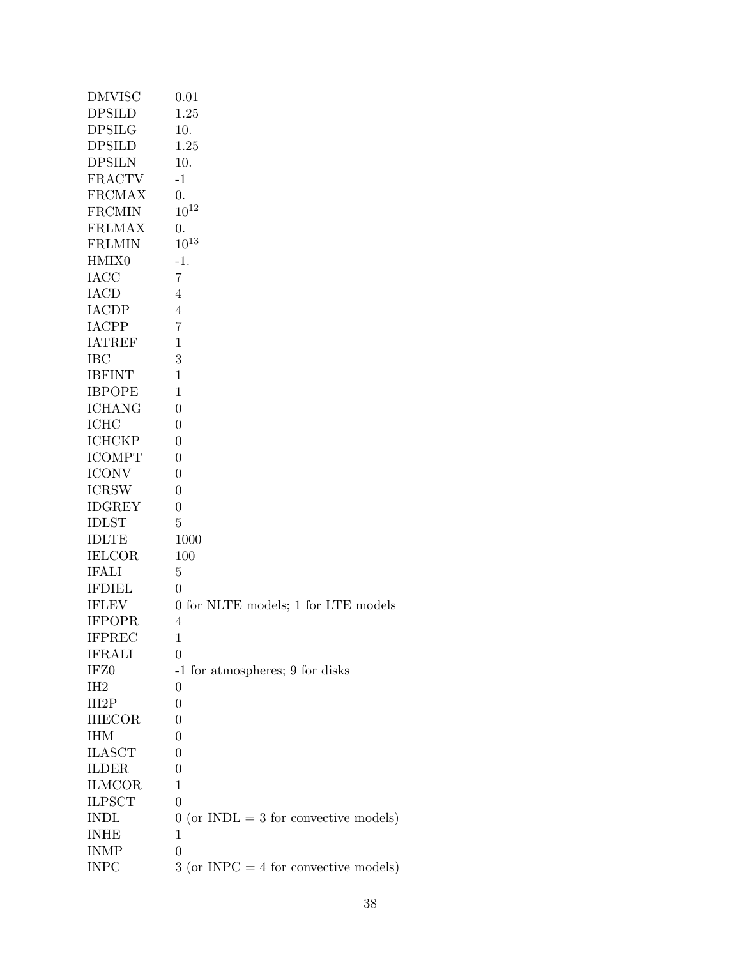| <b>DMVISC</b>     | 0.01                                    |
|-------------------|-----------------------------------------|
| <b>DPSILD</b>     | 1.25                                    |
| <b>DPSILG</b>     | 10.                                     |
| <b>DPSILD</b>     | 1.25                                    |
| <b>DPSILN</b>     | 10.                                     |
| <b>FRACTV</b>     | $-1$                                    |
| <b>FRCMAX</b>     | $\overline{0}$ .                        |
| <b>FRCMIN</b>     | $10^{12}$                               |
| <b>FRLMAX</b>     | 0.                                      |
| <b>FRLMIN</b>     | $10^{13}$                               |
| HMIX0             | -1.                                     |
| <b>IACC</b>       | $\overline{7}$                          |
| <b>IACD</b>       | 4                                       |
| <b>IACDP</b>      | 4                                       |
| <b>IACPP</b>      | 7                                       |
| <b>IATREF</b>     | 1                                       |
| <b>IBC</b>        | 3                                       |
| <b>IBFINT</b>     | 1                                       |
| <b>IBPOPE</b>     | 1                                       |
| <b>ICHANG</b>     | 0                                       |
| <b>ICHC</b>       | 0                                       |
| <b>ICHCKP</b>     | $\theta$                                |
| <b>ICOMPT</b>     | 0                                       |
| <b>ICONV</b>      | 0                                       |
| <b>ICRSW</b>      | 0                                       |
| <b>IDGREY</b>     | $\theta$                                |
| <b>IDLST</b>      | 5                                       |
| <b>IDLTE</b>      | 1000                                    |
| <b>IELCOR</b>     | 100                                     |
| <b>IFALI</b>      | $\overline{5}$                          |
| <b>IFDIEL</b>     | $\theta$                                |
| <b>IFLEV</b>      | 0 for NLTE models; 1 for LTE models     |
| <b>IFPOPR</b>     | 4                                       |
| <b>IFPREC</b>     | 1                                       |
| <b>IFRALI</b>     | $\theta$                                |
| IFZ <sub>0</sub>  | -1 for atmospheres; 9 for disks         |
| IH <sub>2</sub>   | 0                                       |
| IH <sub>2</sub> P | 0                                       |
| <b>IHECOR</b>     | $\theta$                                |
| <b>IHM</b>        | 0                                       |
| <b>ILASCT</b>     | $\theta$                                |
| <b>ILDER</b>      | 0                                       |
| <b>ILMCOR</b>     | 1                                       |
| <b>ILPSCT</b>     | $\overline{0}$                          |
| <b>INDL</b>       | $0$ (or INDL = 3 for convective models) |
| <b>INHE</b>       | 1                                       |
| <b>INMP</b>       | $\overline{0}$                          |
| <b>INPC</b>       | $3$ (or INPC = 4 for convective models) |
|                   |                                         |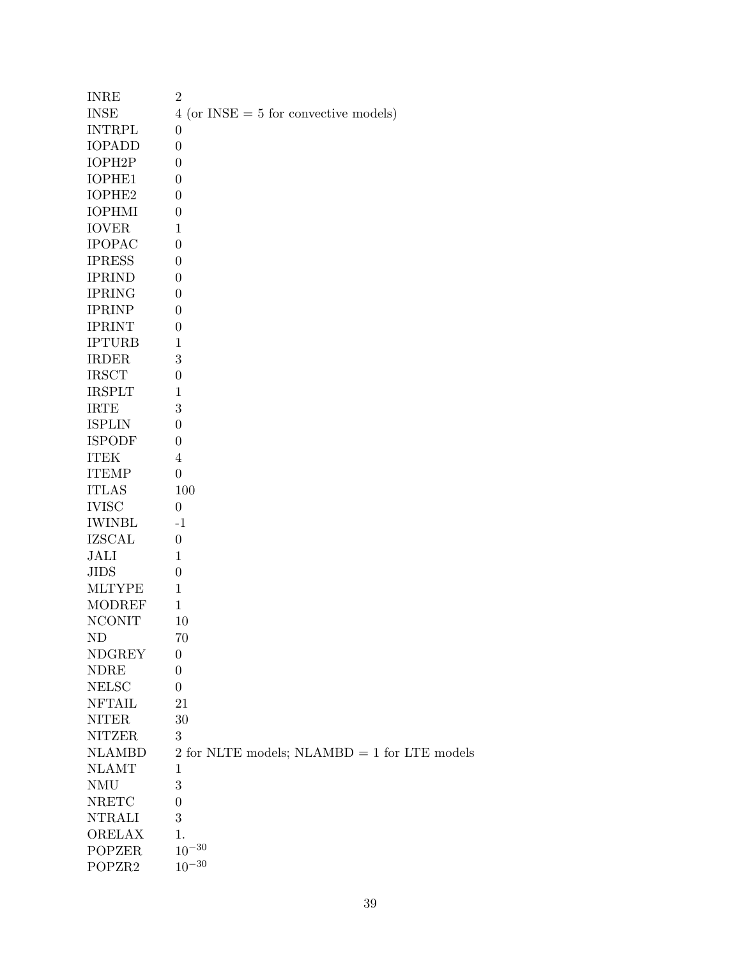| <b>INRE</b>         | $\overline{2}$                                 |
|---------------------|------------------------------------------------|
| <b>INSE</b>         | $4$ (or INSE = 5 for convective models)        |
| <b>INTRPL</b>       | $\overline{0}$                                 |
| <b>IOPADD</b>       | $\overline{0}$                                 |
| IOPH <sub>2</sub> P | $\overline{0}$                                 |
| IOPHE1              | $\overline{0}$                                 |
| IOPHE2              | $\boldsymbol{0}$                               |
| <b>IOPHMI</b>       | $\boldsymbol{0}$                               |
| <b>IOVER</b>        | 1                                              |
| <b>IPOPAC</b>       | $\overline{0}$                                 |
| <b>IPRESS</b>       | $\boldsymbol{0}$                               |
| <b>IPRIND</b>       | $\overline{0}$                                 |
| <b>IPRING</b>       | $\overline{0}$                                 |
| <b>IPRINP</b>       | $\overline{0}$                                 |
| <b>IPRINT</b>       | $\boldsymbol{0}$                               |
| <b>IPTURB</b>       | $\mathbf{1}$                                   |
| <b>IRDER</b>        | 3                                              |
| <b>IRSCT</b>        | $\boldsymbol{0}$                               |
| <b>IRSPLT</b>       | $\mathbf{1}$                                   |
| <b>IRTE</b>         | 3                                              |
| <b>ISPLIN</b>       | $\overline{0}$                                 |
| <b>ISPODF</b>       | $\overline{0}$                                 |
| <b>ITEK</b>         | $\overline{4}$                                 |
| <b>ITEMP</b>        | $\boldsymbol{0}$                               |
| <b>ITLAS</b>        | 100                                            |
| <b>IVISC</b>        | $\overline{0}$                                 |
| <b>IWINBL</b>       | $-1$                                           |
| <b>IZSCAL</b>       | $\boldsymbol{0}$                               |
| JALI                | 1                                              |
| <b>JIDS</b>         | $\boldsymbol{0}$                               |
| <b>MLTYPE</b>       | $\mathbf{1}$                                   |
| <b>MODREF</b>       | $\mathbf{1}$                                   |
| <b>NCONIT</b>       | 10                                             |
| ND                  | 70                                             |
| <b>NDGREY</b>       | $\boldsymbol{0}$                               |
| <b>NDRE</b>         | $\boldsymbol{0}$                               |
| <b>NELSC</b>        | 0                                              |
| <b>NFTAIL</b>       | 21                                             |
| <b>NITER</b>        | 30                                             |
| <b>NITZER</b>       | $\sqrt{3}$                                     |
| <b>NLAMBD</b>       | 2 for NLTE models; $NLAMBD = 1$ for LTE models |
| <b>NLAMT</b>        | $\mathbf{1}$                                   |
| <b>NMU</b>          | 3                                              |
| <b>NRETC</b>        | $\boldsymbol{0}$                               |
| <b>NTRALI</b>       | 3                                              |
| ORELAX              | 1.                                             |
| <b>POPZER</b>       | $10^{-30}$                                     |
| POPZR2              | $10^{-30}$                                     |
|                     |                                                |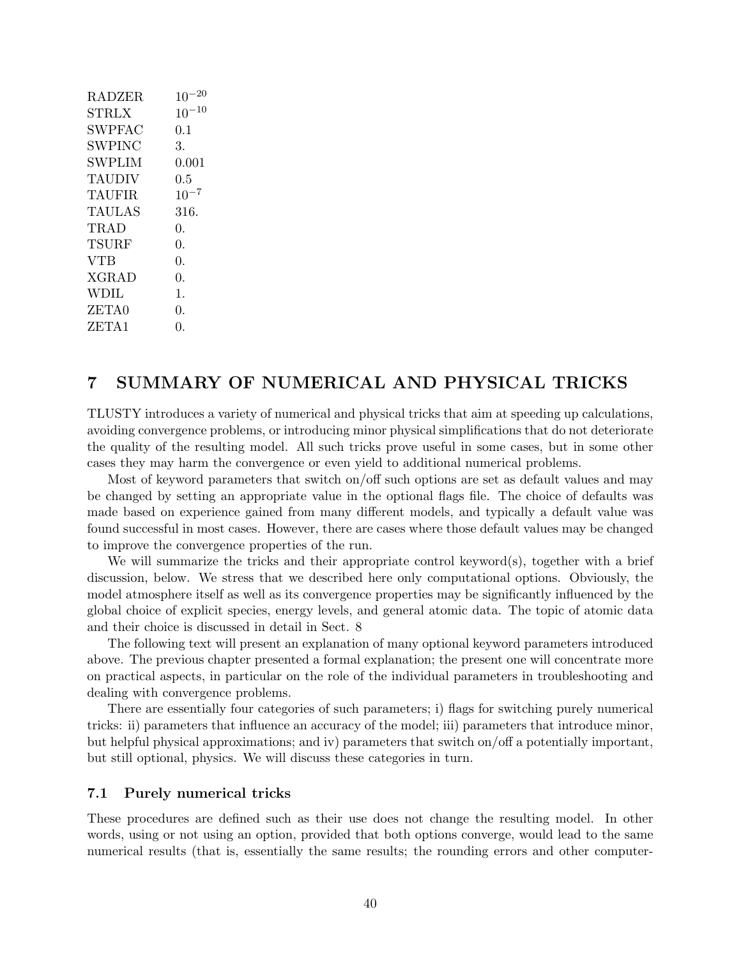| <b>RADZER</b> | $10^{-20}$ |
|---------------|------------|
| STRLX         | $10^{-10}$ |
| SWPFAC        | 0.1        |
| SWPINC        | 3.         |
| SWPLIM        | 0.001      |
| <b>TAUDIV</b> | $0.5\,$    |
| <b>TAUFIR</b> | $10^{-7}$  |
| TAULAS        | 316.       |
| <b>TRAD</b>   | 0.         |
| TSURF         | 0.         |
| <b>VTB</b>    | 0.         |
| XGRAD         | $\Omega$ . |
| <b>WDIL</b>   | 1.         |
| ZETA0         | 0.         |
| ZETA1         | 0.         |
|               |            |

## 7 SUMMARY OF NUMERICAL AND PHYSICAL TRICKS

TLUSTY introduces a variety of numerical and physical tricks that aim at speeding up calculations, avoiding convergence problems, or introducing minor physical simplifications that do not deteriorate the quality of the resulting model. All such tricks prove useful in some cases, but in some other cases they may harm the convergence or even yield to additional numerical problems.

Most of keyword parameters that switch on/off such options are set as default values and may be changed by setting an appropriate value in the optional flags file. The choice of defaults was made based on experience gained from many different models, and typically a default value was found successful in most cases. However, there are cases where those default values may be changed to improve the convergence properties of the run.

We will summarize the tricks and their appropriate control keyword(s), together with a brief discussion, below. We stress that we described here only computational options. Obviously, the model atmosphere itself as well as its convergence properties may be significantly influenced by the global choice of explicit species, energy levels, and general atomic data. The topic of atomic data and their choice is discussed in detail in Sect. 8

The following text will present an explanation of many optional keyword parameters introduced above. The previous chapter presented a formal explanation; the present one will concentrate more on practical aspects, in particular on the role of the individual parameters in troubleshooting and dealing with convergence problems.

There are essentially four categories of such parameters; i) flags for switching purely numerical tricks: ii) parameters that influence an accuracy of the model; iii) parameters that introduce minor, but helpful physical approximations; and iv) parameters that switch on/off a potentially important, but still optional, physics. We will discuss these categories in turn.

## 7.1 Purely numerical tricks

These procedures are defined such as their use does not change the resulting model. In other words, using or not using an option, provided that both options converge, would lead to the same numerical results (that is, essentially the same results; the rounding errors and other computer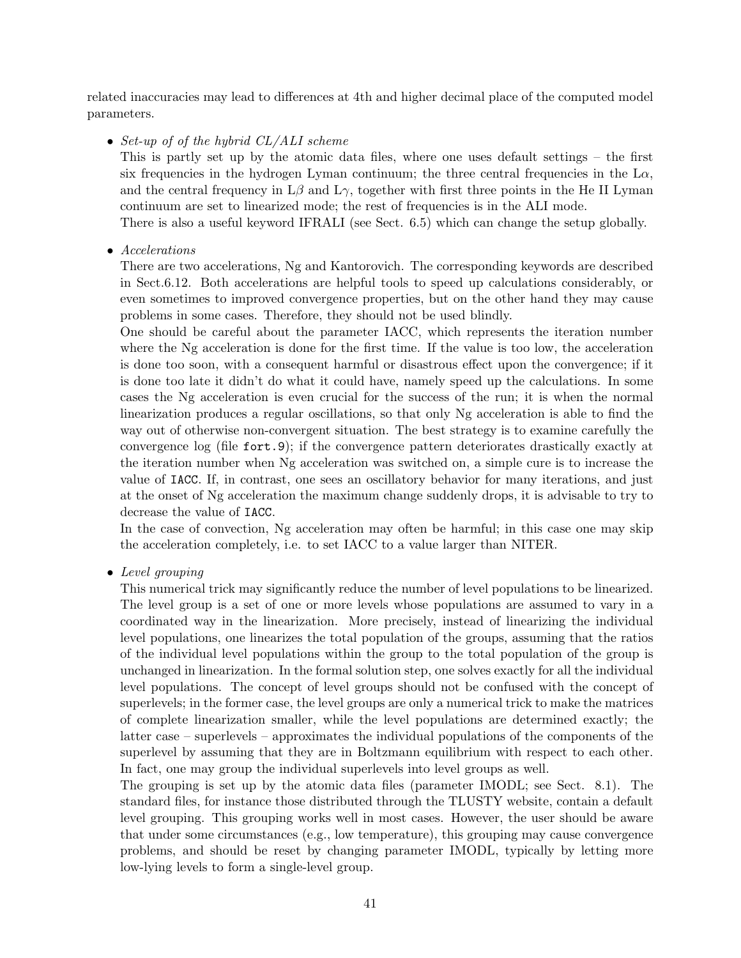related inaccuracies may lead to differences at 4th and higher decimal place of the computed model parameters.

• Set-up of of the hybrid CL/ALI scheme

This is partly set up by the atomic data files, where one uses default settings – the first six frequencies in the hydrogen Lyman continuum; the three central frequencies in the  $L\alpha$ , and the central frequency in  $L\beta$  and  $L\gamma$ , together with first three points in the He II Lyman continuum are set to linearized mode; the rest of frequencies is in the ALI mode.

There is also a useful keyword IFRALI (see Sect. 6.5) which can change the setup globally.

• Accelerations

There are two accelerations, Ng and Kantorovich. The corresponding keywords are described in Sect.6.12. Both accelerations are helpful tools to speed up calculations considerably, or even sometimes to improved convergence properties, but on the other hand they may cause problems in some cases. Therefore, they should not be used blindly.

One should be careful about the parameter IACC, which represents the iteration number where the Ng acceleration is done for the first time. If the value is too low, the acceleration is done too soon, with a consequent harmful or disastrous effect upon the convergence; if it is done too late it didn't do what it could have, namely speed up the calculations. In some cases the Ng acceleration is even crucial for the success of the run; it is when the normal linearization produces a regular oscillations, so that only Ng acceleration is able to find the way out of otherwise non-convergent situation. The best strategy is to examine carefully the convergence log (file fort.9); if the convergence pattern deteriorates drastically exactly at the iteration number when Ng acceleration was switched on, a simple cure is to increase the value of IACC. If, in contrast, one sees an oscillatory behavior for many iterations, and just at the onset of Ng acceleration the maximum change suddenly drops, it is advisable to try to decrease the value of IACC.

In the case of convection, Ng acceleration may often be harmful; in this case one may skip the acceleration completely, i.e. to set IACC to a value larger than NITER.

• Level grouping

This numerical trick may significantly reduce the number of level populations to be linearized. The level group is a set of one or more levels whose populations are assumed to vary in a coordinated way in the linearization. More precisely, instead of linearizing the individual level populations, one linearizes the total population of the groups, assuming that the ratios of the individual level populations within the group to the total population of the group is unchanged in linearization. In the formal solution step, one solves exactly for all the individual level populations. The concept of level groups should not be confused with the concept of superlevels; in the former case, the level groups are only a numerical trick to make the matrices of complete linearization smaller, while the level populations are determined exactly; the latter case – superlevels – approximates the individual populations of the components of the superlevel by assuming that they are in Boltzmann equilibrium with respect to each other. In fact, one may group the individual superlevels into level groups as well.

The grouping is set up by the atomic data files (parameter IMODL; see Sect. 8.1). The standard files, for instance those distributed through the TLUSTY website, contain a default level grouping. This grouping works well in most cases. However, the user should be aware that under some circumstances (e.g., low temperature), this grouping may cause convergence problems, and should be reset by changing parameter IMODL, typically by letting more low-lying levels to form a single-level group.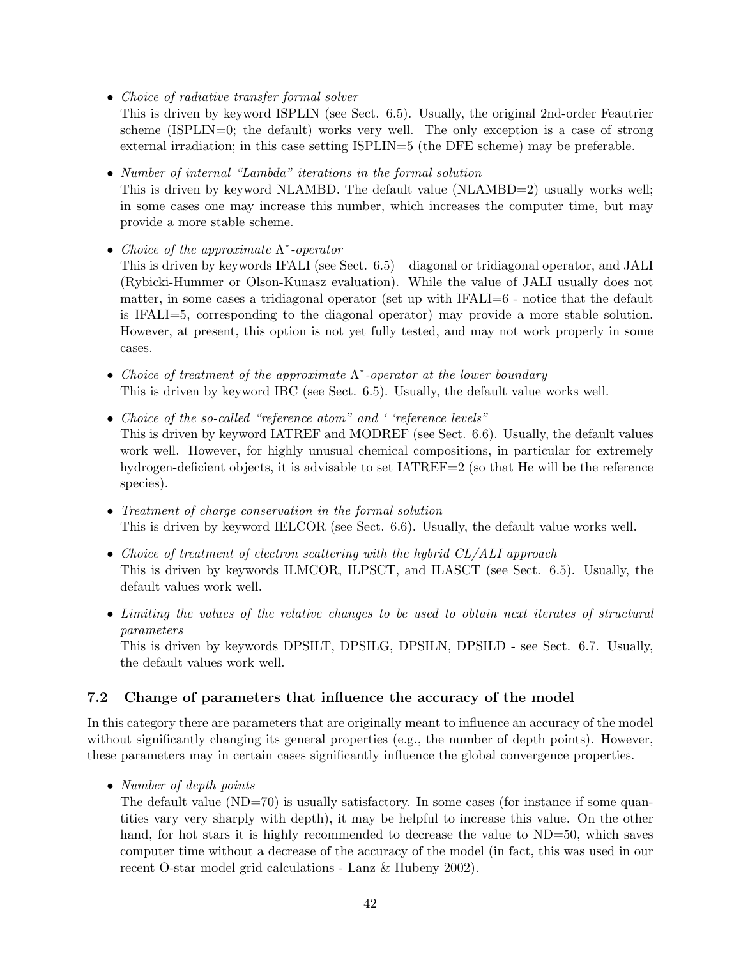• Choice of radiative transfer formal solver

This is driven by keyword ISPLIN (see Sect. 6.5). Usually, the original 2nd-order Feautrier scheme (ISPLIN=0; the default) works very well. The only exception is a case of strong external irradiation; in this case setting ISPLIN=5 (the DFE scheme) may be preferable.

• Number of internal "Lambda" iterations in the formal solution

This is driven by keyword NLAMBD. The default value (NLAMBD=2) usually works well; in some cases one may increase this number, which increases the computer time, but may provide a more stable scheme.

• Choice of the approximate  $\Lambda^*$ -operator

This is driven by keywords IFALI (see Sect. 6.5) – diagonal or tridiagonal operator, and JALI (Rybicki-Hummer or Olson-Kunasz evaluation). While the value of JALI usually does not matter, in some cases a tridiagonal operator (set up with IFALI=6 - notice that the default is IFALI=5, corresponding to the diagonal operator) may provide a more stable solution. However, at present, this option is not yet fully tested, and may not work properly in some cases.

- Choice of treatment of the approximate  $\Lambda^*$ -operator at the lower boundary This is driven by keyword IBC (see Sect. 6.5). Usually, the default value works well.
- Choice of the so-called "reference atom" and ' 'reference levels" This is driven by keyword IATREF and MODREF (see Sect. 6.6). Usually, the default values work well. However, for highly unusual chemical compositions, in particular for extremely hydrogen-deficient objects, it is advisable to set  $IATREF=2$  (so that He will be the reference species).
- Treatment of charge conservation in the formal solution This is driven by keyword IELCOR (see Sect. 6.6). Usually, the default value works well.
- Choice of treatment of electron scattering with the hybrid CL/ALI approach This is driven by keywords ILMCOR, ILPSCT, and ILASCT (see Sect. 6.5). Usually, the default values work well.
- Limiting the values of the relative changes to be used to obtain next iterates of structural parameters

This is driven by keywords DPSILT, DPSILG, DPSILN, DPSILD - see Sect. 6.7. Usually, the default values work well.

## 7.2 Change of parameters that influence the accuracy of the model

In this category there are parameters that are originally meant to influence an accuracy of the model without significantly changing its general properties (e.g., the number of depth points). However, these parameters may in certain cases significantly influence the global convergence properties.

• Number of depth points

The default value (ND=70) is usually satisfactory. In some cases (for instance if some quantities vary very sharply with depth), it may be helpful to increase this value. On the other hand, for hot stars it is highly recommended to decrease the value to ND=50, which saves computer time without a decrease of the accuracy of the model (in fact, this was used in our recent O-star model grid calculations - Lanz & Hubeny 2002).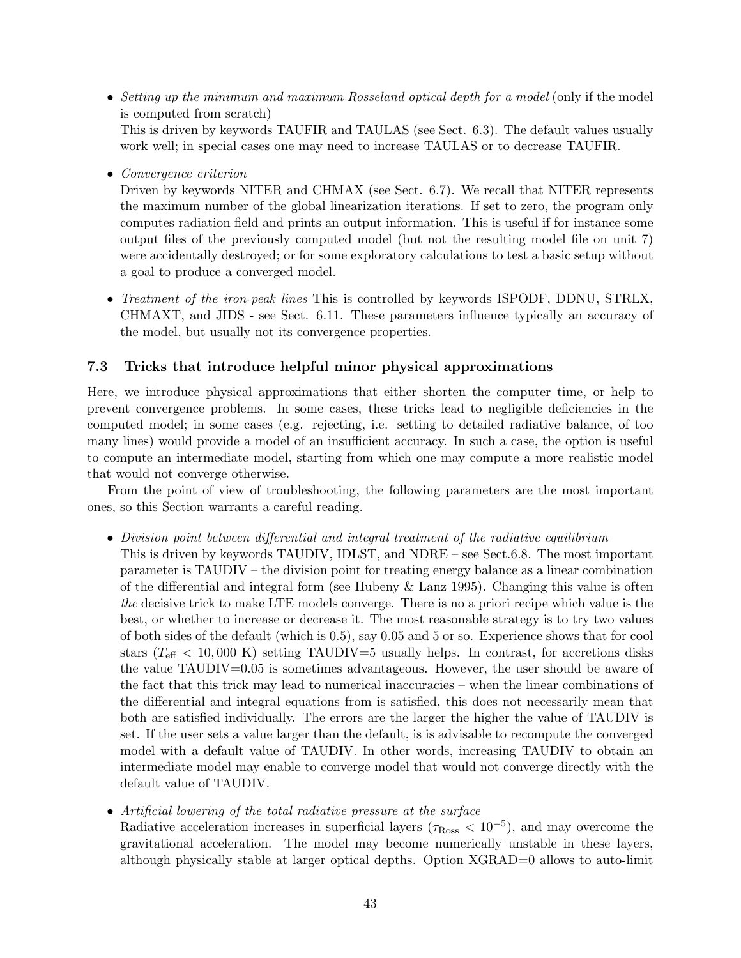- Setting up the minimum and maximum Rosseland optical depth for a model (only if the model is computed from scratch) This is driven by keywords TAUFIR and TAULAS (see Sect. 6.3). The default values usually work well; in special cases one may need to increase TAULAS or to decrease TAUFIR.
- Convergence criterion

Driven by keywords NITER and CHMAX (see Sect. 6.7). We recall that NITER represents the maximum number of the global linearization iterations. If set to zero, the program only computes radiation field and prints an output information. This is useful if for instance some output files of the previously computed model (but not the resulting model file on unit 7) were accidentally destroyed; or for some exploratory calculations to test a basic setup without a goal to produce a converged model.

• Treatment of the iron-peak lines This is controlled by keywords ISPODF, DDNU, STRLX, CHMAXT, and JIDS - see Sect. 6.11. These parameters influence typically an accuracy of the model, but usually not its convergence properties.

## 7.3 Tricks that introduce helpful minor physical approximations

Here, we introduce physical approximations that either shorten the computer time, or help to prevent convergence problems. In some cases, these tricks lead to negligible deficiencies in the computed model; in some cases (e.g. rejecting, i.e. setting to detailed radiative balance, of too many lines) would provide a model of an insufficient accuracy. In such a case, the option is useful to compute an intermediate model, starting from which one may compute a more realistic model that would not converge otherwise.

From the point of view of troubleshooting, the following parameters are the most important ones, so this Section warrants a careful reading.

- Division point between differential and integral treatment of the radiative equilibrium
	- This is driven by keywords TAUDIV, IDLST, and NDRE see Sect.6.8. The most important parameter is TAUDIV – the division point for treating energy balance as a linear combination of the differential and integral form (see Hubeny & Lanz 1995). Changing this value is often the decisive trick to make LTE models converge. There is no a priori recipe which value is the best, or whether to increase or decrease it. The most reasonable strategy is to try two values of both sides of the default (which is 0.5), say 0.05 and 5 or so. Experience shows that for cool stars  $(T_{\text{eff}} < 10,000 \text{ K})$  setting TAUDIV=5 usually helps. In contrast, for accretions disks the value TAUDIV=0.05 is sometimes advantageous. However, the user should be aware of the fact that this trick may lead to numerical inaccuracies – when the linear combinations of the differential and integral equations from is satisfied, this does not necessarily mean that both are satisfied individually. The errors are the larger the higher the value of TAUDIV is set. If the user sets a value larger than the default, is is advisable to recompute the converged model with a default value of TAUDIV. In other words, increasing TAUDIV to obtain an intermediate model may enable to converge model that would not converge directly with the default value of TAUDIV.
- Artificial lowering of the total radiative pressure at the surface

Radiative acceleration increases in superficial layers ( $\tau_{\rm Ross} < 10^{-5}$ ), and may overcome the gravitational acceleration. The model may become numerically unstable in these layers, although physically stable at larger optical depths. Option XGRAD=0 allows to auto-limit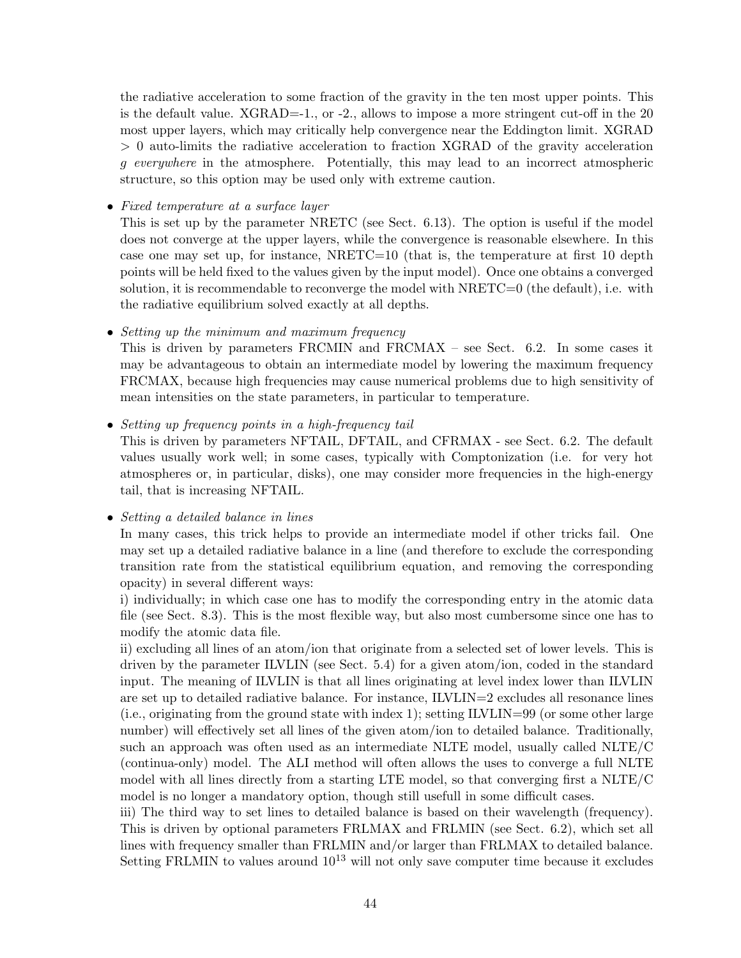the radiative acceleration to some fraction of the gravity in the ten most upper points. This is the default value. XGRAD=-1., or -2., allows to impose a more stringent cut-off in the 20 most upper layers, which may critically help convergence near the Eddington limit. XGRAD > 0 auto-limits the radiative acceleration to fraction XGRAD of the gravity acceleration g everywhere in the atmosphere. Potentially, this may lead to an incorrect atmospheric structure, so this option may be used only with extreme caution.

• Fixed temperature at a surface layer

This is set up by the parameter NRETC (see Sect. 6.13). The option is useful if the model does not converge at the upper layers, while the convergence is reasonable elsewhere. In this case one may set up, for instance,  $NRETC=10$  (that is, the temperature at first 10 depth points will be held fixed to the values given by the input model). Once one obtains a converged solution, it is recommendable to reconverge the model with NRETC=0 (the default), i.e. with the radiative equilibrium solved exactly at all depths.

• Setting up the minimum and maximum frequency

This is driven by parameters FRCMIN and FRCMAX – see Sect. 6.2. In some cases it may be advantageous to obtain an intermediate model by lowering the maximum frequency FRCMAX, because high frequencies may cause numerical problems due to high sensitivity of mean intensities on the state parameters, in particular to temperature.

• Setting up frequency points in a high-frequency tail

This is driven by parameters NFTAIL, DFTAIL, and CFRMAX - see Sect. 6.2. The default values usually work well; in some cases, typically with Comptonization (i.e. for very hot atmospheres or, in particular, disks), one may consider more frequencies in the high-energy tail, that is increasing NFTAIL.

• Setting a detailed balance in lines

In many cases, this trick helps to provide an intermediate model if other tricks fail. One may set up a detailed radiative balance in a line (and therefore to exclude the corresponding transition rate from the statistical equilibrium equation, and removing the corresponding opacity) in several different ways:

i) individually; in which case one has to modify the corresponding entry in the atomic data file (see Sect. 8.3). This is the most flexible way, but also most cumbersome since one has to modify the atomic data file.

ii) excluding all lines of an atom/ion that originate from a selected set of lower levels. This is driven by the parameter ILVLIN (see Sect. 5.4) for a given atom/ion, coded in the standard input. The meaning of ILVLIN is that all lines originating at level index lower than ILVLIN are set up to detailed radiative balance. For instance, ILVLIN=2 excludes all resonance lines (i.e., originating from the ground state with index 1); setting  $ILVLIN=99$  (or some other large number) will effectively set all lines of the given atom/ion to detailed balance. Traditionally, such an approach was often used as an intermediate NLTE model, usually called NLTE/C (continua-only) model. The ALI method will often allows the uses to converge a full NLTE model with all lines directly from a starting LTE model, so that converging first a NLTE/C model is no longer a mandatory option, though still usefull in some difficult cases.

iii) The third way to set lines to detailed balance is based on their wavelength (frequency). This is driven by optional parameters FRLMAX and FRLMIN (see Sect. 6.2), which set all lines with frequency smaller than FRLMIN and/or larger than FRLMAX to detailed balance. Setting FRLMIN to values around  $10^{13}$  will not only save computer time because it excludes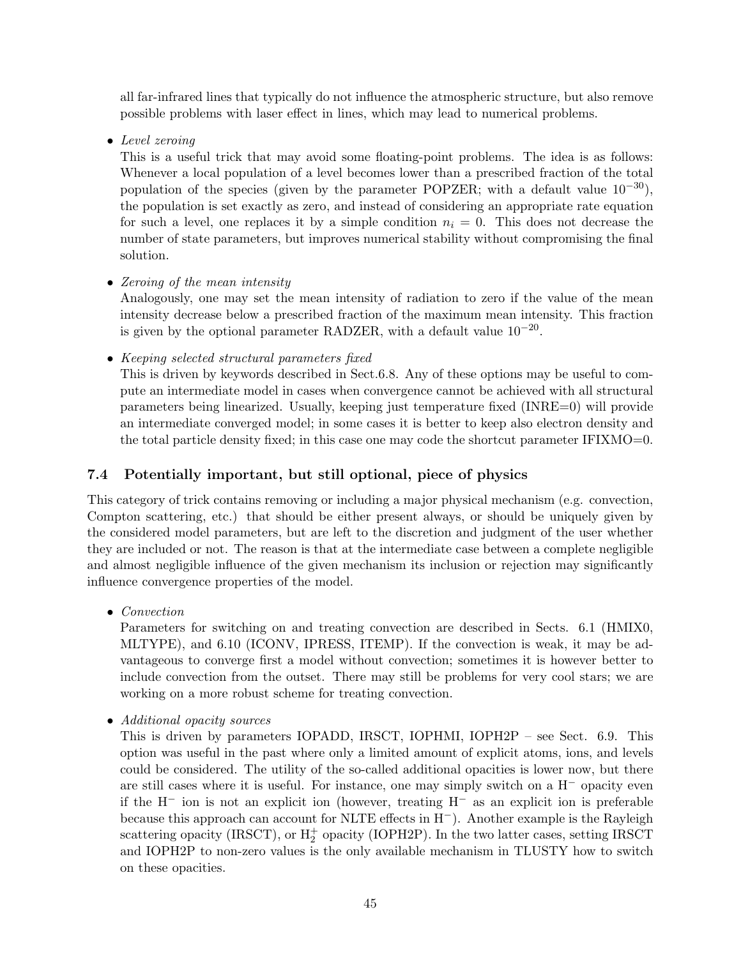all far-infrared lines that typically do not influence the atmospheric structure, but also remove possible problems with laser effect in lines, which may lead to numerical problems.

• Level zeroing

This is a useful trick that may avoid some floating-point problems. The idea is as follows: Whenever a local population of a level becomes lower than a prescribed fraction of the total population of the species (given by the parameter POPZER; with a default value  $10^{-30}$ ), the population is set exactly as zero, and instead of considering an appropriate rate equation for such a level, one replaces it by a simple condition  $n<sub>i</sub> = 0$ . This does not decrease the number of state parameters, but improves numerical stability without compromising the final solution.

• Zeroing of the mean intensity

Analogously, one may set the mean intensity of radiation to zero if the value of the mean intensity decrease below a prescribed fraction of the maximum mean intensity. This fraction is given by the optional parameter RADZER, with a default value  $10^{-20}$ .

• Keeping selected structural parameters fixed

This is driven by keywords described in Sect.6.8. Any of these options may be useful to compute an intermediate model in cases when convergence cannot be achieved with all structural parameters being linearized. Usually, keeping just temperature fixed (INRE=0) will provide an intermediate converged model; in some cases it is better to keep also electron density and the total particle density fixed; in this case one may code the shortcut parameter IFIXMO=0.

## 7.4 Potentially important, but still optional, piece of physics

This category of trick contains removing or including a major physical mechanism (e.g. convection, Compton scattering, etc.) that should be either present always, or should be uniquely given by the considered model parameters, but are left to the discretion and judgment of the user whether they are included or not. The reason is that at the intermediate case between a complete negligible and almost negligible influence of the given mechanism its inclusion or rejection may significantly influence convergence properties of the model.

• *Convection* 

Parameters for switching on and treating convection are described in Sects. 6.1 (HMIX0, MLTYPE), and 6.10 (ICONV, IPRESS, ITEMP). If the convection is weak, it may be advantageous to converge first a model without convection; sometimes it is however better to include convection from the outset. There may still be problems for very cool stars; we are working on a more robust scheme for treating convection.

• Additional opacity sources

This is driven by parameters IOPADD, IRSCT, IOPHMI, IOPH2P – see Sect. 6.9. This option was useful in the past where only a limited amount of explicit atoms, ions, and levels could be considered. The utility of the so-called additional opacities is lower now, but there are still cases where it is useful. For instance, one may simply switch on a H<sup>−</sup> opacity even if the H<sup>−</sup> ion is not an explicit ion (however, treating H<sup>−</sup> as an explicit ion is preferable because this approach can account for NLTE effects in H−). Another example is the Rayleigh scattering opacity (IRSCT), or  $H_2^+$  opacity (IOPH2P). In the two latter cases, setting IRSCT and IOPH2P to non-zero values is the only available mechanism in TLUSTY how to switch on these opacities.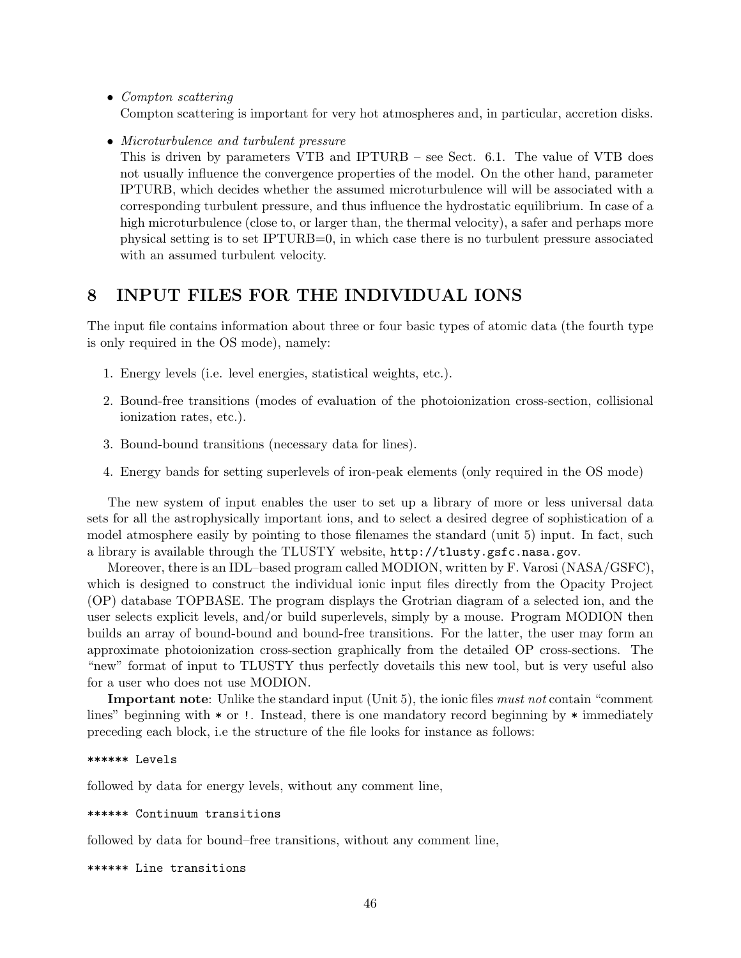- Compton scattering Compton scattering is important for very hot atmospheres and, in particular, accretion disks.
- Microturbulence and turbulent pressure

This is driven by parameters VTB and IPTURB – see Sect. 6.1. The value of VTB does not usually influence the convergence properties of the model. On the other hand, parameter IPTURB, which decides whether the assumed microturbulence will will be associated with a corresponding turbulent pressure, and thus influence the hydrostatic equilibrium. In case of a high microturbulence (close to, or larger than, the thermal velocity), a safer and perhaps more physical setting is to set IPTURB=0, in which case there is no turbulent pressure associated with an assumed turbulent velocity.

## 8 INPUT FILES FOR THE INDIVIDUAL IONS

The input file contains information about three or four basic types of atomic data (the fourth type is only required in the OS mode), namely:

- 1. Energy levels (i.e. level energies, statistical weights, etc.).
- 2. Bound-free transitions (modes of evaluation of the photoionization cross-section, collisional ionization rates, etc.).
- 3. Bound-bound transitions (necessary data for lines).
- 4. Energy bands for setting superlevels of iron-peak elements (only required in the OS mode)

The new system of input enables the user to set up a library of more or less universal data sets for all the astrophysically important ions, and to select a desired degree of sophistication of a model atmosphere easily by pointing to those filenames the standard (unit 5) input. In fact, such a library is available through the TLUSTY website, http://tlusty.gsfc.nasa.gov.

Moreover, there is an IDL–based program called MODION, written by F. Varosi (NASA/GSFC), which is designed to construct the individual ionic input files directly from the Opacity Project (OP) database TOPBASE. The program displays the Grotrian diagram of a selected ion, and the user selects explicit levels, and/or build superlevels, simply by a mouse. Program MODION then builds an array of bound-bound and bound-free transitions. For the latter, the user may form an approximate photoionization cross-section graphically from the detailed OP cross-sections. The "new" format of input to TLUSTY thus perfectly dovetails this new tool, but is very useful also for a user who does not use MODION.

Important note: Unlike the standard input (Unit 5), the ionic files *must not* contain "comment" lines" beginning with  $*$  or !. Instead, there is one mandatory record beginning by  $*$  immediately preceding each block, i.e the structure of the file looks for instance as follows:

```
****** Levels
```
followed by data for energy levels, without any comment line,

\*\*\*\*\*\* Continuum transitions

followed by data for bound–free transitions, without any comment line,

\*\*\*\*\*\* Line transitions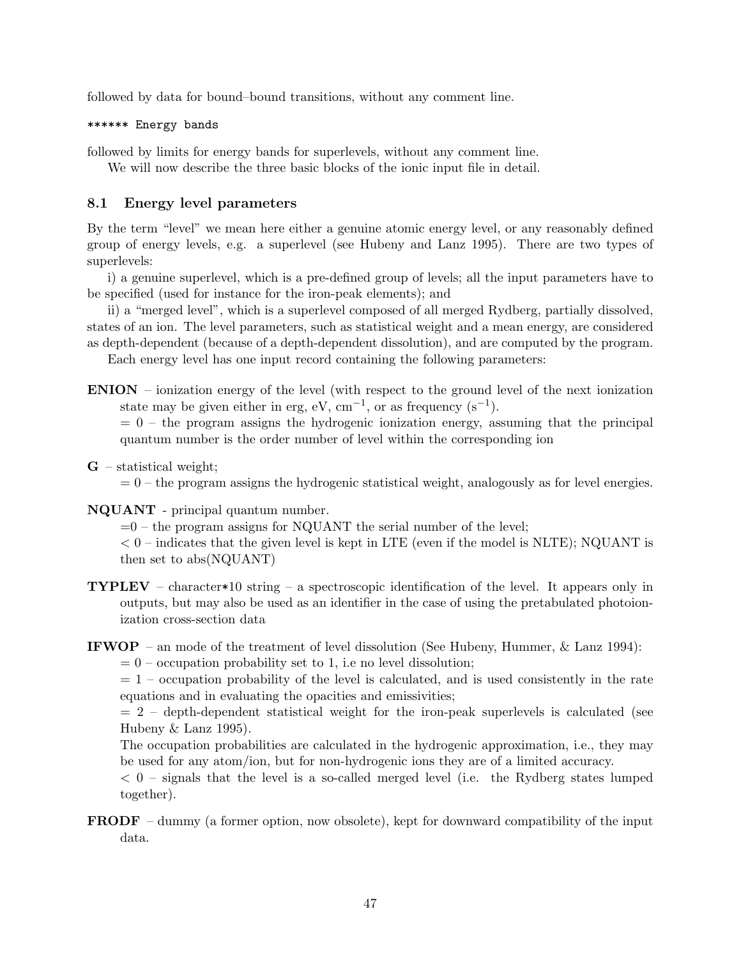followed by data for bound–bound transitions, without any comment line.

#### \*\*\*\*\*\* Energy bands

followed by limits for energy bands for superlevels, without any comment line.

We will now describe the three basic blocks of the ionic input file in detail.

## 8.1 Energy level parameters

By the term "level" we mean here either a genuine atomic energy level, or any reasonably defined group of energy levels, e.g. a superlevel (see Hubeny and Lanz 1995). There are two types of superlevels:

i) a genuine superlevel, which is a pre-defined group of levels; all the input parameters have to be specified (used for instance for the iron-peak elements); and

ii) a "merged level", which is a superlevel composed of all merged Rydberg, partially dissolved, states of an ion. The level parameters, such as statistical weight and a mean energy, are considered as depth-dependent (because of a depth-dependent dissolution), and are computed by the program.

Each energy level has one input record containing the following parameters:

ENION – ionization energy of the level (with respect to the ground level of the next ionization state may be given either in erg, eV,  $cm^{-1}$ , or as frequency  $(s^{-1})$ .

 $= 0$  – the program assigns the hydrogenic ionization energy, assuming that the principal quantum number is the order number of level within the corresponding ion

 $G$  – statistical weight;

 $= 0$  – the program assigns the hydrogenic statistical weight, analogously as for level energies.

NQUANT - principal quantum number.

 $=0$  – the program assigns for NQUANT the serial number of the level;

 $< 0$  – indicates that the given level is kept in LTE (even if the model is NLTE); NQUANT is then set to abs(NQUANT)

**TYPLEV** – character\*10 string – a spectroscopic identification of the level. It appears only in outputs, but may also be used as an identifier in the case of using the pretabulated photoionization cross-section data

## **IFWOP** – an mode of the treatment of level dissolution (See Hubeny, Hummer,  $\&$  Lanz 1994):

 $= 0$  – occupation probability set to 1, i.e no level dissolution;

 $= 1$  – occupation probability of the level is calculated, and is used consistently in the rate equations and in evaluating the opacities and emissivities;

 $= 2$  – depth-dependent statistical weight for the iron-peak superlevels is calculated (see Hubeny & Lanz 1995).

The occupation probabilities are calculated in the hydrogenic approximation, i.e., they may be used for any atom/ion, but for non-hydrogenic ions they are of a limited accuracy.

 $<$  0 – signals that the level is a so-called merged level (i.e. the Rydberg states lumped together).

FRODF – dummy (a former option, now obsolete), kept for downward compatibility of the input data.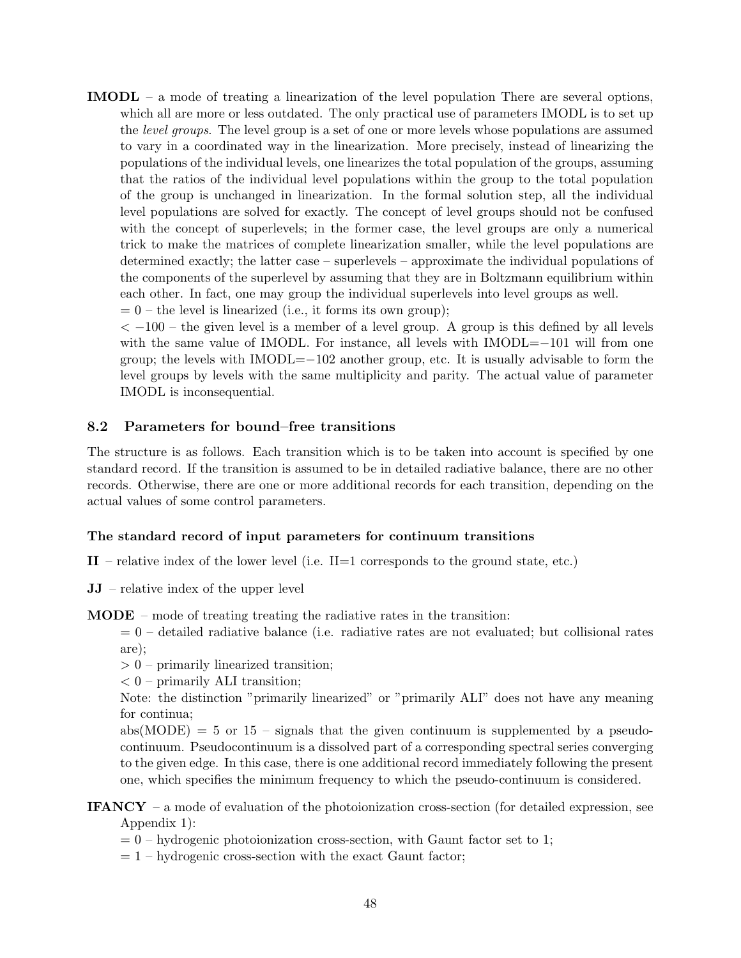IMODL – a mode of treating a linearization of the level population There are several options, which all are more or less outdated. The only practical use of parameters IMODL is to set up the level groups. The level group is a set of one or more levels whose populations are assumed to vary in a coordinated way in the linearization. More precisely, instead of linearizing the populations of the individual levels, one linearizes the total population of the groups, assuming that the ratios of the individual level populations within the group to the total population of the group is unchanged in linearization. In the formal solution step, all the individual level populations are solved for exactly. The concept of level groups should not be confused with the concept of superlevels; in the former case, the level groups are only a numerical trick to make the matrices of complete linearization smaller, while the level populations are determined exactly; the latter case – superlevels – approximate the individual populations of the components of the superlevel by assuming that they are in Boltzmann equilibrium within each other. In fact, one may group the individual superlevels into level groups as well.  $= 0$  – the level is linearized (i.e., it forms its own group);

 $<-100$  – the given level is a member of a level group. A group is this defined by all levels with the same value of IMODL. For instance, all levels with IMODL=−101 will from one group; the levels with IMODL=−102 another group, etc. It is usually advisable to form the level groups by levels with the same multiplicity and parity. The actual value of parameter IMODL is inconsequential.

## 8.2 Parameters for bound–free transitions

The structure is as follows. Each transition which is to be taken into account is specified by one standard record. If the transition is assumed to be in detailed radiative balance, there are no other records. Otherwise, there are one or more additional records for each transition, depending on the actual values of some control parameters.

## The standard record of input parameters for continuum transitions

- $II$  relative index of the lower level (i.e.  $II=1$  corresponds to the ground state, etc.)
- JJ relative index of the upper level

 **– mode of treating treating the radiative rates in the transition:** 

 $= 0$  – detailed radiative balance (i.e. radiative rates are not evaluated; but collisional rates are);

> 0 – primarily linearized transition;

 $< 0$  – primarily ALI transition;

Note: the distinction "primarily linearized" or "primarily ALI" does not have any meaning for continua;

 $abs(MODE) = 5$  or 15 – signals that the given continuum is supplemented by a pseudocontinuum. Pseudocontinuum is a dissolved part of a corresponding spectral series converging to the given edge. In this case, there is one additional record immediately following the present one, which specifies the minimum frequency to which the pseudo-continuum is considered.

IFANCY – a mode of evaluation of the photoionization cross-section (for detailed expression, see Appendix 1):

- $= 0$  hydrogenic photoionization cross-section, with Gaunt factor set to 1;
- $= 1$  hydrogenic cross-section with the exact Gaunt factor;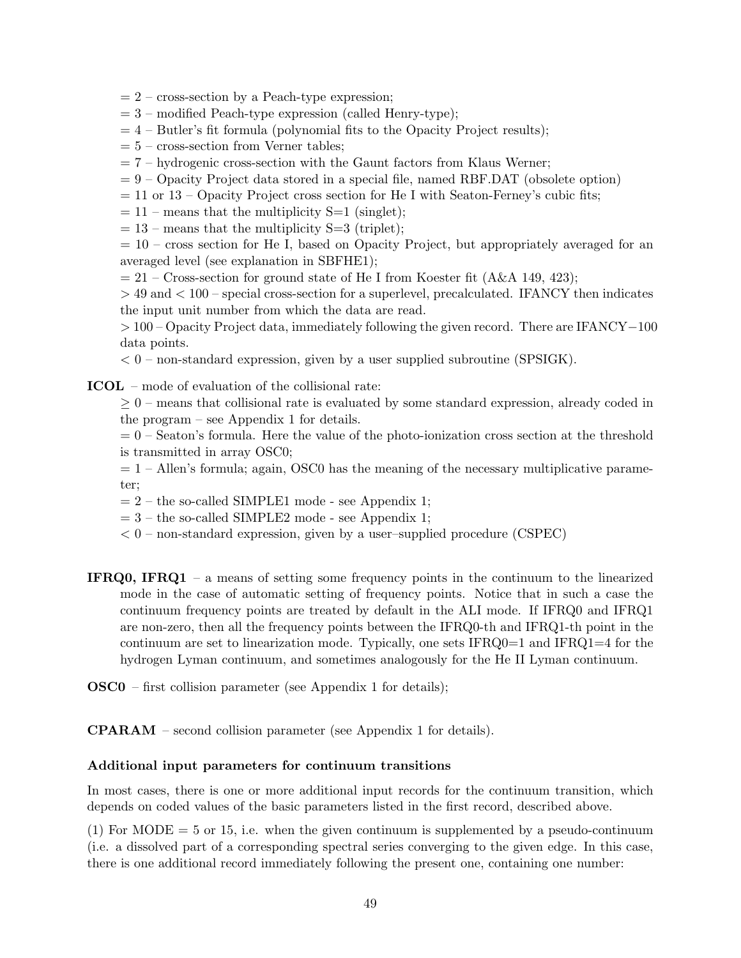- $= 2$  cross-section by a Peach-type expression;
- $= 3$  modified Peach-type expression (called Henry-type);
- $= 4$  Butler's fit formula (polynomial fits to the Opacity Project results);
- $= 5$  cross-section from Verner tables;
- $= 7$  hydrogenic cross-section with the Gaunt factors from Klaus Werner;
- $= 9$  Opacity Project data stored in a special file, named RBF.DAT (obsolete option)
- $= 11$  or 13 Opacity Project cross section for He I with Seaton-Ferney's cubic fits;
- $= 11$  means that the multiplicity S=1 (singlet);
- $= 13$  means that the multiplicity S=3 (triplet);

 $= 10$  – cross section for He I, based on Opacity Project, but appropriately averaged for an averaged level (see explanation in SBFHE1);

 $= 21$  – Cross-section for ground state of He I from Koester fit (A&A 149, 423);

> 49 and < 100 – special cross-section for a superlevel, precalculated. IFANCY then indicates the input unit number from which the data are read.

> 100 – Opacity Project data, immediately following the given record. There are IFANCY−100 data points.

 $< 0$  – non-standard expression, given by a user supplied subroutine (SPSIGK).

ICOL – mode of evaluation of the collisional rate:

 $\geq 0$  – means that collisional rate is evaluated by some standard expression, already coded in the program – see Appendix 1 for details.

 $= 0$  – Seaton's formula. Here the value of the photo-ionization cross section at the threshold is transmitted in array OSC0;

- $= 1$  Allen's formula; again, OSC0 has the meaning of the necessary multiplicative parameter;
- $= 2$  the so-called SIMPLE1 mode see Appendix 1;
- $= 3$  the so-called SIMPLE2 mode see Appendix 1;
- $< 0$  non-standard expression, given by a user–supplied procedure (CSPEC)
- IFRQ0, IFRQ1 a means of setting some frequency points in the continuum to the linearized mode in the case of automatic setting of frequency points. Notice that in such a case the continuum frequency points are treated by default in the ALI mode. If IFRQ0 and IFRQ1 are non-zero, then all the frequency points between the IFRQ0-th and IFRQ1-th point in the continuum are set to linearization mode. Typically, one sets  $IFRQ0=1$  and  $IFRQ1=4$  for the hydrogen Lyman continuum, and sometimes analogously for the He II Lyman continuum.
- OSC0 first collision parameter (see Appendix 1 for details);

CPARAM – second collision parameter (see Appendix 1 for details).

#### Additional input parameters for continuum transitions

In most cases, there is one or more additional input records for the continuum transition, which depends on coded values of the basic parameters listed in the first record, described above.

(1) For MODE  $=$  5 or 15, i.e. when the given continuum is supplemented by a pseudo-continuum (i.e. a dissolved part of a corresponding spectral series converging to the given edge. In this case, there is one additional record immediately following the present one, containing one number: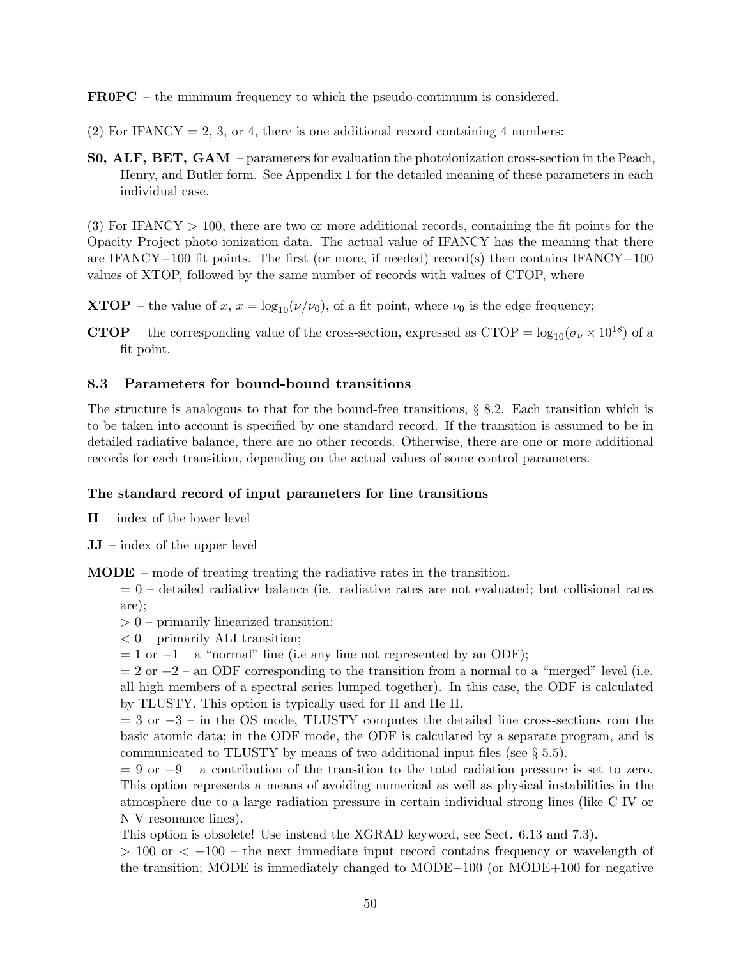FR0PC – the minimum frequency to which the pseudo-continuum is considered.

- (2) For IFANCY = 2, 3, or 4, there is one additional record containing 4 numbers:
- S0, ALF, BET, GAM parameters for evaluation the photoionization cross-section in the Peach, Henry, and Butler form. See Appendix 1 for the detailed meaning of these parameters in each individual case.

(3) For IFANCY > 100, there are two or more additional records, containing the fit points for the Opacity Project photo-ionization data. The actual value of IFANCY has the meaning that there are IFANCY−100 fit points. The first (or more, if needed) record(s) then contains IFANCY−100 values of XTOP, followed by the same number of records with values of CTOP, where

- **XTOP** the value of x,  $x = log_{10}(\nu/\nu_0)$ , of a fit point, where  $\nu_0$  is the edge frequency;
- **CTOP** the corresponding value of the cross-section, expressed as CTOP =  $\log_{10}(\sigma_{\nu} \times 10^{18})$  of a fit point.

## 8.3 Parameters for bound-bound transitions

The structure is analogous to that for the bound-free transitions, § 8.2. Each transition which is to be taken into account is specified by one standard record. If the transition is assumed to be in detailed radiative balance, there are no other records. Otherwise, there are one or more additional records for each transition, depending on the actual values of some control parameters.

## The standard record of input parameters for line transitions

II – index of the lower level

 $JJ - index of the upper level$ 

MODE – mode of treating treating the radiative rates in the transition.

- $= 0$  detailed radiative balance (ie. radiative rates are not evaluated; but collisional rates are);
- > 0 primarily linearized transition;
- $< 0$  primarily ALI transition;
- $= 1$  or  $-1 a$  "normal" line (i.e any line not represented by an ODF);

 $= 2$  or  $-2$  – an ODF corresponding to the transition from a normal to a "merged" level (i.e. all high members of a spectral series lumped together). In this case, the ODF is calculated by TLUSTY. This option is typically used for H and He II.

= 3 or −3 – in the OS mode, TLUSTY computes the detailed line cross-sections rom the basic atomic data; in the ODF mode, the ODF is calculated by a separate program, and is communicated to TLUSTY by means of two additional input files (see  $\S 5.5$ ).

 $= 9$  or  $-9 - a$  contribution of the transition to the total radiation pressure is set to zero. This option represents a means of avoiding numerical as well as physical instabilities in the atmosphere due to a large radiation pressure in certain individual strong lines (like C IV or N V resonance lines).

This option is obsolete! Use instead the XGRAD keyword, see Sect. 6.13 and 7.3).

 $> 100$  or  $<-100$  – the next immediate input record contains frequency or wavelength of the transition; MODE is immediately changed to MODE−100 (or MODE+100 for negative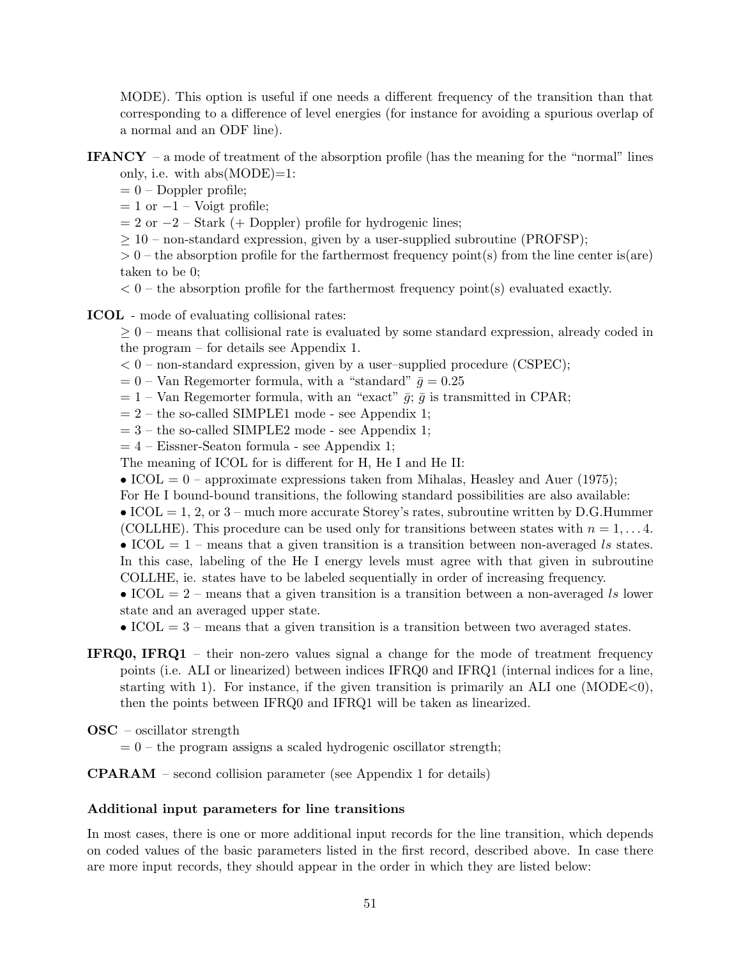MODE). This option is useful if one needs a different frequency of the transition than that corresponding to a difference of level energies (for instance for avoiding a spurious overlap of a normal and an ODF line).

- **IFANCY** a mode of treatment of the absorption profile (has the meaning for the "normal" lines only, i.e. with  $abs(MODE)=1$ :
	- $= 0$  Doppler profile;
	- $= 1$  or  $-1$  Voigt profile;
	- $= 2$  or  $-2$  Stark (+ Doppler) profile for hydrogenic lines;
	- $\geq 10$  non-standard expression, given by a user-supplied subroutine (PROFSP);
	- $> 0$  the absorption profile for the farthermost frequency point(s) from the line center is(are) taken to be 0;
	- $< 0$  the absorption profile for the farthermost frequency point(s) evaluated exactly.
- ICOL mode of evaluating collisional rates:

 $\geq 0$  – means that collisional rate is evaluated by some standard expression, already coded in the program – for details see Appendix 1.

- $< 0$  non-standard expression, given by a user–supplied procedure (CSPEC);
- $= 0$  Van Regemorter formula, with a "standard"  $\bar{g} = 0.25$
- $= 1$  Van Regemorter formula, with an "exact"  $\bar{g}$ ;  $\bar{g}$  is transmitted in CPAR;
- $= 2$  the so-called SIMPLE1 mode see Appendix 1;
- $= 3$  the so-called SIMPLE2 mode see Appendix 1;
- $= 4$  Eissner-Seaton formula see Appendix 1;
- The meaning of ICOL for is different for H, He I and He II:
- ICOL =  $0$  approximate expressions taken from Mihalas, Heasley and Auer (1975);
- For He I bound-bound transitions, the following standard possibilities are also available:
- ICOL = 1, 2, or  $3$  much more accurate Storey's rates, subroutine written by D.G.Hummer
- (COLLHE). This procedure can be used only for transitions between states with  $n = 1, \ldots 4$ . • ICOL  $= 1$  – means that a given transition is a transition between non-averaged ls states.
- In this case, labeling of the He I energy levels must agree with that given in subroutine COLLHE, ie. states have to be labeled sequentially in order of increasing frequency.
- ICOL  $= 2$  means that a given transition is a transition between a non-averaged ls lower state and an averaged upper state.

• ICOL  $= 3$  – means that a given transition is a transition between two averaged states.

- IFRQ0, IFRQ1 their non-zero values signal a change for the mode of treatment frequency points (i.e. ALI or linearized) between indices IFRQ0 and IFRQ1 (internal indices for a line, starting with 1). For instance, if the given transition is primarily an ALI one  $(MODE<0)$ , then the points between IFRQ0 and IFRQ1 will be taken as linearized.
- OSC oscillator strength
	- $= 0$  the program assigns a scaled hydrogenic oscillator strength;

#### CPARAM – second collision parameter (see Appendix 1 for details)

#### Additional input parameters for line transitions

In most cases, there is one or more additional input records for the line transition, which depends on coded values of the basic parameters listed in the first record, described above. In case there are more input records, they should appear in the order in which they are listed below: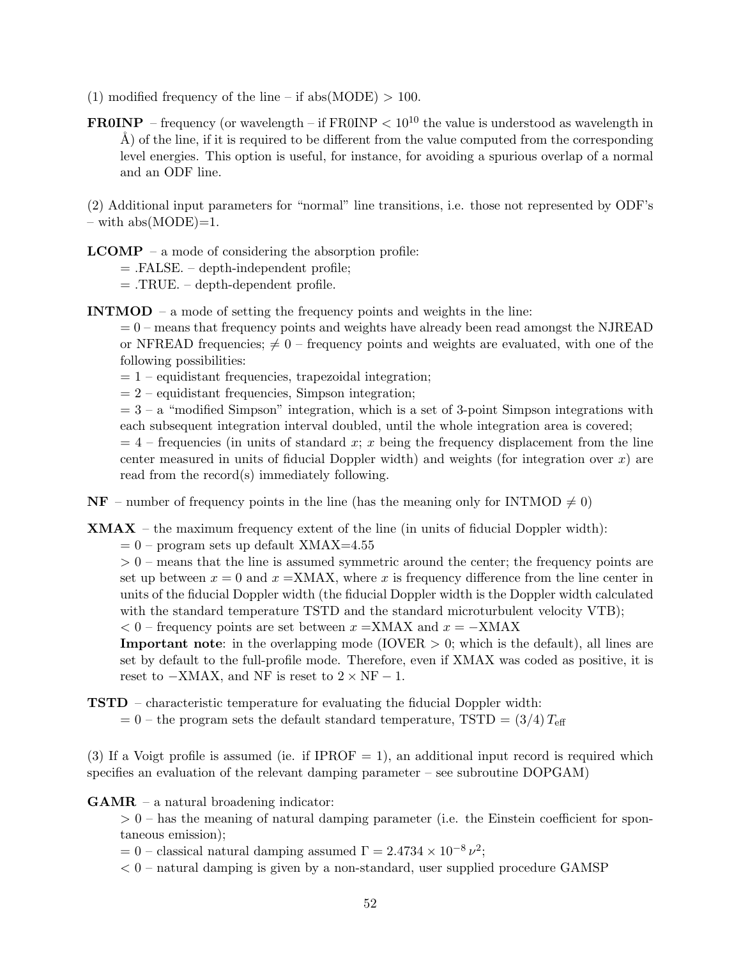- (1) modified frequency of the line if abs(MODE)  $> 100$ .
- **FR0INP** frequency (or wavelength if FR0INP  $< 10^{10}$  the value is understood as wavelength in  $\AA$ ) of the line, if it is required to be different from the value computed from the corresponding level energies. This option is useful, for instance, for avoiding a spurious overlap of a normal and an ODF line.

(2) Additional input parameters for "normal" line transitions, i.e. those not represented by ODF's  $-$  with abs(MODE)=1.

 $$ 

= .FALSE. – depth-independent profile;

 $=$  .TRUE. – depth-dependent profile.

INTMOD – a mode of setting the frequency points and weights in the line:

 $= 0$  – means that frequency points and weights have already been read amongst the NJREAD or NFREAD frequencies;  $\neq 0$  – frequency points and weights are evaluated, with one of the following possibilities:

 $= 1$  – equidistant frequencies, trapezoidal integration;

 $= 2$  – equidistant frequencies, Simpson integration;

 $= 3 - a$  "modified Simpson" integration, which is a set of 3-point Simpson integrations with each subsequent integration interval doubled, until the whole integration area is covered;

 $= 4$  – frequencies (in units of standard x; x being the frequency displacement from the line center measured in units of fiducial Doppler width) and weights (for integration over  $x$ ) are read from the record(s) immediately following.

 $NF$  – number of frequency points in the line (has the meaning only for INTMOD  $\neq 0$ )

 $XMAX - the maximum frequency extent of the line (in units of fiducial Doppler width):$ 

 $= 0$  – program sets up default XMAX=4.55

 $> 0$  – means that the line is assumed symmetric around the center; the frequency points are set up between  $x = 0$  and  $x = XMAX$ , where x is frequency difference from the line center in units of the fiducial Doppler width (the fiducial Doppler width is the Doppler width calculated with the standard temperature TSTD and the standard microturbulent velocity VTB);

 $< 0$  – frequency points are set between  $x = XMAX$  and  $x = -XMAX$ 

**Important note**: in the overlapping mode (IOVER  $> 0$ ; which is the default), all lines are set by default to the full-profile mode. Therefore, even if XMAX was coded as positive, it is reset to  $-XMAX$ , and NF is reset to  $2 \times NF - 1$ .

TSTD – characteristic temperature for evaluating the fiducial Doppler width:

 $= 0$  – the program sets the default standard temperature, TSTD  $= (3/4) T_{\text{eff}}$ 

(3) If a Voigt profile is assumed (ie. if IPROF  $= 1$ ), an additional input record is required which specifies an evaluation of the relevant damping parameter – see subroutine DOPGAM)

GAMR – a natural broadening indicator:

 $> 0$  – has the meaning of natural damping parameter (i.e. the Einstein coefficient for spontaneous emission);

 $= 0$  – classical natural damping assumed  $\Gamma = 2.4734 \times 10^{-8} \nu^2$ ;

 $< 0$  – natural damping is given by a non-standard, user supplied procedure GAMSP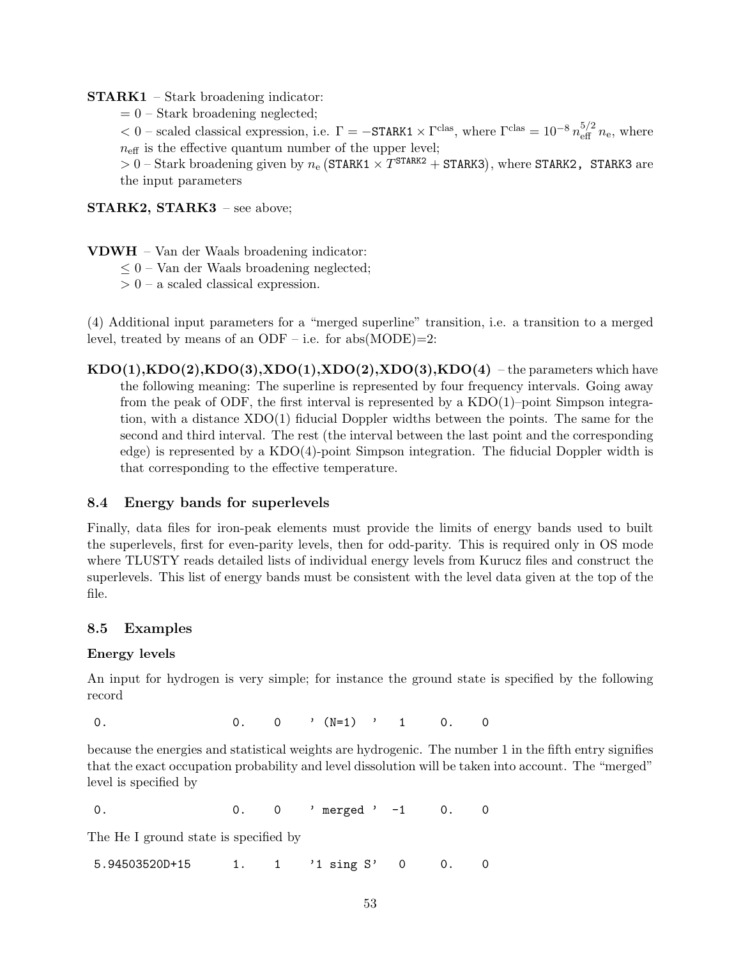## STARK1 – Stark broadening indicator:

 $= 0$  – Stark broadening neglected;

 $< 0$  – scaled classical expression, i.e.  $\Gamma = -\text{STARK1} \times \Gamma^{\text{clas}}$ , where  $\Gamma^{\text{clas}} = 10^{-8} n_{\text{eff}}^{5/2} n_{\text{e}}$ , where  $n_{\text{eff}}$  is the effective quantum number of the upper level;

 $> 0$  – Stark broadening given by  $n_e$  (STARK1  $\times T^{STARK2}$  + STARK3), where STARK2, STARK3 are the input parameters

STARK2, STARK3 - see above;

- VDWH Van der Waals broadening indicator:
	- $\leq 0$  Van der Waals broadening neglected;
	- $> 0$  a scaled classical expression.

(4) Additional input parameters for a "merged superline" transition, i.e. a transition to a merged level, treated by means of an ODF – i.e. for  $abs(MODE)=2$ :

 $KDO(1), KDO(2), KDO(3), XDO(1), XDO(2), XDO(3), KDO(4)$  – the parameters which have the following meaning: The superline is represented by four frequency intervals. Going away from the peak of ODF, the first interval is represented by a KDO(1)–point Simpson integration, with a distance XDO(1) fiducial Doppler widths between the points. The same for the second and third interval. The rest (the interval between the last point and the corresponding edge) is represented by a KDO(4)-point Simpson integration. The fiducial Doppler width is that corresponding to the effective temperature.

## 8.4 Energy bands for superlevels

Finally, data files for iron-peak elements must provide the limits of energy bands used to built the superlevels, first for even-parity levels, then for odd-parity. This is required only in OS mode where TLUSTY reads detailed lists of individual energy levels from Kurucz files and construct the superlevels. This list of energy bands must be consistent with the level data given at the top of the file.

## 8.5 Examples

## Energy levels

An input for hydrogen is very simple; for instance the ground state is specified by the following record

0. 0. 0  $\sqrt{N=1}$  , 1 0. 0

because the energies and statistical weights are hydrogenic. The number 1 in the fifth entry signifies that the exact occupation probability and level dissolution will be taken into account. The "merged" level is specified by

0. 0 0. 0 merged ' -1 0. 0

The He I ground state is specified by

5.94503520D+15 1. 1 '1 sing S' 0 0. 0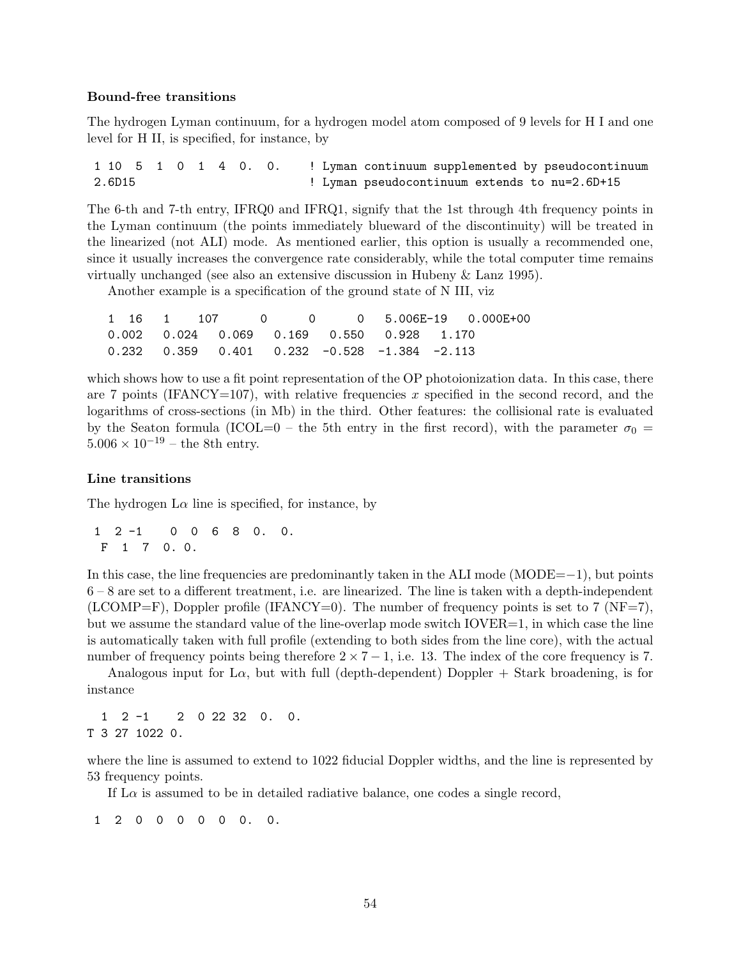#### Bound-free transitions

The hydrogen Lyman continuum, for a hydrogen model atom composed of 9 levels for H I and one level for H II, is specified, for instance, by

1 10 5 1 0 1 4 0. 0. ! Lyman continuum supplemented by pseudocontinuum 2.6D15 ! Lyman pseudocontinuum extends to nu=2.6D+15

The 6-th and 7-th entry, IFRQ0 and IFRQ1, signify that the 1st through 4th frequency points in the Lyman continuum (the points immediately blueward of the discontinuity) will be treated in the linearized (not ALI) mode. As mentioned earlier, this option is usually a recommended one, since it usually increases the convergence rate considerably, while the total computer time remains virtually unchanged (see also an extensive discussion in Hubeny & Lanz 1995).

Another example is a specification of the ground state of N III, viz

|  |  |  |  | $1 \quad 16 \quad 1 \quad 107 \quad 0 \quad 0 \quad 0 \quad 5.006E-19 \quad 0.000E+00$ |
|--|--|--|--|----------------------------------------------------------------------------------------|
|  |  |  |  |                                                                                        |
|  |  |  |  |                                                                                        |

which shows how to use a fit point representation of the OP photoionization data. In this case, there are 7 points (IFANCY=107), with relative frequencies x specified in the second record, and the logarithms of cross-sections (in Mb) in the third. Other features: the collisional rate is evaluated by the Seaton formula (ICOL=0 – the 5th entry in the first record), with the parameter  $\sigma_0$  =  $5.006 \times 10^{-19}$  – the 8th entry.

#### Line transitions

The hydrogen  $L\alpha$  line is specified, for instance, by

1 2 -1 0 0 6 8 0. 0. F 1 7 0. 0.

In this case, the line frequencies are predominantly taken in the ALI mode (MODE=−1), but points 6 – 8 are set to a different treatment, i.e. are linearized. The line is taken with a depth-independent  $(LCOMP=F)$ , Doppler profile (IFANCY=0). The number of frequency points is set to 7 (NF=7), but we assume the standard value of the line-overlap mode switch  $IOVER=1$ , in which case the line is automatically taken with full profile (extending to both sides from the line core), with the actual number of frequency points being therefore  $2 \times 7 - 1$ , i.e. 13. The index of the core frequency is 7.

Analogous input for L $\alpha$ , but with full (depth-dependent) Doppler + Stark broadening, is for instance

1 2 -1 2 0 22 32 0. 0. T 3 27 1022 0.

where the line is assumed to extend to 1022 fiducial Doppler widths, and the line is represented by 53 frequency points.

If  $\text{L}\alpha$  is assumed to be in detailed radiative balance, one codes a single record,

1 2 0 0 0 0 0 0. 0.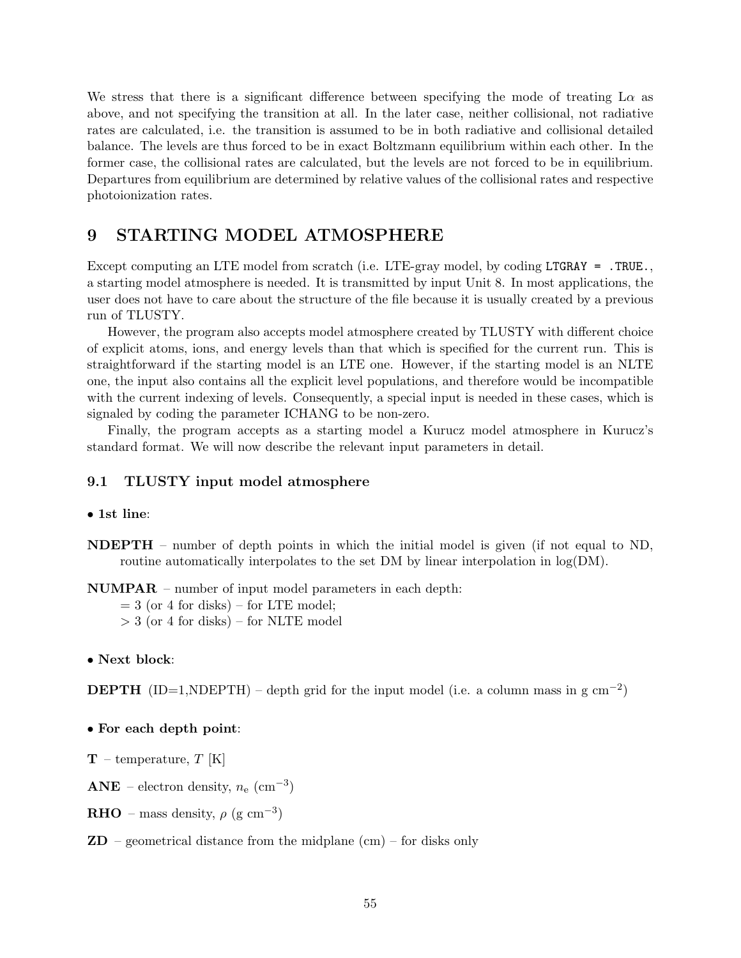We stress that there is a significant difference between specifying the mode of treating  $L\alpha$  as above, and not specifying the transition at all. In the later case, neither collisional, not radiative rates are calculated, i.e. the transition is assumed to be in both radiative and collisional detailed balance. The levels are thus forced to be in exact Boltzmann equilibrium within each other. In the former case, the collisional rates are calculated, but the levels are not forced to be in equilibrium. Departures from equilibrium are determined by relative values of the collisional rates and respective photoionization rates.

## 9 STARTING MODEL ATMOSPHERE

Except computing an LTE model from scratch (i.e. LTE-gray model, by coding LTGRAY = .TRUE. a starting model atmosphere is needed. It is transmitted by input Unit 8. In most applications, the user does not have to care about the structure of the file because it is usually created by a previous run of TLUSTY.

However, the program also accepts model atmosphere created by TLUSTY with different choice of explicit atoms, ions, and energy levels than that which is specified for the current run. This is straightforward if the starting model is an LTE one. However, if the starting model is an NLTE one, the input also contains all the explicit level populations, and therefore would be incompatible with the current indexing of levels. Consequently, a special input is needed in these cases, which is signaled by coding the parameter ICHANG to be non-zero.

Finally, the program accepts as a starting model a Kurucz model atmosphere in Kurucz's standard format. We will now describe the relevant input parameters in detail.

## 9.1 TLUSTY input model atmosphere

• 1st line:

NDEPTH – number of depth points in which the initial model is given (if not equal to ND, routine automatically interpolates to the set DM by linear interpolation in  $log(DM)$ .

NUMPAR – number of input model parameters in each depth:

 $= 3$  (or 4 for disks) – for LTE model;

- $>$  3 (or 4 for disks) for NLTE model
- Next block:

**DEPTH** (ID=1,NDEPTH) – depth grid for the input model (i.e. a column mass in g cm<sup>-2</sup>)

#### • For each depth point:

 $T$  – temperature, T [K]

 $\mathbf{ANE}$  – electron density,  $n_e \ (\mathrm{cm}^{-3})$ 

**RHO** – mass density,  $\rho$  (g cm<sup>-3</sup>)

 $\mathbf{ZD}$  – geometrical distance from the midplane (cm) – for disks only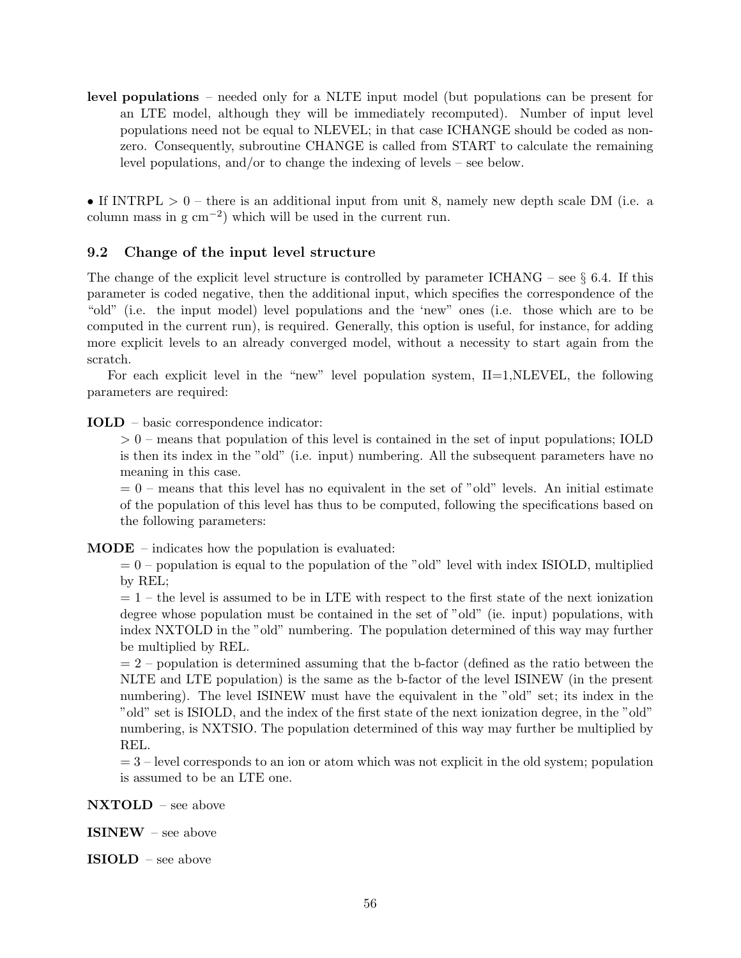level populations – needed only for a NLTE input model (but populations can be present for an LTE model, although they will be immediately recomputed). Number of input level populations need not be equal to NLEVEL; in that case ICHANGE should be coded as nonzero. Consequently, subroutine CHANGE is called from START to calculate the remaining level populations, and/or to change the indexing of levels – see below.

• If INTRPL  $> 0$  – there is an additional input from unit 8, namely new depth scale DM (i.e. a column mass in  $g \text{ cm}^{-2}$ ) which will be used in the current run.

## 9.2 Change of the input level structure

The change of the explicit level structure is controlled by parameter ICHANG – see  $\S$  6.4. If this parameter is coded negative, then the additional input, which specifies the correspondence of the "old" (i.e. the input model) level populations and the 'new" ones (i.e. those which are to be computed in the current run), is required. Generally, this option is useful, for instance, for adding more explicit levels to an already converged model, without a necessity to start again from the scratch.

For each explicit level in the "new" level population system,  $II=1, NLEVEL$ , the following parameters are required:

IOLD – basic correspondence indicator:

> 0 – means that population of this level is contained in the set of input populations; IOLD is then its index in the "old" (i.e. input) numbering. All the subsequent parameters have no meaning in this case.

 $= 0$  – means that this level has no equivalent in the set of "old" levels. An initial estimate of the population of this level has thus to be computed, following the specifications based on the following parameters:

MODE – indicates how the population is evaluated:

 $= 0$  – population is equal to the population of the "old" level with index ISIOLD, multiplied by REL;

 $= 1$  – the level is assumed to be in LTE with respect to the first state of the next ionization degree whose population must be contained in the set of "old" (ie. input) populations, with index NXTOLD in the "old" numbering. The population determined of this way may further be multiplied by REL.

 $= 2$  – population is determined assuming that the b-factor (defined as the ratio between the NLTE and LTE population) is the same as the b-factor of the level ISINEW (in the present numbering). The level ISINEW must have the equivalent in the "old" set; its index in the "old" set is ISIOLD, and the index of the first state of the next ionization degree, in the "old" numbering, is NXTSIO. The population determined of this way may further be multiplied by REL.

 $= 3$  – level corresponds to an ion or atom which was not explicit in the old system; population is assumed to be an LTE one.

NXTOLD – see above

ISINEW – see above

ISIOLD – see above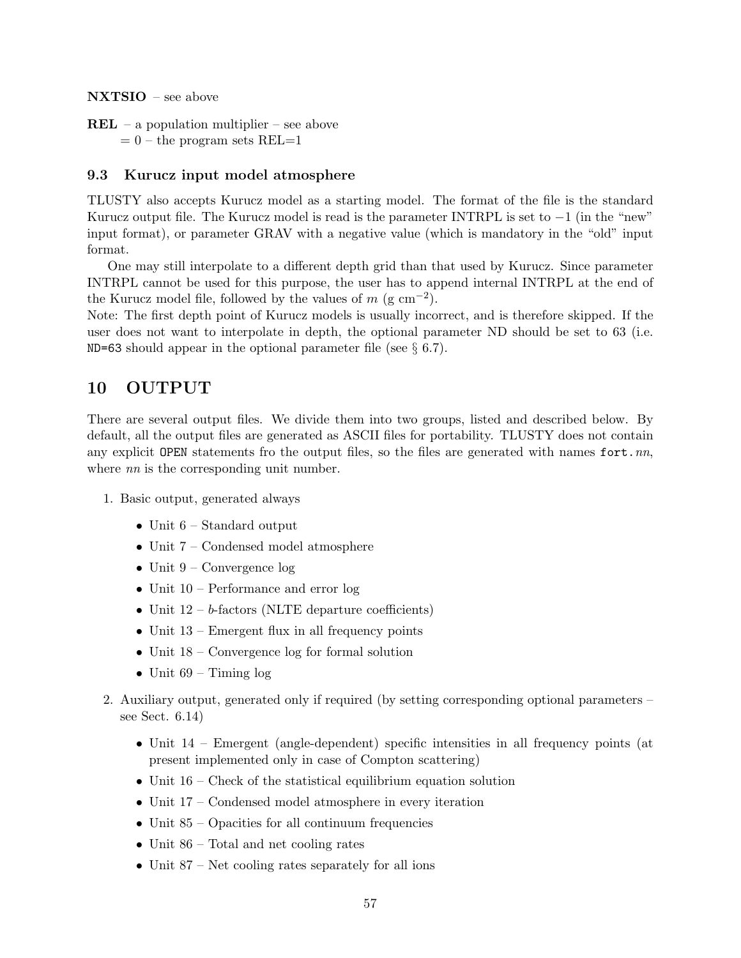NXTSIO – see above

 $REL - a population multiplier - see above$  $= 0$  – the program sets REL $=1$ 

## 9.3 Kurucz input model atmosphere

TLUSTY also accepts Kurucz model as a starting model. The format of the file is the standard Kurucz output file. The Kurucz model is read is the parameter INTRPL is set to  $-1$  (in the "new" input format), or parameter GRAV with a negative value (which is mandatory in the "old" input format.

One may still interpolate to a different depth grid than that used by Kurucz. Since parameter INTRPL cannot be used for this purpose, the user has to append internal INTRPL at the end of the Kurucz model file, followed by the values of  $m$  (g cm<sup>-2</sup>).

Note: The first depth point of Kurucz models is usually incorrect, and is therefore skipped. If the user does not want to interpolate in depth, the optional parameter ND should be set to 63 (i.e. ND=63 should appear in the optional parameter file (see  $\S 6.7$ ).

## 10 OUTPUT

There are several output files. We divide them into two groups, listed and described below. By default, all the output files are generated as ASCII files for portability. TLUSTY does not contain any explicit OPEN statements fro the output files, so the files are generated with names fort.  $nn$ , where *nn* is the corresponding unit number.

- 1. Basic output, generated always
	- Unit 6 Standard output
	- Unit 7 Condensed model atmosphere
	- Unit  $9$  Convergence log
	- Unit 10 Performance and error log
	- Unit  $12 b$ -factors (NLTE departure coefficients)
	- Unit  $13$  Emergent flux in all frequency points
	- Unit  $18$  Convergence log for formal solution
	- Unit  $69$  Timing  $\log$
- 2. Auxiliary output, generated only if required (by setting corresponding optional parameters see Sect. 6.14)
	- Unit  $14$  Emergent (angle-dependent) specific intensities in all frequency points (at present implemented only in case of Compton scattering)
	- Unit  $16$  Check of the statistical equilibrium equation solution
	- Unit 17 Condensed model atmosphere in every iteration
	- Unit  $85$  Opacities for all continuum frequencies
	- Unit 86 Total and net cooling rates
	- Unit  $87$  Net cooling rates separately for all ions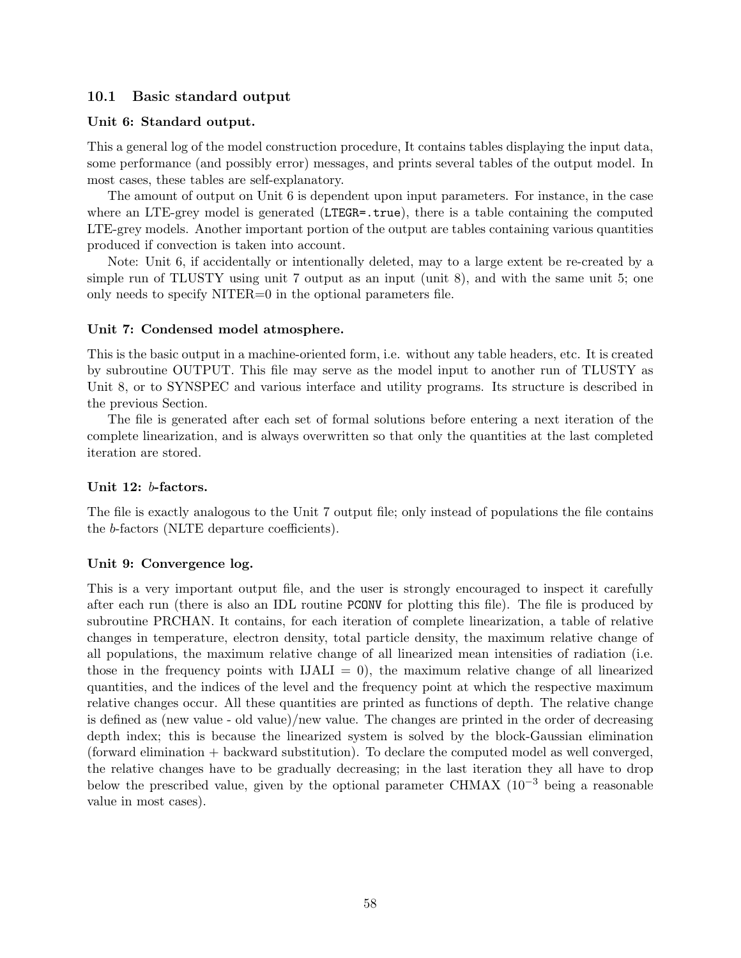## 10.1 Basic standard output

## Unit 6: Standard output.

This a general log of the model construction procedure, It contains tables displaying the input data, some performance (and possibly error) messages, and prints several tables of the output model. In most cases, these tables are self-explanatory.

The amount of output on Unit 6 is dependent upon input parameters. For instance, in the case where an LTE-grey model is generated (LTEGR=.true), there is a table containing the computed LTE-grey models. Another important portion of the output are tables containing various quantities produced if convection is taken into account.

Note: Unit 6, if accidentally or intentionally deleted, may to a large extent be re-created by a simple run of TLUSTY using unit 7 output as an input (unit 8), and with the same unit 5; one only needs to specify NITER=0 in the optional parameters file.

### Unit 7: Condensed model atmosphere.

This is the basic output in a machine-oriented form, i.e. without any table headers, etc. It is created by subroutine OUTPUT. This file may serve as the model input to another run of TLUSTY as Unit 8, or to SYNSPEC and various interface and utility programs. Its structure is described in the previous Section.

The file is generated after each set of formal solutions before entering a next iteration of the complete linearization, and is always overwritten so that only the quantities at the last completed iteration are stored.

#### Unit 12: b-factors.

The file is exactly analogous to the Unit 7 output file; only instead of populations the file contains the b-factors (NLTE departure coefficients).

#### Unit 9: Convergence log.

This is a very important output file, and the user is strongly encouraged to inspect it carefully after each run (there is also an IDL routine PCONV for plotting this file). The file is produced by subroutine PRCHAN. It contains, for each iteration of complete linearization, a table of relative changes in temperature, electron density, total particle density, the maximum relative change of all populations, the maximum relative change of all linearized mean intensities of radiation (i.e. those in the frequency points with  $IJALI = 0$ , the maximum relative change of all linearized quantities, and the indices of the level and the frequency point at which the respective maximum relative changes occur. All these quantities are printed as functions of depth. The relative change is defined as (new value - old value)/new value. The changes are printed in the order of decreasing depth index; this is because the linearized system is solved by the block-Gaussian elimination (forward elimination + backward substitution). To declare the computed model as well converged, the relative changes have to be gradually decreasing; in the last iteration they all have to drop below the prescribed value, given by the optional parameter CHMAX  $(10^{-3}$  being a reasonable value in most cases).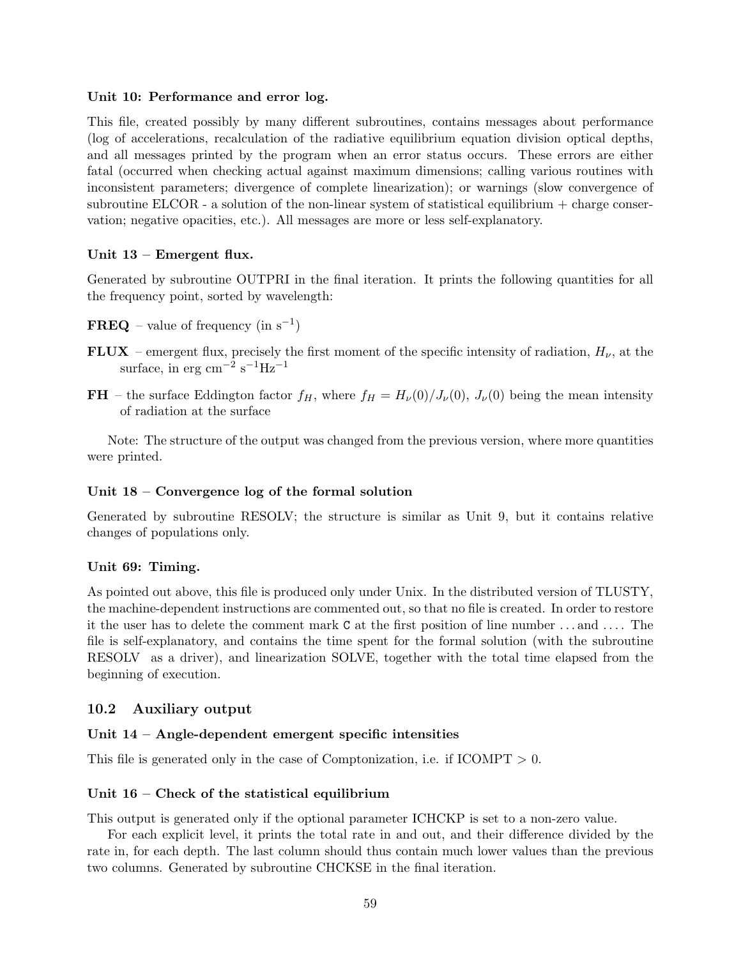## Unit 10: Performance and error log.

This file, created possibly by many different subroutines, contains messages about performance (log of accelerations, recalculation of the radiative equilibrium equation division optical depths, and all messages printed by the program when an error status occurs. These errors are either fatal (occurred when checking actual against maximum dimensions; calling various routines with inconsistent parameters; divergence of complete linearization); or warnings (slow convergence of subroutine ELCOR - a solution of the non-linear system of statistical equilibrium  $+$  charge conservation; negative opacities, etc.). All messages are more or less self-explanatory.

## Unit 13 – Emergent flux.

Generated by subroutine OUTPRI in the final iteration. It prints the following quantities for all the frequency point, sorted by wavelength:

- $\mathbf{FREQ}$  value of frequency (in  $s^{-1}$ )
- FLUX emergent flux, precisely the first moment of the specific intensity of radiation,  $H_{\nu}$ , at the surface, in erg cm<sup>-2</sup> s<sup>-1</sup>Hz<sup>-1</sup>
- FH the surface Eddington factor  $f_H$ , where  $f_H = H_\nu(0)/J_\nu(0)$ ,  $J_\nu(0)$  being the mean intensity of radiation at the surface

Note: The structure of the output was changed from the previous version, where more quantities were printed.

### Unit 18 – Convergence log of the formal solution

Generated by subroutine RESOLV; the structure is similar as Unit 9, but it contains relative changes of populations only.

#### Unit 69: Timing.

As pointed out above, this file is produced only under Unix. In the distributed version of TLUSTY, the machine-dependent instructions are commented out, so that no file is created. In order to restore it the user has to delete the comment mark C at the first position of line number . . . and . . . . The file is self-explanatory, and contains the time spent for the formal solution (with the subroutine RESOLV as a driver), and linearization SOLVE, together with the total time elapsed from the beginning of execution.

## 10.2 Auxiliary output

#### Unit 14 – Angle-dependent emergent specific intensities

This file is generated only in the case of Comptonization, i.e. if  $ICOMPT > 0$ .

#### Unit 16 – Check of the statistical equilibrium

This output is generated only if the optional parameter ICHCKP is set to a non-zero value.

For each explicit level, it prints the total rate in and out, and their difference divided by the rate in, for each depth. The last column should thus contain much lower values than the previous two columns. Generated by subroutine CHCKSE in the final iteration.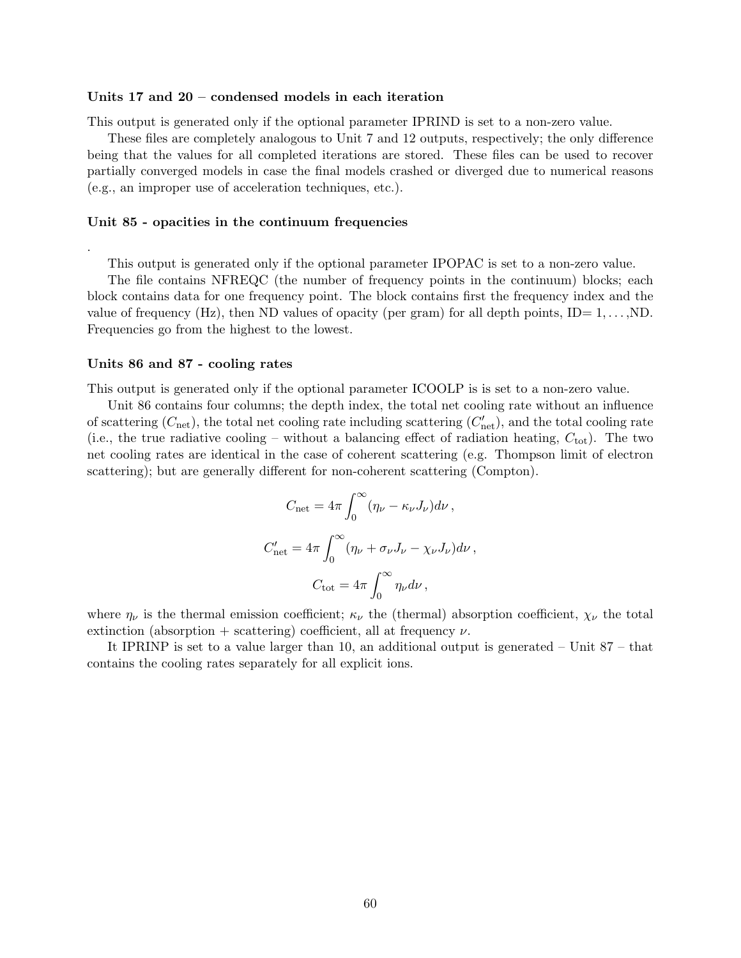#### Units 17 and 20 – condensed models in each iteration

This output is generated only if the optional parameter IPRIND is set to a non-zero value.

These files are completely analogous to Unit 7 and 12 outputs, respectively; the only difference being that the values for all completed iterations are stored. These files can be used to recover partially converged models in case the final models crashed or diverged due to numerical reasons (e.g., an improper use of acceleration techniques, etc.).

#### Unit 85 - opacities in the continuum frequencies

This output is generated only if the optional parameter IPOPAC is set to a non-zero value.

The file contains NFREQC (the number of frequency points in the continuum) blocks; each block contains data for one frequency point. The block contains first the frequency index and the value of frequency (Hz), then ND values of opacity (per gram) for all depth points,  $ID = 1, \ldots, ND$ . Frequencies go from the highest to the lowest.

#### Units 86 and 87 - cooling rates

.

This output is generated only if the optional parameter ICOOLP is is set to a non-zero value.

Unit 86 contains four columns; the depth index, the total net cooling rate without an influence of scattering  $(C_{\text{net}})$ , the total net cooling rate including scattering  $(C'_{\text{net}})$ , and the total cooling rate (i.e., the true radiative cooling – without a balancing effect of radiation heating,  $C_{\text{tot}}$ ). The two net cooling rates are identical in the case of coherent scattering (e.g. Thompson limit of electron scattering); but are generally different for non-coherent scattering (Compton).

$$
C_{\text{net}} = 4\pi \int_0^\infty (\eta_\nu - \kappa_\nu J_\nu) d\nu ,
$$
  

$$
C'_{\text{net}} = 4\pi \int_0^\infty (\eta_\nu + \sigma_\nu J_\nu - \chi_\nu J_\nu) d\nu ,
$$
  

$$
C_{\text{tot}} = 4\pi \int_0^\infty \eta_\nu d\nu ,
$$

where  $\eta_{\nu}$  is the thermal emission coefficient;  $\kappa_{\nu}$  the (thermal) absorption coefficient,  $\chi_{\nu}$  the total extinction (absorption + scattering) coefficient, all at frequency  $\nu$ .

It IPRINP is set to a value larger than 10, an additional output is generated – Unit 87 – that contains the cooling rates separately for all explicit ions.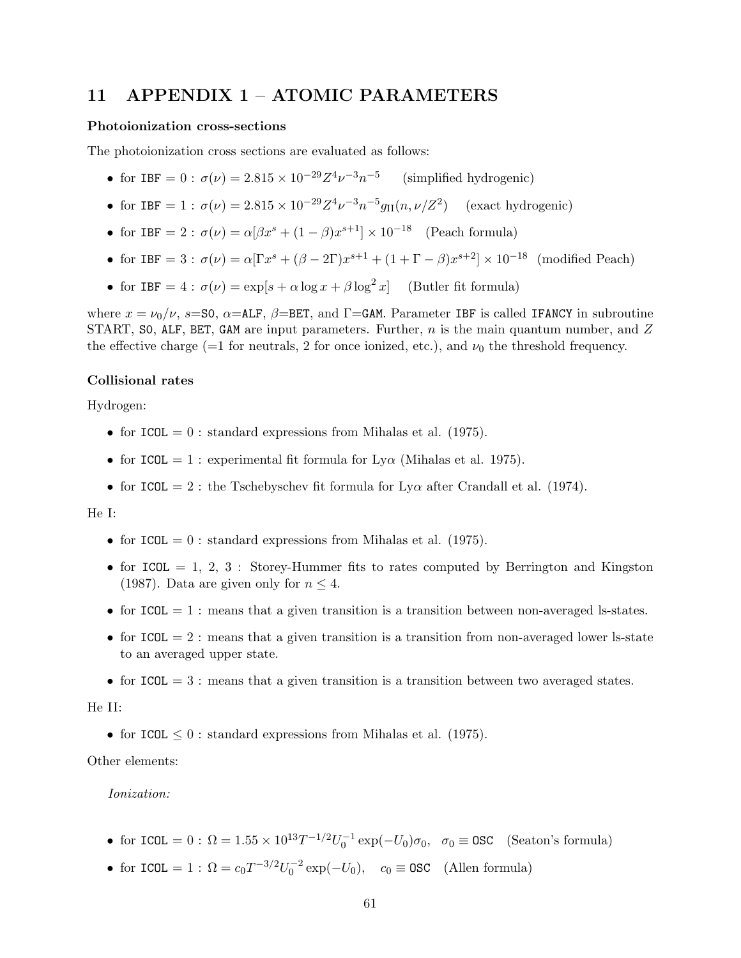## 11 APPENDIX 1 – ATOMIC PARAMETERS

### Photoionization cross-sections

The photoionization cross sections are evaluated as follows:

- for IBF =  $0: \sigma(\nu) = 2.815 \times 10^{-29} Z^4 \nu^{-3} n^{-5}$  (simplified hydrogenic)
- for IBF = 1 :  $\sigma(\nu) = 2.815 \times 10^{-29} Z^4 \nu^{-3} n^{-5} g_{II}(n, \nu/Z^2)$  (exact hydrogenic)
- for IBF = 2:  $\sigma(\nu) = \alpha[\beta x^s + (1-\beta)x^{s+1}] \times 10^{-18}$  (Peach formula)
- for IBF = 3:  $\sigma(\nu) = \alpha [ \Gamma x^s + (\beta 2\Gamma) x^{s+1} + (1 + \Gamma \beta) x^{s+2}] \times 10^{-18}$  (modified Peach)
- for IBF =  $4$ :  $\sigma(\nu) = \exp[s + \alpha \log x + \beta \log^2 x]$  (Butler fit formula)

where  $x = \nu_0/\nu$ , s=S0,  $\alpha$ =ALF,  $\beta$ =BET, and  $\Gamma$ =GAM. Parameter IBF is called IFANCY in subroutine START, SO, ALF, BET, GAM are input parameters. Further,  $n$  is the main quantum number, and Z the effective charge (=1 for neutrals, 2 for once ionized, etc.), and  $\nu_0$  the threshold frequency.

### Collisional rates

Hydrogen:

- for  $ICOL = 0$ : standard expressions from Mihalas et al. (1975).
- for ICOL = 1 : experimental fit formula for  $Ly\alpha$  (Mihalas et al. 1975).
- for ICOL = 2 : the Tschebyschev fit formula for  $Ly\alpha$  after Crandall et al. (1974).

#### He I:

- for  $ICOL = 0$ : standard expressions from Mihalas et al. (1975).
- for ICOL  $= 1, 2, 3$ : Storey-Hummer fits to rates computed by Berrington and Kingston (1987). Data are given only for  $n \leq 4$ .
- for  $ICOL = 1$ : means that a given transition is a transition between non-averaged ls-states.
- for  $ICOL = 2$ : means that a given transition is a transition from non-averaged lower ls-state to an averaged upper state.
- for  $ICOL = 3$ : means that a given transition is a transition between two averaged states.

#### He II:

• for ICOL  $\leq 0$ : standard expressions from Mihalas et al. (1975).

Other elements:

#### Ionization:

- for ICOL =  $0: \Omega = 1.55 \times 10^{13} T^{-1/2} U_0^{-1} \exp(-U_0) \sigma_0$ ,  $\sigma_0 \equiv \text{OSC}$  (Seaton's formula)
- for ICOL = 1 :  $\Omega = c_0 T^{-3/2} U_0^{-2} \exp(-U_0)$ ,  $c_0 \equiv \text{OSC}$  (Allen formula)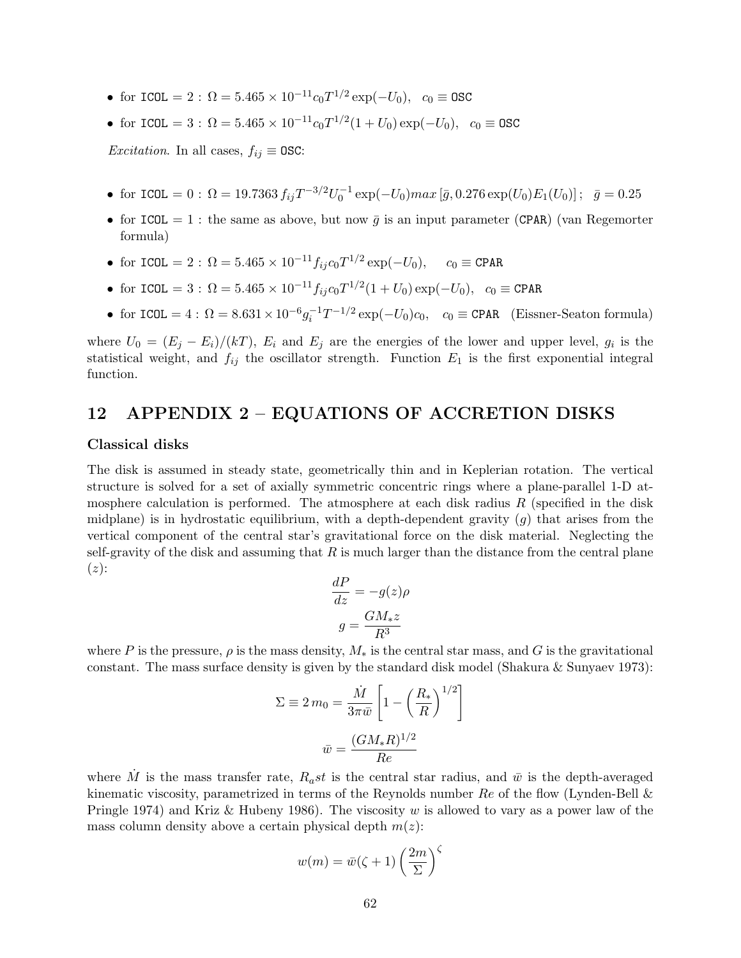- for ICOL = 2:  $\Omega = 5.465 \times 10^{-11} c_0 T^{1/2} \exp(-U_0)$ ,  $c_0 \equiv \text{OSC}$
- for ICOL = 3:  $\Omega = 5.465 \times 10^{-11} c_0 T^{1/2} (1 + U_0) \exp(-U_0)$ ,  $c_0 \equiv \text{OSC}$

*Excitation*. In all cases,  $f_{ij} \equiv \text{OSC:}$ 

- for ICOL = 0:  $\Omega = 19.7363 f_{ij} T^{-3/2} U_0^{-1} \exp(-U_0) max [\bar{g}, 0.276 \exp(U_0) E_1(U_0)]; \ \bar{g} = 0.25$
- for ICOL = 1 : the same as above, but now  $\bar{g}$  is an input parameter (CPAR) (van Regemorter formula)
- for ICOL = 2:  $\Omega = 5.465 \times 10^{-11} f_{ij} c_0 T^{1/2} \exp(-U_0)$ ,  $c_0 \equiv \text{CPAR}$
- for ICOL = 3:  $\Omega = 5.465 \times 10^{-11} f_{ij} c_0 T^{1/2} (1 + U_0) \exp(-U_0)$ ,  $c_0 \equiv \text{CPAR}$
- for  $ICOL = 4$ :  $\Omega = 8.631 \times 10^{-6} g_i^{-1} T^{-1/2} \exp(-U_0) c_0$ ,  $c_0 \equiv \text{CPAR}$  (Eissner-Seaton formula)

where  $U_0 = (E_j - E_i)/(kT)$ ,  $E_i$  and  $E_j$  are the energies of the lower and upper level,  $g_i$  is the statistical weight, and  $f_{ij}$  the oscillator strength. Function  $E_1$  is the first exponential integral function.

## 12 APPENDIX 2 – EQUATIONS OF ACCRETION DISKS

### Classical disks

The disk is assumed in steady state, geometrically thin and in Keplerian rotation. The vertical structure is solved for a set of axially symmetric concentric rings where a plane-parallel 1-D atmosphere calculation is performed. The atmosphere at each disk radius  $R$  (specified in the disk midplane) is in hydrostatic equilibrium, with a depth-dependent gravity  $(g)$  that arises from the vertical component of the central star's gravitational force on the disk material. Neglecting the self-gravity of the disk and assuming that  $R$  is much larger than the distance from the central plane  $(z)$ :

$$
\frac{dP}{dz} = -g(z)\rho
$$

$$
g = \frac{GM_*z}{R^3}
$$

where P is the pressure,  $\rho$  is the mass density,  $M_*$  is the central star mass, and G is the gravitational constant. The mass surface density is given by the standard disk model (Shakura & Sunyaev 1973):

$$
\Sigma \equiv 2 m_0 = \frac{\dot{M}}{3\pi \bar{w}} \left[ 1 - \left(\frac{R_*}{R}\right)^{1/2} \right]
$$

$$
\bar{w} = \frac{(GM_*R)^{1/2}}{Re}
$$

where  $\dot{M}$  is the mass transfer rate,  $R_a st$  is the central star radius, and  $\bar{w}$  is the depth-averaged kinematic viscosity, parametrized in terms of the Reynolds number  $Re$  of the flow (Lynden-Bell  $\&$ Pringle 1974) and Kriz & Hubeny 1986). The viscosity w is allowed to vary as a power law of the mass column density above a certain physical depth  $m(z)$ :

$$
w(m) = \bar{w}(\zeta + 1) \left(\frac{2m}{\Sigma}\right)^{\zeta}
$$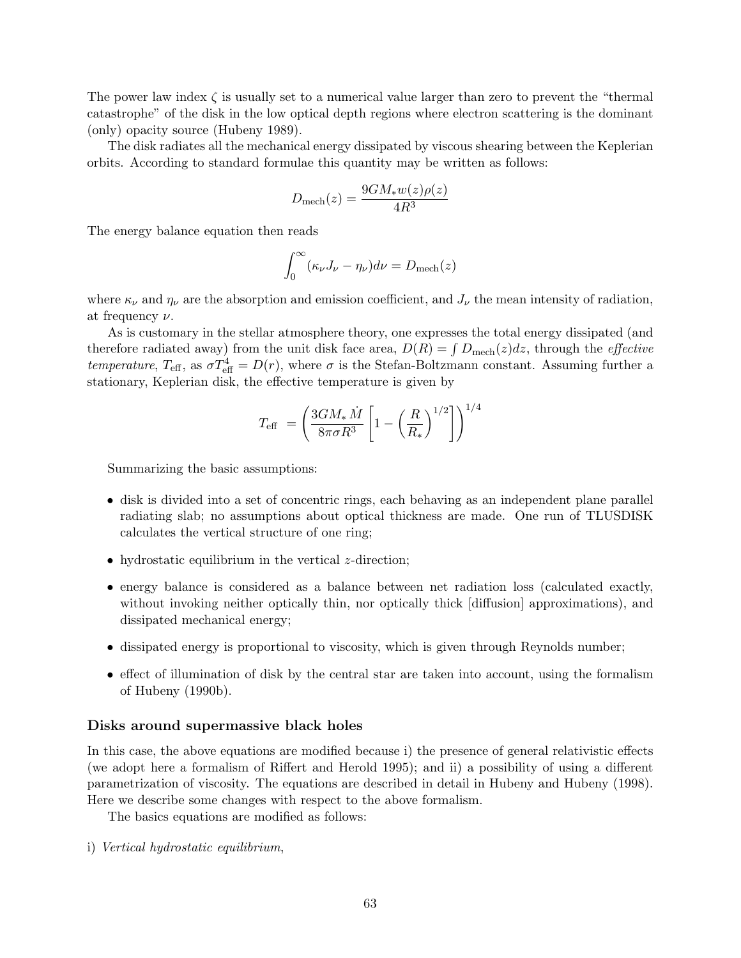The power law index  $\zeta$  is usually set to a numerical value larger than zero to prevent the "thermal" catastrophe" of the disk in the low optical depth regions where electron scattering is the dominant (only) opacity source (Hubeny 1989).

The disk radiates all the mechanical energy dissipated by viscous shearing between the Keplerian orbits. According to standard formulae this quantity may be written as follows:

$$
D_{\text{mech}}(z) = \frac{9GM_*w(z)\rho(z)}{4R^3}
$$

The energy balance equation then reads

$$
\int_0^\infty (\kappa_\nu J_\nu - \eta_\nu) d\nu = D_{\text{mech}}(z)
$$

where  $\kappa_{\nu}$  and  $\eta_{\nu}$  are the absorption and emission coefficient, and  $J_{\nu}$  the mean intensity of radiation, at frequency  $\nu$ .

As is customary in the stellar atmosphere theory, one expresses the total energy dissipated (and therefore radiated away) from the unit disk face area,  $D(R) = \int D_{\text{mech}}(z)dz$ , through the *effective* temperature,  $T_{\text{eff}}$ , as  $\sigma T_{\text{eff}}^4 = D(r)$ , where  $\sigma$  is the Stefan-Boltzmann constant. Assuming further a stationary, Keplerian disk, the effective temperature is given by

$$
T_{\textrm{eff}}\ =\left(\frac{3GM_{*}\ \dot{M}}{8\pi\sigma R^{3}}\left[1-\left(\frac{R}{R_{*}}\right)^{1/2}\right]\right)^{1/4}
$$

Summarizing the basic assumptions:

- disk is divided into a set of concentric rings, each behaving as an independent plane parallel radiating slab; no assumptions about optical thickness are made. One run of TLUSDISK calculates the vertical structure of one ring;
- hydrostatic equilibrium in the vertical *z*-direction;
- energy balance is considered as a balance between net radiation loss (calculated exactly, without invoking neither optically thin, nor optically thick [diffusion] approximations), and dissipated mechanical energy;
- dissipated energy is proportional to viscosity, which is given through Reynolds number;
- effect of illumination of disk by the central star are taken into account, using the formalism of Hubeny (1990b).

### Disks around supermassive black holes

In this case, the above equations are modified because i) the presence of general relativistic effects (we adopt here a formalism of Riffert and Herold 1995); and ii) a possibility of using a different parametrization of viscosity. The equations are described in detail in Hubeny and Hubeny (1998). Here we describe some changes with respect to the above formalism.

The basics equations are modified as follows:

i) Vertical hydrostatic equilibrium,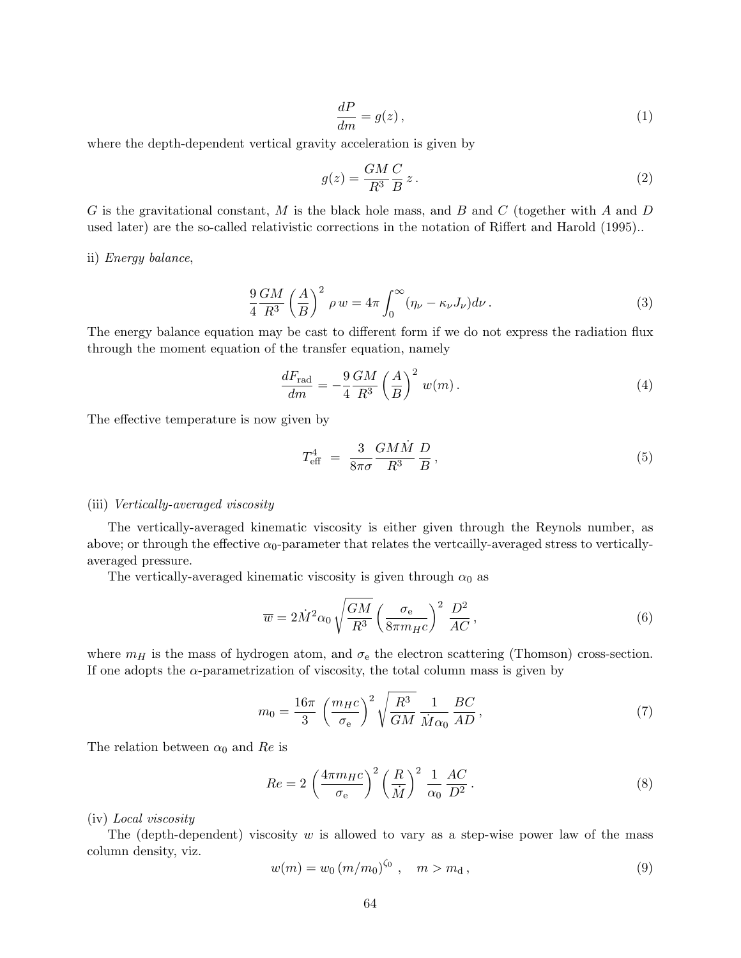$$
\frac{dP}{dm} = g(z) \,,\tag{1}
$$

where the depth-dependent vertical gravity acceleration is given by

$$
g(z) = \frac{GM}{R^3} \frac{C}{B} z. \tag{2}
$$

G is the gravitational constant, M is the black hole mass, and B and C (together with A and D used later) are the so-called relativistic corrections in the notation of Riffert and Harold (1995)..

ii) Energy balance,

$$
\frac{9}{4} \frac{GM}{R^3} \left(\frac{A}{B}\right)^2 \rho w = 4\pi \int_0^\infty (\eta_\nu - \kappa_\nu J_\nu) d\nu.
$$
\n(3)

The energy balance equation may be cast to different form if we do not express the radiation flux through the moment equation of the transfer equation, namely

$$
\frac{dF_{\text{rad}}}{dm} = -\frac{9}{4} \frac{GM}{R^3} \left(\frac{A}{B}\right)^2 w(m). \tag{4}
$$

The effective temperature is now given by

$$
T_{\text{eff}}^4 = \frac{3}{8\pi\sigma} \frac{GM\dot{M}}{R^3} \frac{D}{B},\qquad(5)
$$

#### (iii) Vertically-averaged viscosity

The vertically-averaged kinematic viscosity is either given through the Reynols number, as above; or through the effective  $\alpha_0$ -parameter that relates the vertcailly-averaged stress to verticallyaveraged pressure.

The vertically-averaged kinematic viscosity is given through  $\alpha_0$  as

$$
\overline{w} = 2\dot{M}^2 \alpha_0 \sqrt{\frac{GM}{R^3}} \left(\frac{\sigma_e}{8\pi m_{HC}}\right)^2 \frac{D^2}{AC},\tag{6}
$$

where  $m_H$  is the mass of hydrogen atom, and  $\sigma_e$  the electron scattering (Thomson) cross-section. If one adopts the  $\alpha$ -parametrization of viscosity, the total column mass is given by

$$
m_0 = \frac{16\pi}{3} \left(\frac{m_H c}{\sigma_e}\right)^2 \sqrt{\frac{R^3}{GM}} \frac{1}{\dot{M}\alpha_0} \frac{BC}{AD},\tag{7}
$$

The relation between  $\alpha_0$  and Re is

$$
Re = 2\left(\frac{4\pi m_{H}c}{\sigma_{\rm e}}\right)^{2} \left(\frac{R}{\dot{M}}\right)^{2} \frac{1}{\alpha_{0}} \frac{AC}{D^{2}}.
$$
\n
$$
(8)
$$

#### (iv) Local viscosity

The (depth-dependent) viscosity  $w$  is allowed to vary as a step-wise power law of the mass column density, viz.

$$
w(m) = w_0 \left( m/m_0 \right)^{\zeta_0}, \quad m > m_d, \tag{9}
$$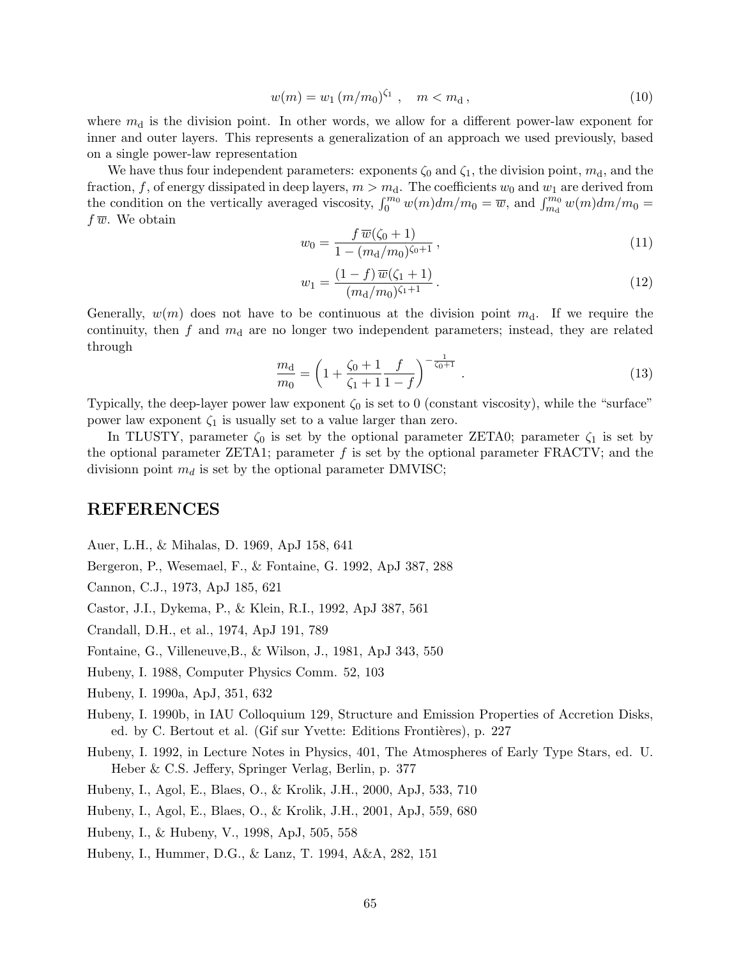$$
w(m) = w_1 (m/m_0)^{\zeta_1}, \quad m < m_d, \tag{10}
$$

where  $m_d$  is the division point. In other words, we allow for a different power-law exponent for inner and outer layers. This represents a generalization of an approach we used previously, based on a single power-law representation

We have thus four independent parameters: exponents  $\zeta_0$  and  $\zeta_1$ , the division point,  $m_d$ , and the fraction, f, of energy dissipated in deep layers,  $m > m_d$ . The coefficients  $w_0$  and  $w_1$  are derived from the condition on the vertically averaged viscosity,  $\int_0^{m_0} w(m)dm/m_0 = \overline{w}$ , and  $\int_{m_0}^{m_0} w(m)dm/m_0 =$  $f\overline{w}$ . We obtain

$$
w_0 = \frac{f \,\overline{w}(\zeta_0 + 1)}{1 - (m_d/m_0)^{\zeta_0 + 1}},\tag{11}
$$

$$
w_1 = \frac{(1-f)\,\overline{w}(\zeta_1+1)}{(m_\mathrm{d}/m_0)^{\zeta_1+1}}\,. \tag{12}
$$

Generally,  $w(m)$  does not have to be continuous at the division point  $m_d$ . If we require the continuity, then  $f$  and  $m_d$  are no longer two independent parameters; instead, they are related through

$$
\frac{m_{\rm d}}{m_0} = \left(1 + \frac{\zeta_0 + 1}{\zeta_1 + 1} \frac{f}{1 - f}\right)^{-\frac{1}{\zeta_0 + 1}}.\tag{13}
$$

Typically, the deep-layer power law exponent  $\zeta_0$  is set to 0 (constant viscosity), while the "surface" power law exponent  $\zeta_1$  is usually set to a value larger than zero.

In TLUSTY, parameter  $\zeta_0$  is set by the optional parameter ZETA0; parameter  $\zeta_1$  is set by the optional parameter ZETA1; parameter  $f$  is set by the optional parameter FRACTV; and the divisionn point  $m_d$  is set by the optional parameter DMVISC;

## REFERENCES

Auer, L.H., & Mihalas, D. 1969, ApJ 158, 641

Bergeron, P., Wesemael, F., & Fontaine, G. 1992, ApJ 387, 288

Cannon, C.J., 1973, ApJ 185, 621

Castor, J.I., Dykema, P., & Klein, R.I., 1992, ApJ 387, 561

Crandall, D.H., et al., 1974, ApJ 191, 789

Fontaine, G., Villeneuve,B., & Wilson, J., 1981, ApJ 343, 550

Hubeny, I. 1988, Computer Physics Comm. 52, 103

Hubeny, I. 1990a, ApJ, 351, 632

- Hubeny, I. 1990b, in IAU Colloquium 129, Structure and Emission Properties of Accretion Disks, ed. by C. Bertout et al. (Gif sur Yvette: Editions Frontières), p. 227
- Hubeny, I. 1992, in Lecture Notes in Physics, 401, The Atmospheres of Early Type Stars, ed. U. Heber & C.S. Jeffery, Springer Verlag, Berlin, p. 377

Hubeny, I., Agol, E., Blaes, O., & Krolik, J.H., 2000, ApJ, 533, 710

Hubeny, I., Agol, E., Blaes, O., & Krolik, J.H., 2001, ApJ, 559, 680

Hubeny, I., & Hubeny, V., 1998, ApJ, 505, 558

Hubeny, I., Hummer, D.G., & Lanz, T. 1994, A&A, 282, 151